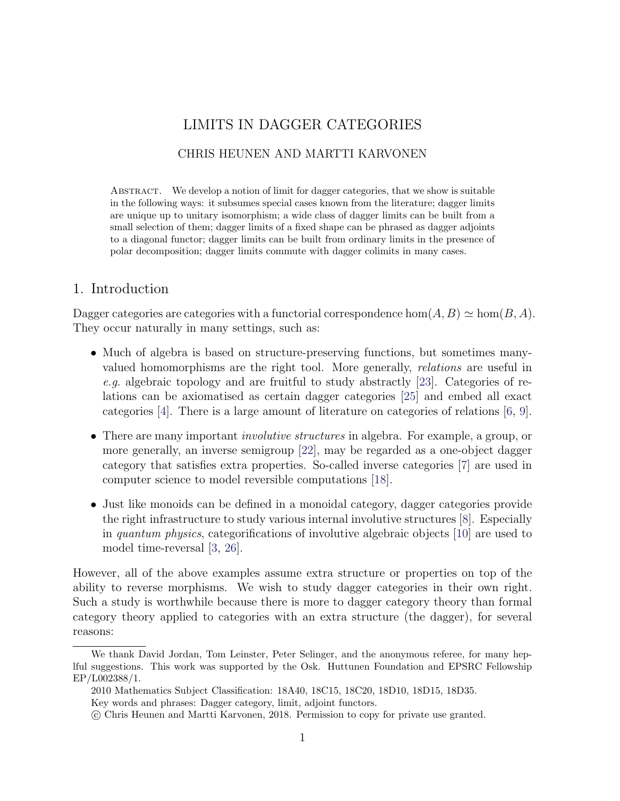# LIMITS IN DAGGER CATEGORIES

## CHRIS HEUNEN AND MARTTI KARVONEN

Abstract. We develop a notion of limit for dagger categories, that we show is suitable in the following ways: it subsumes special cases known from the literature; dagger limits are unique up to unitary isomorphism; a wide class of dagger limits can be built from a small selection of them; dagger limits of a fixed shape can be phrased as dagger adjoints to a diagonal functor; dagger limits can be built from ordinary limits in the presence of polar decomposition; dagger limits commute with dagger colimits in many cases.

# 1. Introduction

Dagger categories are categories with a functorial correspondence hom $(A, B) \simeq \text{hom}(B, A)$ . They occur naturally in many settings, such as:

- Much of algebra is based on structure-preserving functions, but sometimes manyvalued homomorphisms are the right tool. More generally, relations are useful in e.g. algebraic topology and are fruitful to study abstractly [\[23\]](#page-45-0). Categories of relations can be axiomatised as certain dagger categories [\[25\]](#page-45-1) and embed all exact categories [\[4\]](#page-44-0). There is a large amount of literature on categories of relations [\[6,](#page-44-1) [9\]](#page-44-2).
- There are many important *involutive structures* in algebra. For example, a group, or more generally, an inverse semigroup [\[22\]](#page-45-2), may be regarded as a one-object dagger category that satisfies extra properties. So-called inverse categories [\[7\]](#page-44-3) are used in computer science to model reversible computations [\[18\]](#page-45-3).
- Just like monoids can be defined in a monoidal category, dagger categories provide the right infrastructure to study various internal involutive structures [\[8\]](#page-44-4). Especially in quantum physics, categorifications of involutive algebraic objects [\[10\]](#page-44-5) are used to model time-reversal [\[3,](#page-44-6) [26\]](#page-45-4).

However, all of the above examples assume extra structure or properties on top of the ability to reverse morphisms. We wish to study dagger categories in their own right. Such a study is worthwhile because there is more to dagger category theory than formal category theory applied to categories with an extra structure (the dagger), for several reasons:

We thank David Jordan, Tom Leinster, Peter Selinger, and the anonymous referee, for many heplful suggestions. This work was supported by the Osk. Huttunen Foundation and EPSRC Fellowship EP/L002388/1.

<sup>2010</sup> Mathematics Subject Classification: 18A40, 18C15, 18C20, 18D10, 18D15, 18D35.

Key words and phrases: Dagger category, limit, adjoint functors.

c Chris Heunen and Martti Karvonen, 2018. Permission to copy for private use granted.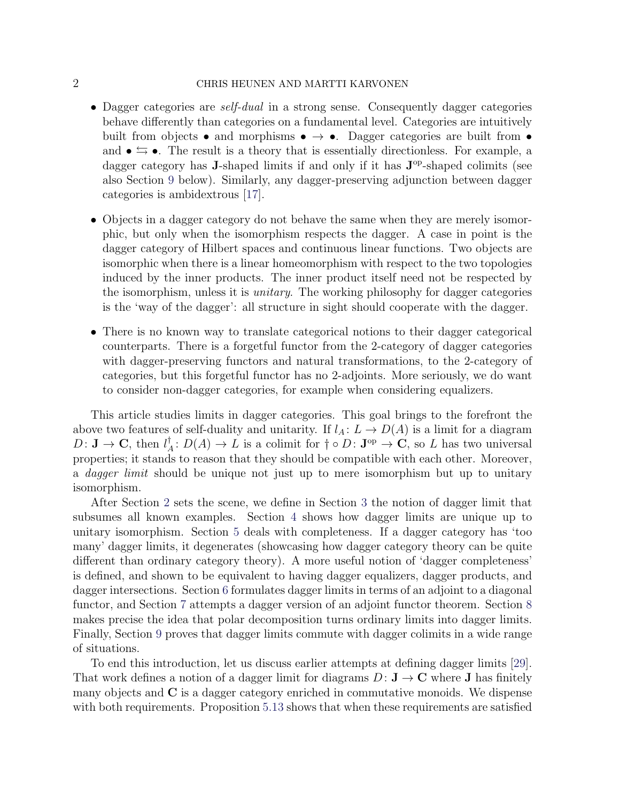### 2 CHRIS HEUNEN AND MARTTI KARVONEN

- Dagger categories are *self-dual* in a strong sense. Consequently dagger categories behave differently than categories on a fundamental level. Categories are intuitively built from objects • and morphisms •  $\rightarrow \bullet$ . Dagger categories are built from • and  $\bullet \leftrightarrows \bullet$ . The result is a theory that is essentially directionless. For example, a dagger category has **J**-shaped limits if and only if it has  $J^{\text{op}}$ -shaped colimits (see also Section [9](#page-36-0) below). Similarly, any dagger-preserving adjunction between dagger categories is ambidextrous [\[17\]](#page-45-5).
- Objects in a dagger category do not behave the same when they are merely isomorphic, but only when the isomorphism respects the dagger. A case in point is the dagger category of Hilbert spaces and continuous linear functions. Two objects are isomorphic when there is a linear homeomorphism with respect to the two topologies induced by the inner products. The inner product itself need not be respected by the isomorphism, unless it is unitary. The working philosophy for dagger categories is the 'way of the dagger': all structure in sight should cooperate with the dagger.
- There is no known way to translate categorical notions to their dagger categorical counterparts. There is a forgetful functor from the 2-category of dagger categories with dagger-preserving functors and natural transformations, to the 2-category of categories, but this forgetful functor has no 2-adjoints. More seriously, we do want to consider non-dagger categories, for example when considering equalizers.

This article studies limits in dagger categories. This goal brings to the forefront the above two features of self-duality and unitarity. If  $l_A: L \to D(A)$  is a limit for a diagram  $D: \mathbf{J} \to \mathbf{C}$ , then  $l^{\dagger}_{\neq}$  $A^{\dagger}: D(A) \to L$  is a colimit for  $\dagger \circ D: \mathbf{J}^{\mathrm{op}} \to \mathbf{C}$ , so L has two universal properties; it stands to reason that they should be compatible with each other. Moreover, a *dagger limit* should be unique not just up to mere isomorphism but up to unitary isomorphism.

After Section [2](#page-2-0) sets the scene, we define in Section [3](#page-6-0) the notion of dagger limit that subsumes all known examples. Section [4](#page-11-0) shows how dagger limits are unique up to unitary isomorphism. Section [5](#page-18-0) deals with completeness. If a dagger category has 'too many' dagger limits, it degenerates (showcasing how dagger category theory can be quite different than ordinary category theory). A more useful notion of 'dagger completeness' is defined, and shown to be equivalent to having dagger equalizers, dagger products, and dagger intersections. Section [6](#page-23-0) formulates dagger limits in terms of an adjoint to a diagonal functor, and Section [7](#page-26-0) attempts a dagger version of an adjoint functor theorem. Section [8](#page-28-0) makes precise the idea that polar decomposition turns ordinary limits into dagger limits. Finally, Section [9](#page-36-0) proves that dagger limits commute with dagger colimits in a wide range of situations.

To end this introduction, let us discuss earlier attempts at defining dagger limits [\[29\]](#page-45-6). That work defines a notion of a dagger limit for diagrams  $D: \mathbf{J} \to \mathbf{C}$  where **J** has finitely many objects and C is a dagger category enriched in commutative monoids. We dispense with both requirements. Proposition [5.13](#page-22-0) shows that when these requirements are satisfied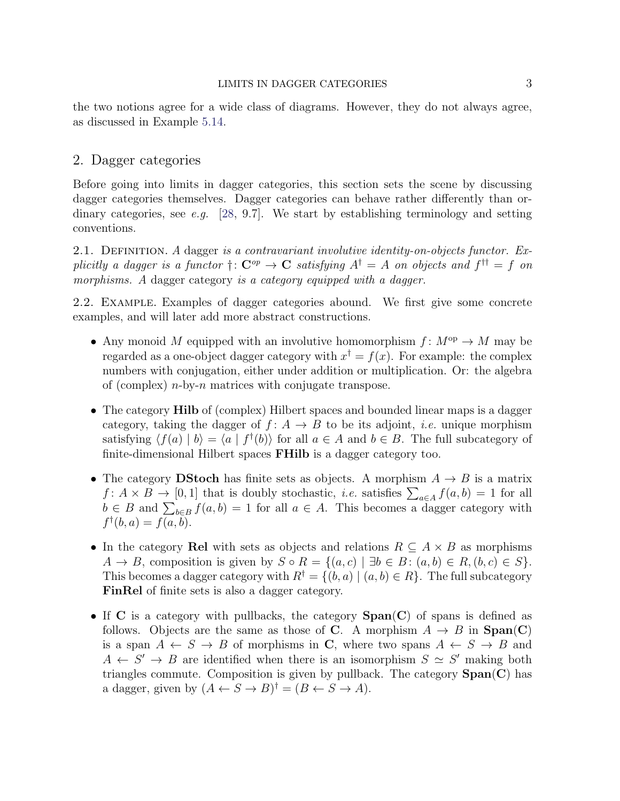the two notions agree for a wide class of diagrams. However, they do not always agree, as discussed in Example [5.14.](#page-23-1)

## <span id="page-2-0"></span>2. Dagger categories

Before going into limits in dagger categories, this section sets the scene by discussing dagger categories themselves. Dagger categories can behave rather differently than ordinary categories, see e.g.  $[28, 9.7]$  $[28, 9.7]$ . We start by establishing terminology and setting conventions.

2.1. DEFINITION. A dagger is a contravariant involutive identity-on-objects functor. Explicitly a dagger is a functor  $\dagger: \mathbf{C}^{op} \to \mathbf{C}$  satisfying  $A^{\dagger} = A$  on objects and  $f^{\dagger \dagger} = f$  on morphisms. A dagger category is a category equipped with a dagger.

2.2. Example. Examples of dagger categories abound. We first give some concrete examples, and will later add more abstract constructions.

- Any monoid M equipped with an involutive homomorphism  $f: M^{\text{op}} \to M$  may be regarded as a one-object dagger category with  $x^{\dagger} = f(x)$ . For example: the complex numbers with conjugation, either under addition or multiplication. Or: the algebra of (complex)  $n$ -by- $n$  matrices with conjugate transpose.
- The category **Hilb** of (complex) Hilbert spaces and bounded linear maps is a dagger category, taking the dagger of  $f: A \rightarrow B$  to be its adjoint, *i.e.* unique morphism satisfying  $\langle f(a) | b \rangle = \langle a | f^{\dagger}(b) \rangle$  for all  $a \in A$  and  $b \in B$ . The full subcategory of finite-dimensional Hilbert spaces **FHilb** is a dagger category too.
- The category DStoch has finite sets as objects. A morphism  $A \rightarrow B$  is a matrix  $f: A \times B \to [0,1]$  that is doubly stochastic, *i.e.* satisfies  $\sum_{a \in A} f(a,b) = 1$  for all  $b \in B$  and  $\sum_{b \in B} f(a, b) = 1$  for all  $a \in A$ . This becomes a dagger category with  $f^{\dagger}(b, a) = f(a, b).$
- In the category Rel with sets as objects and relations  $R \subseteq A \times B$  as morphisms  $A \to B$ , composition is given by  $S \circ R = \{(a, c) \mid \exists b \in B : (a, b) \in R, (b, c) \in S\}.$ This becomes a dagger category with  $R^{\dagger} = \{(b, a) | (a, b) \in R\}$ . The full subcategory FinRel of finite sets is also a dagger category.
- If C is a category with pullbacks, the category  $Span(C)$  of spans is defined as follows. Objects are the same as those of C. A morphism  $A \rightarrow B$  in  $Span(C)$ is a span  $A \leftarrow S \rightarrow B$  of morphisms in C, where two spans  $A \leftarrow S \rightarrow B$  and  $A \leftarrow S' \rightarrow B$  are identified when there is an isomorphism  $S \simeq S'$  making both triangles commute. Composition is given by pullback. The category  $Span(C)$  has a dagger, given by  $(A \leftarrow S \rightarrow B)^{\dagger} = (B \leftarrow S \rightarrow A)$ .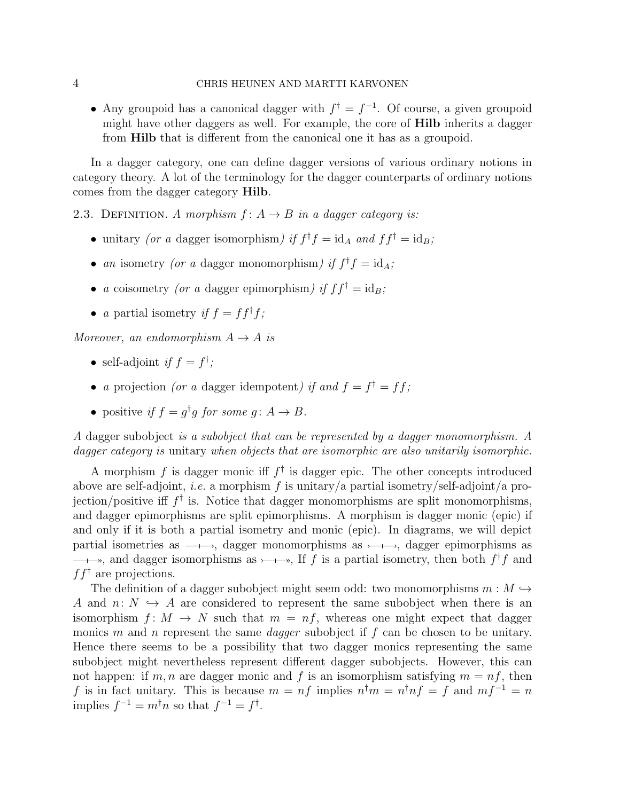#### 4 CHRIS HEUNEN AND MARTTI KARVONEN

• Any groupoid has a canonical dagger with  $f^{\dagger} = f^{-1}$ . Of course, a given groupoid might have other daggers as well. For example, the core of Hilb inherits a dagger from Hilb that is different from the canonical one it has as a groupoid.

In a dagger category, one can define dagger versions of various ordinary notions in category theory. A lot of the terminology for the dagger counterparts of ordinary notions comes from the dagger category Hilb.

2.3. DEFINITION. A morphism  $f: A \rightarrow B$  in a dagger category is:

- unitary (or a dagger isomorphism) if  $f^{\dagger} f = id_A$  and  $f f^{\dagger} = id_B$ ;
- an isometry (or a dagger monomorphism) if  $f^{\dagger} f = id_A$ ;
- a coisometry (or a dagger epimorphism) if  $ff^{\dagger} = id_B$ ;
- a partial isometry if  $f = ff^{\dagger}f$ ;

Moreover, an endomorphism  $A \rightarrow A$  is

- self-adjoint if  $f = f^{\dagger}$ ;
- a projection (or a dagger idempotent) if and  $f = f^{\dagger} = ff$ ;
- positive if  $f = g^{\dagger}g$  for some  $g: A \to B$ .

A dagger subobject is a subobject that can be represented by a dagger monomorphism. A dagger category is unitary when objects that are isomorphic are also unitarily isomorphic.

A morphism f is dagger monic iff  $f^{\dagger}$  is dagger epic. The other concepts introduced above are self-adjoint, *i.e.* a morphism f is unitary/a partial isometry/self-adjoint/a projection/positive iff  $f^{\dagger}$  is. Notice that dagger monomorphisms are split monomorphisms, and dagger epimorphisms are split epimorphisms. A morphism is dagger monic (epic) if and only if it is both a partial isometry and monic (epic). In diagrams, we will depict partial isometries as  $\longrightarrow$ , dagger monomorphisms as  $\longmapsto$ , dagger epimorphisms as , and dagger isomorphisms as  $\rightarrow \rightarrow$ , If f is a partial isometry, then both  $f^{\dagger}f$  and  $f f^{\dagger}$  are projections.

The definition of a dagger subobject might seem odd: two monomorphisms  $m : M \hookrightarrow$ A and  $n: N \hookrightarrow A$  are considered to represent the same subobject when there is an isomorphism  $f: M \to N$  such that  $m = nf$ , whereas one might expect that dagger monics m and n represent the same *dagger* subobject if f can be chosen to be unitary. Hence there seems to be a possibility that two dagger monics representing the same subobject might nevertheless represent different dagger subobjects. However, this can not happen: if m, n are dagger monic and f is an isomorphism satisfying  $m = nf$ , then f is in fact unitary. This is because  $m = nf$  implies  $n^{\dagger}m = n^{\dagger}nf = f$  and  $mf^{-1} = n$ implies  $f^{-1} = m^{\dagger} n$  so that  $f^{-1} = f^{\dagger}$ .

$$
\overline{4}
$$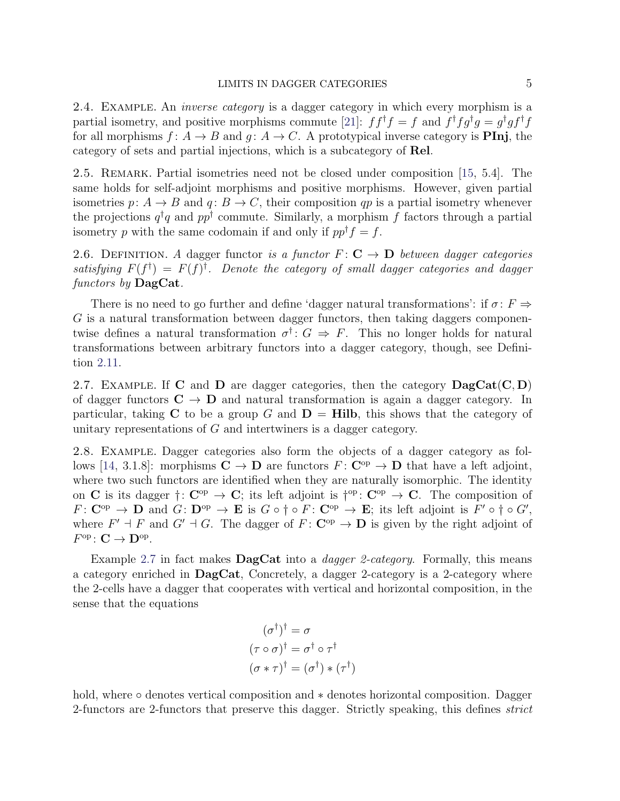2.4. Example. An inverse category is a dagger category in which every morphism is a partial isometry, and positive morphisms commute [\[21\]](#page-45-8):  $ff^{\dagger}f = f$  and  $f^{\dagger}fg^{\dagger}g = g^{\dagger}gf^{\dagger}f$ for all morphisms  $f: A \to B$  and  $g: A \to C$ . A prototypical inverse category is **PInj**, the category of sets and partial injections, which is a subcategory of Rel.

<span id="page-4-1"></span>2.5. REMARK. Partial isometries need not be closed under composition [\[15,](#page-44-7) 5.4]. The same holds for self-adjoint morphisms and positive morphisms. However, given partial isometries p:  $A \rightarrow B$  and  $q: B \rightarrow C$ , their composition qp is a partial isometry whenever the projections  $q^{\dagger}q$  and  $pp^{\dagger}$  commute. Similarly, a morphism f factors through a partial isometry p with the same codomain if and only if  $pp^{\dagger} f = f$ .

2.6. DEFINITION. A dagger functor is a functor  $F: \mathbf{C} \to \mathbf{D}$  between dagger categories satisfying  $F(f^{\dagger}) = F(f)^{\dagger}$ . Denote the category of small dagger categories and dagger functors by  $\text{DagCat}.$ 

There is no need to go further and define 'dagger natural transformations': if  $\sigma: F \Rightarrow$ G is a natural transformation between dagger functors, then taking daggers componentwise defines a natural transformation  $\sigma^{\dagger}$ :  $G \Rightarrow F$ . This no longer holds for natural transformations between arbitrary functors into a dagger category, though, see Definition [2.11.](#page-5-0)

<span id="page-4-0"></span>2.7. EXAMPLE. If C and D are dagger categories, then the category  $\text{DagCat}(C, D)$ of dagger functors  $C \rightarrow D$  and natural transformation is again a dagger category. In particular, taking C to be a group G and  $D = Hilb$ , this shows that the category of unitary representations of G and intertwiners is a dagger category.

2.8. Example. Dagger categories also form the objects of a dagger category as fol-lows [\[14,](#page-44-8) 3.1.8]: morphisms  $C \to D$  are functors  $F: C^{op} \to D$  that have a left adjoint, where two such functors are identified when they are naturally isomorphic. The identity on C is its dagger  $\dagger: \mathbb{C}^{op} \to \mathbb{C}$ ; its left adjoint is  $\dagger^{op}: \mathbb{C}^{op} \to \mathbb{C}$ . The composition of  $F: \mathbf{C}^{\mathrm{op}} \to \mathbf{D}$  and  $G: \mathbf{D}^{\mathrm{op}} \to \mathbf{E}$  is  $G \circ \dagger \circ F: \mathbf{C}^{\mathrm{op}} \to \mathbf{E}$ ; its left adjoint is  $F' \circ \dagger \circ G'$ , where  $F' \dashv F$  and  $G' \dashv G$ . The dagger of  $F: \mathbf{C}^{\mathrm{op}} \to \mathbf{D}$  is given by the right adjoint of  $F^{\text{op}}\colon \mathbf{C}\to \mathbf{D}^{\text{op}}.$ 

Example [2.7](#page-4-0) in fact makes **DagCat** into a *dagger 2-category*. Formally, this means a category enriched in DagCat, Concretely, a dagger 2-category is a 2-category where the 2-cells have a dagger that cooperates with vertical and horizontal composition, in the sense that the equations

$$
(\sigma^{\dagger})^{\dagger} = \sigma
$$

$$
(\tau \circ \sigma)^{\dagger} = \sigma^{\dagger} \circ \tau^{\dagger}
$$

$$
(\sigma * \tau)^{\dagger} = (\sigma^{\dagger}) * (\tau^{\dagger})
$$

hold, where ◦ denotes vertical composition and ∗ denotes horizontal composition. Dagger 2-functors are 2-functors that preserve this dagger. Strictly speaking, this defines *strict*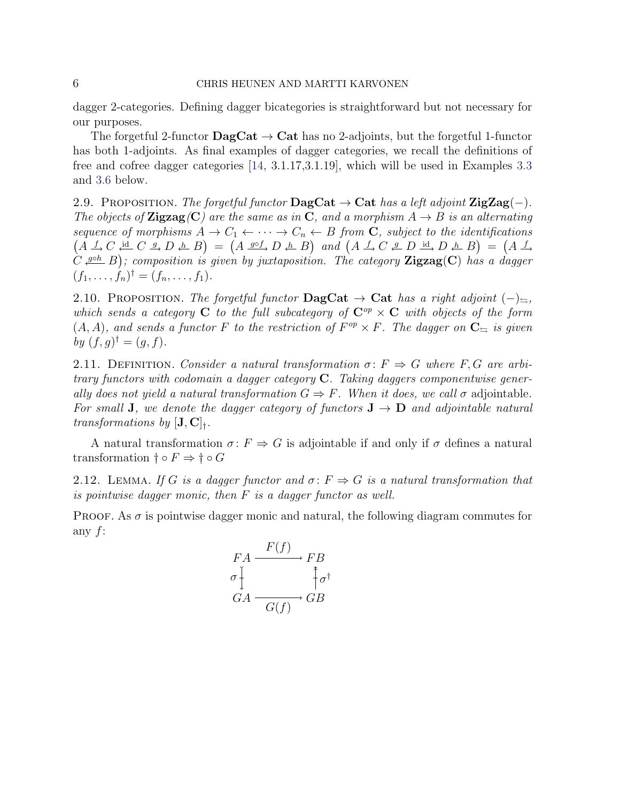dagger 2-categories. Defining dagger bicategories is straightforward but not necessary for our purposes.

The forgetful 2-functor  $\text{DagCat} \rightarrow \text{Cat}$  has no 2-adjoints, but the forgetful 1-functor has both 1-adjoints. As final examples of dagger categories, we recall the definitions of free and cofree dagger categories [\[14,](#page-44-8) 3.1.17,3.1.19], which will be used in Examples [3.3](#page-8-0) and [3.6](#page-10-0) below.

<span id="page-5-1"></span>2.9. PROPOSITION. The forgetful functor  $\text{DagCat} \rightarrow \text{Cat}$  has a left adjoint  $\text{ZigZag}(-)$ . The objects of **Zigzag**(C) are the same as in C, and a morphism  $A \rightarrow B$  is an alternating sequence of morphisms  $A \to C_1 \leftarrow \cdots \to C_n \leftarrow B$  from **C**, subject to the identifications  $(A \rvert A \rvert C \rvert \rvert A \rvert C \rvert B \rvert D \rvert A \rvert B) = (A \rvert \rvert B \rvert D \rvert A \rvert B)$  and  $(A \rvert A \rvert C \rvert A \rvert D \rvert A \rvert D \rvert A \rvert B) = (A \rvert A \rvert D \rvert A \rvert D \rvert B)$  $(C \xrightarrow{g \circ h} B)$ ; composition is given by juxtaposition. The category **Zigzag(C)** has a dagger  $(f_1, \ldots, f_n)^{\dagger} = (f_n, \ldots, f_1).$ 

<span id="page-5-2"></span>2.10. PROPOSITION. The forgetful functor  $\text{DagCat} \rightarrow \text{Cat}$  has a right adjoint  $(-)_{\leq}$ , which sends a category C to the full subcategory of  $\mathbb{C}^{op} \times \mathbb{C}$  with objects of the form  $(A, A)$ , and sends a functor F to the restriction of  $F^{op} \times F$ . The dagger on  $\mathbb{C}_{\rightrightarrows}$  is given by  $(f, g)^{\dagger} = (g, f)$ .

<span id="page-5-0"></span>2.11. DEFINITION. Consider a natural transformation  $\sigma: F \Rightarrow G$  where F, G are arbitrary functors with codomain a dagger category C. Taking daggers componentwise generally does not yield a natural transformation  $G \Rightarrow F$ . When it does, we call  $\sigma$  adjointable. For small **J**, we denote the dagger category of functors  $J \rightarrow D$  and adjointable natural transformations by  $[J, C]_+.$ 

A natural transformation  $\sigma: F \Rightarrow G$  is adjointable if and only if  $\sigma$  defines a natural transformation  $\dagger \circ F \Rightarrow \dagger \circ G$ 

<span id="page-5-3"></span>2.12. LEMMA. If G is a dagger functor and  $\sigma: F \Rightarrow G$  is a natural transformation that is pointwise dagger monic, then  $F$  is a dagger functor as well.

PROOF. As  $\sigma$  is pointwise dagger monic and natural, the following diagram commutes for any  $f$ :

$$
FA \xrightarrow{F(f)} FB
$$
  
\n
$$
G A \xrightarrow{G(f)} GB
$$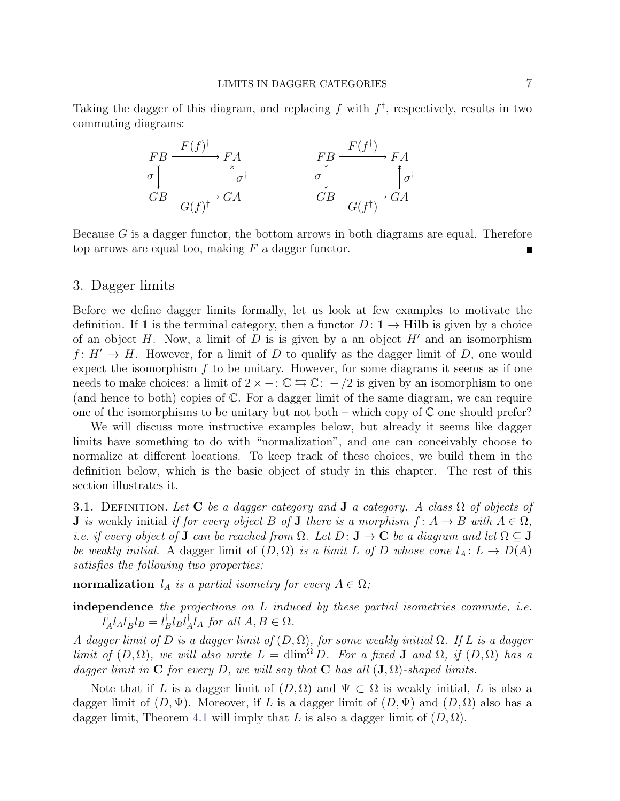Taking the dagger of this diagram, and replacing f with  $f^{\dagger}$ , respectively, results in two commuting diagrams:



Because  $G$  is a dagger functor, the bottom arrows in both diagrams are equal. Therefore top arrows are equal too, making  $F$  a dagger functor.

## <span id="page-6-0"></span>3. Dagger limits

Before we define dagger limits formally, let us look at few examples to motivate the definition. If 1 is the terminal category, then a functor  $D: \mathbf{1} \to \mathbf{Hilb}$  is given by a choice of an object H. Now, a limit of D is is given by a an object  $H'$  and an isomorphism  $f: H' \to H$ . However, for a limit of D to qualify as the dagger limit of D, one would expect the isomorphism  $f$  to be unitary. However, for some diagrams it seems as if one needs to make choices: a limit of  $2 \times -\colon \mathbb{C} \leftrightarrows \mathbb{C}$ :  $- /2$  is given by an isomorphism to one (and hence to both) copies of C. For a dagger limit of the same diagram, we can require one of the isomorphisms to be unitary but not both – which copy of  $\mathbb C$  one should prefer?

We will discuss more instructive examples below, but already it seems like dagger limits have something to do with "normalization", and one can conceivably choose to normalize at different locations. To keep track of these choices, we build them in the definition below, which is the basic object of study in this chapter. The rest of this section illustrates it.

<span id="page-6-1"></span>3.1. DEFINITION. Let C be a dagger category and **J** a category. A class  $\Omega$  of objects of **J** is weakly initial if for every object B of **J** there is a morphism  $f: A \rightarrow B$  with  $A \in \Omega$ , i.e. if every object of **J** can be reached from  $\Omega$ . Let  $D: \mathbf{J} \to \mathbf{C}$  be a diagram and let  $\Omega \subseteq \mathbf{J}$ be weakly initial. A dagger limit of  $(D, \Omega)$  is a limit L of D whose cone  $l_A: L \to D(A)$ satisfies the following two properties:

normalization  $l_A$  is a partial isometry for every  $A \in \Omega$ ;

independence the projections on L induced by these partial isometries commute, *i.e.*  $l^{\dagger}_{\;\;\ell}$  $^{\dagger}_{A}l_{A}l_{B}^{\dagger}$  ${}^{\dagger}_{B}l_{B}=l^{\dagger}_{B}$  $_{B}^{\dagger}l_{B}l_{\neq}^{\dagger}$  $_A^{\dagger} l_A$  for all  $A, B \in \Omega$ .

A dagger limit of D is a dagger limit of  $(D, \Omega)$ , for some weakly initial  $\Omega$ . If L is a dagger limit of  $(D, \Omega)$ , we will also write  $L = \dim^{\Omega} D$ . For a fixed **J** and  $\Omega$ , if  $(D, \Omega)$  has a dagger limit in C for every D, we will say that C has all  $(J, \Omega)$ -shaped limits.

Note that if L is a dagger limit of  $(D, \Omega)$  and  $\Psi \subset \Omega$  is weakly initial, L is also a dagger limit of  $(D, \Psi)$ . Moreover, if L is a dagger limit of  $(D, \Psi)$  and  $(D, \Omega)$  also has a dagger limit, Theorem [4.1](#page-11-1) will imply that L is also a dagger limit of  $(D, \Omega)$ .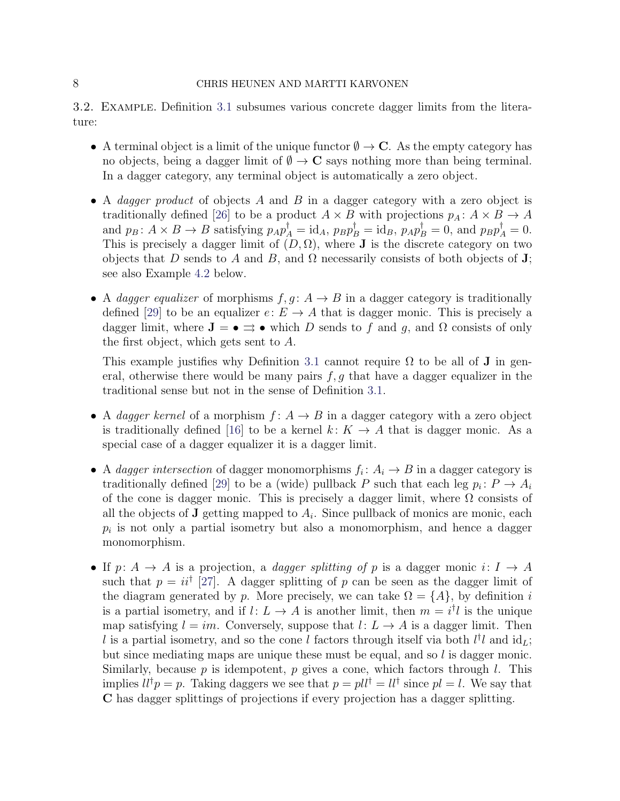<span id="page-7-0"></span>3.2. Example. Definition [3.1](#page-6-1) subsumes various concrete dagger limits from the literature:

- A terminal object is a limit of the unique functor  $\emptyset \to \mathbb{C}$ . As the empty category has no objects, being a dagger limit of  $\emptyset \to \mathbb{C}$  says nothing more than being terminal. In a dagger category, any terminal object is automatically a zero object.
- A *dagger product* of objects A and B in a dagger category with a zero object is traditionally defined [\[26\]](#page-45-4) to be a product  $A \times B$  with projections  $p_A: A \times B \to A$ and  $p_B: A \times B \to B$  satisfying  $p_A p_A^{\dagger} = id_A$ ,  $p_B p_B^{\dagger} = id_B$ ,  $p_A p_B^{\dagger} = 0$ , and  $p_B p_A^{\dagger} = 0$ . This is precisely a dagger limit of  $(D, \Omega)$ , where **J** is the discrete category on two objects that D sends to A and B, and  $\Omega$  necessarily consists of both objects of J; see also Example [4.2](#page-12-0) below.
- A dagger equalizer of morphisms  $f, g : A \rightarrow B$  in a dagger category is traditionally defined [\[29\]](#page-45-6) to be an equalizer  $e: E \to A$  that is dagger monic. This is precisely a dagger limit, where  $J = \bullet \rightrightarrows \bullet$  which D sends to f and g, and  $\Omega$  consists of only the first object, which gets sent to A.

This example justifies why Definition [3.1](#page-6-1) cannot require  $\Omega$  to be all of **J** in general, otherwise there would be many pairs  $f, g$  that have a dagger equalizer in the traditional sense but not in the sense of Definition [3.1.](#page-6-1)

- A dagger kernel of a morphism  $f: A \rightarrow B$  in a dagger category with a zero object is traditionally defined [\[16\]](#page-45-9) to be a kernel  $k: K \to A$  that is dagger monic. As a special case of a dagger equalizer it is a dagger limit.
- A dagger intersection of dagger monomorphisms  $f_i: A_i \to B$  in a dagger category is traditionally defined [\[29\]](#page-45-6) to be a (wide) pullback P such that each leg  $p_i: P \to A_i$ of the cone is dagger monic. This is precisely a dagger limit, where  $\Omega$  consists of all the objects of **J** getting mapped to  $A_i$ . Since pullback of monics are monic, each  $p_i$  is not only a partial isometry but also a monomorphism, and hence a dagger monomorphism.
- If  $p: A \to A$  is a projection, a *dagger splitting of* p is a dagger monic  $i: I \to A$ such that  $p = ii^{\dagger}$  [\[27\]](#page-45-10). A dagger splitting of p can be seen as the dagger limit of the diagram generated by p. More precisely, we can take  $\Omega = \{A\}$ , by definition i is a partial isometry, and if  $l: L \to A$  is another limit, then  $m = i^{\dagger}l$  is the unique map satisfying  $l = im$ . Conversely, suppose that  $l: L \rightarrow A$  is a dagger limit. Then l is a partial isometry, and so the cone l factors through itself via both  $l^{\dagger}l$  and  $\mathrm{id}_L$ ; but since mediating maps are unique these must be equal, and so  $l$  is dagger monic. Similarly, because p is idempotent, p gives a cone, which factors through  $l$ . This implies  $ll^{\dagger} p = p$ . Taking daggers we see that  $p = pll^{\dagger} = ll^{\dagger}$  since  $pl = l$ . We say that C has dagger splittings of projections if every projection has a dagger splitting.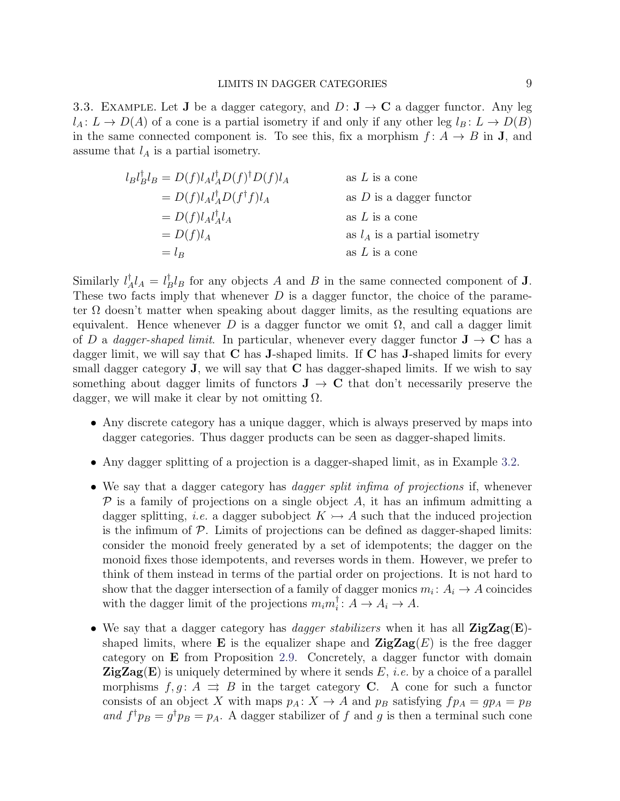<span id="page-8-0"></span>3.3. EXAMPLE. Let **J** be a dagger category, and  $D: \mathbf{J} \to \mathbf{C}$  a dagger functor. Any leg  $l_A: L \to D(A)$  of a cone is a partial isometry if and only if any other leg  $l_B: L \to D(B)$ in the same connected component is. To see this, fix a morphism  $f: A \rightarrow B$  in **J**, and assume that  $l_A$  is a partial isometry.

$$
l_B l_B^{\dagger} l_B = D(f) l_A l_A^{\dagger} D(f)^{\dagger} D(f) l_A
$$
as *L* is a cone  
\n
$$
= D(f) l_A l_A^{\dagger} D(f^{\dagger} f) l_A
$$
as *D* is a danger functor  
\n
$$
= D(f) l_A l_A^{\dagger} l_A
$$
as *L* is a cone  
\nas *L* is a cone  
\nas *l\_A* is a partial isometry  
\n
$$
= l_B
$$
as *L* is a cone

Similarly  $l^{\dagger}_{\neq}$  ${}^{\dagger}_{A}l_{A} = l^{\dagger}_{B}$  $B^{\dagger}$ l<sub>B</sub> for any objects A and B in the same connected component of **J**. These two facts imply that whenever  $D$  is a dagger functor, the choice of the parameter  $\Omega$  doesn't matter when speaking about dagger limits, as the resulting equations are equivalent. Hence whenever D is a dagger functor we omit  $\Omega$ , and call a dagger limit of D a dagger-shaped limit. In particular, whenever every dagger functor  $J \rightarrow C$  has a dagger limit, we will say that  $C$  has **J**-shaped limits. If  $C$  has **J**-shaped limits for every small dagger category  $J$ , we will say that  $C$  has dagger-shaped limits. If we wish to say something about dagger limits of functors  $J \rightarrow C$  that don't necessarily preserve the dagger, we will make it clear by not omitting  $\Omega$ .

- Any discrete category has a unique dagger, which is always preserved by maps into dagger categories. Thus dagger products can be seen as dagger-shaped limits.
- Any dagger splitting of a projection is a dagger-shaped limit, as in Example [3.2.](#page-7-0)
- We say that a dagger category has *dagger split infima of projections* if, whenever  $\mathcal P$  is a family of projections on a single object A, it has an infimum admitting a dagger splitting, *i.e.* a dagger subobject  $K \rightarrow A$  such that the induced projection is the infimum of  $P$ . Limits of projections can be defined as dagger-shaped limits: consider the monoid freely generated by a set of idempotents; the dagger on the monoid fixes those idempotents, and reverses words in them. However, we prefer to think of them instead in terms of the partial order on projections. It is not hard to show that the dagger intersection of a family of dagger monics  $m_i: A_i \to A$  coincides with the dagger limit of the projections  $m_i m_i^{\dagger}$  $i : A \to A_i \to A.$
- We say that a dagger category has *dagger stabilizers* when it has all  $\mathbf{ZigZag}(E)$ shaped limits, where **E** is the equalizer shape and  $\mathbf{ZigZag}(E)$  is the free dagger category on E from Proposition [2.9.](#page-5-1) Concretely, a dagger functor with domain  $\mathbf{ZigZag}(E)$  is uniquely determined by where it sends E, *i.e.* by a choice of a parallel morphisms  $f, g: A \implies B$  in the target category **C**. A cone for such a functor consists of an object X with maps  $p_A: X \to A$  and  $p_B$  satisfying  $fp_A = gp_A = p_B$ and  $f^{\dagger}p_B = g^{\dagger}p_B = p_A$ . A dagger stabilizer of f and g is then a terminal such cone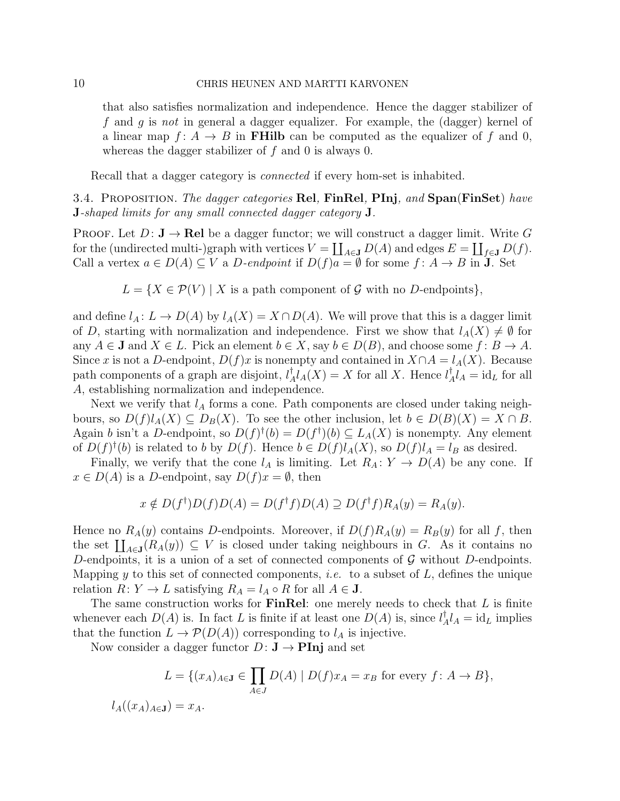that also satisfies normalization and independence. Hence the dagger stabilizer of f and g is not in general a dagger equalizer. For example, the (dagger) kernel of a linear map  $f: A \to B$  in **FHilb** can be computed as the equalizer of f and 0, whereas the dagger stabilizer of  $f$  and 0 is always 0.

Recall that a dagger category is *connected* if every hom-set is inhabited.

<span id="page-9-0"></span>3.4. PROPOSITION. The dagger categories Rel, FinRel, PInj, and Span(FinSet) have J-shaped limits for any small connected dagger category J.

**PROOF.** Let  $D: \mathbf{J} \to \mathbf{Rel}$  be a dagger functor; we will construct a dagger limit. Write G for the (undirected multi-)graph with vertices  $V = \coprod_{A \in \mathbf{J}} D(A)$  and edges  $E = \coprod_{f \in \mathbf{J}} D(f)$ . Call a vertex  $a \in D(A) \subseteq V$  a D-endpoint if  $D(f)a = \emptyset$  for some  $f: A \to B$  in **J**. Set

 $L = \{X \in \mathcal{P}(V) \mid X \text{ is a path component of } \mathcal{G} \text{ with no } D\text{-endpoints}\},\$ 

and define  $l_A: L \to D(A)$  by  $l_A(X) = X \cap D(A)$ . We will prove that this is a dagger limit of D, starting with normalization and independence. First we show that  $l_A(X) \neq \emptyset$  for any  $A \in \mathbf{J}$  and  $X \in L$ . Pick an element  $b \in X$ , say  $b \in D(B)$ , and choose some  $f: B \to A$ . Since x is not a D-endpoint,  $D(f)x$  is nonempty and contained in  $X \cap A = l_A(X)$ . Because path components of a graph are disjoint,  $l^{\dagger}_{\lambda}$  $^{\dagger}_{A}l_{A}(X) = X$  for all X. Hence  $l^{\dagger}_{A}$  $_{A}^{\dagger}l_{A} = id_{L}$  for all A, establishing normalization and independence.

Next we verify that  $l_A$  forms a cone. Path components are closed under taking neighbours, so  $D(f)l_A(X) \subseteq D_B(X)$ . To see the other inclusion, let  $b \in D(B)(X) = X \cap B$ . Again b isn't a D-endpoint, so  $D(f)^{\dagger}(b) = D(f^{\dagger})(b) \subseteq L_A(X)$  is nonempty. Any element of  $D(f)^{\dagger}(b)$  is related to b by  $D(f)$ . Hence  $b \in D(f)l_A(X)$ , so  $D(f)l_A = l_B$  as desired.

Finally, we verify that the cone  $l_A$  is limiting. Let  $R_A: Y \to D(A)$  be any cone. If  $x \in D(A)$  is a D-endpoint, say  $D(f)x = \emptyset$ , then

$$
x \notin D(f^{\dagger})D(f)D(A) = D(f^{\dagger}f)D(A) \supseteq D(f^{\dagger}f)R_{A}(y) = R_{A}(y).
$$

Hence no  $R_A(y)$  contains D-endpoints. Moreover, if  $D(f)R_A(y) = R_B(y)$  for all f, then the set  $\prod_{A\in\mathbf{J}}(R_A(y))\subseteq V$  is closed under taking neighbours in G. As it contains no D-endpoints, it is a union of a set of connected components of  $G$  without D-endpoints. Mapping y to this set of connected components, *i.e.* to a subset of  $L$ , defines the unique relation  $R: Y \to L$  satisfying  $R_A = l_A \circ R$  for all  $A \in J$ .

The same construction works for **FinRel**: one merely needs to check that  $L$  is finite whenever each  $D(A)$  is. In fact L is finite if at least one  $D(A)$  is, since  $l^{\dagger}_{A}$  $_{A}^{\dagger}l_{A} = id_{L}$  implies that the function  $L \to \mathcal{P}(D(A))$  corresponding to  $l_A$  is injective.

Now consider a dagger functor  $D: \mathbf{J} \to \mathbf{Pin}$  and set

$$
L = \{(x_A)_{A \in \mathbf{J}} \in \prod_{A \in J} D(A) \mid D(f)x_A = x_B \text{ for every } f \colon A \to B\},\
$$
  

$$
l_A((x_A)_{A \in \mathbf{J}}) = x_A.
$$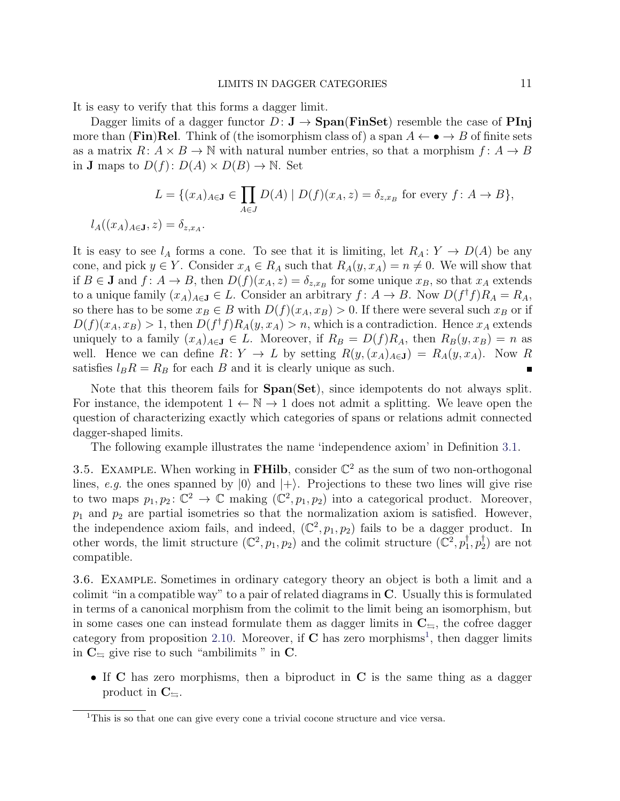It is easy to verify that this forms a dagger limit.

Dagger limits of a dagger functor  $D: \mathbf{J} \to \mathbf{Span}(\mathbf{FinSet})$  resemble the case of PInj more than (Fin)Rel. Think of (the isomorphism class of) a span  $A \leftarrow \bullet \rightarrow B$  of finite sets as a matrix  $R: A \times B \to \mathbb{N}$  with natural number entries, so that a morphism  $f: A \to B$ in **J** maps to  $D(f)$ :  $D(A) \times D(B) \rightarrow \mathbb{N}$ . Set

$$
L = \{(x_A)_{A \in \mathbf{J}} \in \prod_{A \in J} D(A) \mid D(f)(x_A, z) = \delta_{z, x_B} \text{ for every } f \colon A \to B\},\
$$

$$
l_A((x_A)_{A \in \mathbf{J}}, z) = \delta_{z, x_A}.
$$

It is easy to see  $l_A$  forms a cone. To see that it is limiting, let  $R_A: Y \to D(A)$  be any cone, and pick  $y \in Y$ . Consider  $x_A \in R_A$  such that  $R_A(y, x_A) = n \neq 0$ . We will show that if  $B \in \mathbf{J}$  and  $f: A \to B$ , then  $D(f)(x_A, z) = \delta_{z, x_B}$  for some unique  $x_B$ , so that  $x_A$  extends to a unique family  $(x_A)_{A \in \mathbf{J}} \in L$ . Consider an arbitrary  $f: A \to B$ . Now  $D(f^{\dagger} f) R_A = R_A$ , so there has to be some  $x_B \in B$  with  $D(f)(x_A, x_B) > 0$ . If there were several such  $x_B$  or if  $D(f)(x_A, x_B) > 1$ , then  $D(f^{\dagger} f)R_A(y, x_A) > n$ , which is a contradiction. Hence  $x_A$  extends uniquely to a family  $(x_A)_{A\in\mathbf{J}}\in L$ . Moreover, if  $R_B=D(f)R_A$ , then  $R_B(y,x_B)=n$  as well. Hence we can define  $R: Y \to L$  by setting  $R(y,(x_A)_{A\in J}) = R_A(y,x_A)$ . Now R satisfies  $l_B R = R_B$  for each B and it is clearly unique as such. Г

Note that this theorem fails for  $Span(Set)$ , since idempotents do not always split. For instance, the idempotent  $1 \leftarrow \mathbb{N} \rightarrow 1$  does not admit a splitting. We leave open the question of characterizing exactly which categories of spans or relations admit connected dagger-shaped limits.

The following example illustrates the name 'independence axiom' in Definition [3.1.](#page-6-1)

3.5. EXAMPLE. When working in FHilb, consider  $\mathbb{C}^2$  as the sum of two non-orthogonal lines, e.g. the ones spanned by  $|0\rangle$  and  $|+\rangle$ . Projections to these two lines will give rise to two maps  $p_1, p_2 \colon \mathbb{C}^2 \to \mathbb{C}$  making  $(\mathbb{C}^2, p_1, p_2)$  into a categorical product. Moreover,  $p_1$  and  $p_2$  are partial isometries so that the normalization axiom is satisfied. However, the independence axiom fails, and indeed,  $(\mathbb{C}^2, p_1, p_2)$  fails to be a dagger product. In other words, the limit structure  $(\mathbb{C}^2, p_1, p_2)$  and the colimit structure  $(\mathbb{C}^2, p_1^{\dagger})$  $_{1}^{\dagger},p_{2}^{\dagger}$  $_{2}^{\mathbb{T}}$ ) are not compatible.

<span id="page-10-0"></span>3.6. Example. Sometimes in ordinary category theory an object is both a limit and a colimit "in a compatible way" to a pair of related diagrams in C. Usually this is formulated in terms of a canonical morphism from the colimit to the limit being an isomorphism, but in some cases one can instead formulate them as dagger limits in  $C_{\pm}$ , the cofree dagger category from proposition [2.10.](#page-5-2) Moreover, if  $C$  has zero morphisms<sup>[1](#page-10-1)</sup>, then dagger limits in  $C_{\epsilon}$  give rise to such "ambilimits" in C.

• If C has zero morphisms, then a biproduct in C is the same thing as a dagger product in  $\mathbb{C}_{\subseteq}$ .

<span id="page-10-1"></span><sup>&</sup>lt;sup>1</sup>This is so that one can give every cone a trivial cocone structure and vice versa.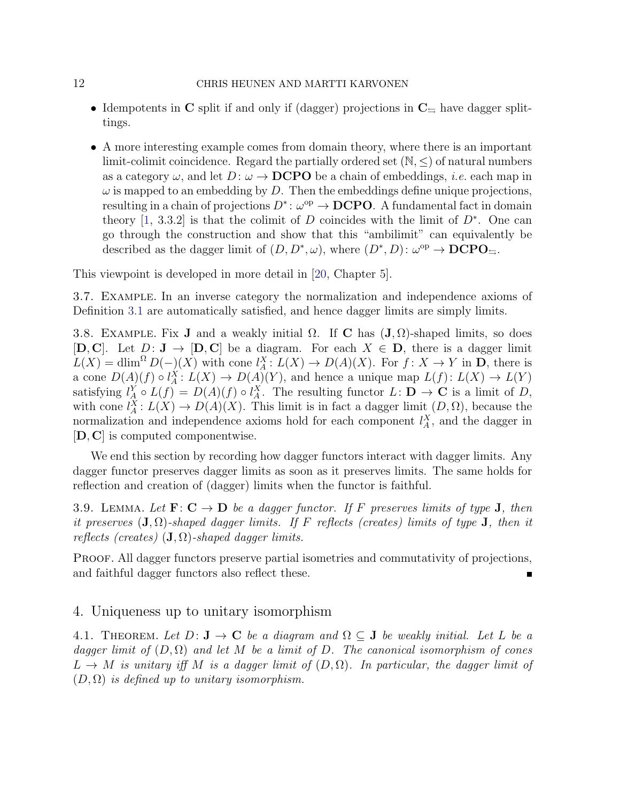### 12 CHRIS HEUNEN AND MARTTI KARVONEN

- Idempotents in C split if and only if (dagger) projections in  $C_{\pm}$  have dagger splittings.
- A more interesting example comes from domain theory, where there is an important limit-colimit coincidence. Regard the partially ordered set  $(N, \leq)$  of natural numbers as a category  $\omega$ , and let  $D: \omega \to \text{DCPO}$  be a chain of embeddings, *i.e.* each map in  $\omega$  is mapped to an embedding by D. Then the embeddings define unique projections, resulting in a chain of projections  $D^* \colon \omega^{\text{op}} \to \mathbf{DCPO}$ . A fundamental fact in domain theory [\[1,](#page-44-9) 3.3.2] is that the colimit of D coincides with the limit of  $D^*$ . One can go through the construction and show that this "ambilimit" can equivalently be described as the dagger limit of  $(D, D^*, \omega)$ , where  $(D^*, D)$ :  $\omega^{\rm op} \to \mathbf{DCPO}_{\Xi}$ .

This viewpoint is developed in more detail in [\[20,](#page-45-11) Chapter 5].

3.7. Example. In an inverse category the normalization and independence axioms of Definition [3.1](#page-6-1) are automatically satisfied, and hence dagger limits are simply limits.

3.8. EXAMPLE. Fix J and a weakly initial  $\Omega$ . If C has  $(\mathbf{J}, \Omega)$ -shaped limits, so does [D, C]. Let  $D: \mathbf{J} \to [\mathbf{D}, \mathbf{C}]$  be a diagram. For each  $X \in \mathbf{D}$ , there is a dagger limit  $L(X) = \dim^{\Omega} D(-)(X)$  with cone  $l_A^X: L(X) \to D(A)(X)$ . For  $f: X \to Y$  in **D**, there is a cone  $D(A)(f) \circ l_A^X \colon L(X) \to D(A)(Y)$ , and hence a unique map  $L(f) \colon L(X) \to L(Y)$ satisfying  $l_A^Y \circ L(f) = D(A)(f) \circ l_A^X$ . The resulting functor  $L: \mathbf{D} \to \mathbf{C}$  is a limit of D, with cone  $l_A^X: L(X) \to D(A)(X)$ . This limit is in fact a dagger limit  $(D, \Omega)$ , because the normalization and independence axioms hold for each component  $l_A^X$ , and the dagger in [D, C] is computed componentwise.

We end this section by recording how dagger functors interact with dagger limits. Any dagger functor preserves dagger limits as soon as it preserves limits. The same holds for reflection and creation of (dagger) limits when the functor is faithful.

3.9. LEMMA. Let  $\mathbf{F} : \mathbf{C} \to \mathbf{D}$  be a dagger functor. If F preserves limits of type **J**, then it preserves  $(J, \Omega)$ -shaped dagger limits. If F reflects (creates) limits of type **J**, then it reflects (creates)  $(\mathbf{J}, \Omega)$ -shaped dagger limits.

PROOF. All dagger functors preserve partial isometries and commutativity of projections, and faithful dagger functors also reflect these.

## <span id="page-11-0"></span>4. Uniqueness up to unitary isomorphism

<span id="page-11-1"></span>4.1. THEOREM. Let  $D: \mathbf{J} \to \mathbf{C}$  be a diagram and  $\Omega \subseteq \mathbf{J}$  be weakly initial. Let L be a dagger limit of  $(D, \Omega)$  and let M be a limit of D. The canonical isomorphism of cones  $L \to M$  is unitary iff M is a dagger limit of  $(D, \Omega)$ . In particular, the dagger limit of  $(D, \Omega)$  is defined up to unitary isomorphism.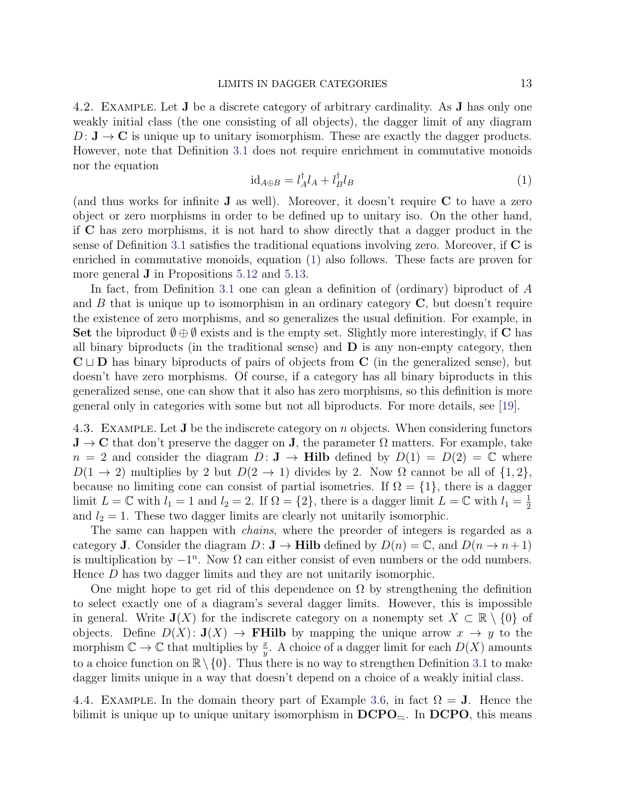<span id="page-12-0"></span>4.2. Example. Let J be a discrete category of arbitrary cardinality. As J has only one weakly initial class (the one consisting of all objects), the dagger limit of any diagram  $D: \mathbf{J} \to \mathbf{C}$  is unique up to unitary isomorphism. These are exactly the dagger products. However, note that Definition [3.1](#page-6-1) does not require enrichment in commutative monoids nor the equation

<span id="page-12-1"></span>
$$
id_{A\oplus B} = l_A^{\dagger} l_A + l_B^{\dagger} l_B \tag{1}
$$

(and thus works for infinite J as well). Moreover, it doesn't require C to have a zero object or zero morphisms in order to be defined up to unitary iso. On the other hand, if C has zero morphisms, it is not hard to show directly that a dagger product in the sense of Definition [3.1](#page-6-1) satisfies the traditional equations involving zero. Moreover, if  $\bf{C}$  is enriched in commutative monoids, equation [\(1\)](#page-12-1) also follows. These facts are proven for more general J in Propositions [5.12](#page-22-1) and [5.13.](#page-22-0)

In fact, from Definition [3.1](#page-6-1) one can glean a definition of (ordinary) biproduct of A and  $B$  that is unique up to isomorphism in an ordinary category  $C$ , but doesn't require the existence of zero morphisms, and so generalizes the usual definition. For example, in Set the biproduct  $\emptyset \oplus \emptyset$  exists and is the empty set. Slightly more interestingly, if C has all binary biproducts (in the traditional sense) and  $\bf{D}$  is any non-empty category, then  $C \sqcup D$  has binary biproducts of pairs of objects from C (in the generalized sense), but doesn't have zero morphisms. Of course, if a category has all binary biproducts in this generalized sense, one can show that it also has zero morphisms, so this definition is more general only in categories with some but not all biproducts. For more details, see [\[19\]](#page-45-12).

4.3. EXAMPLE. Let **J** be the indiscrete category on *n* objects. When considering functors  $J \to C$  that don't preserve the dagger on J, the parameter  $\Omega$  matters. For example, take  $n = 2$  and consider the diagram  $D: J \to Hilb$  defined by  $D(1) = D(2) = \mathbb{C}$  where  $D(1 \rightarrow 2)$  multiplies by 2 but  $D(2 \rightarrow 1)$  divides by 2. Now  $\Omega$  cannot be all of  $\{1,2\}$ , because no limiting cone can consist of partial isometries. If  $\Omega = \{1\}$ , there is a dagger limit  $L = \mathbb{C}$  with  $l_1 = 1$  and  $l_2 = 2$ . If  $\Omega = \{2\}$ , there is a dagger limit  $L = \mathbb{C}$  with  $l_1 = \frac{1}{2}$ 2 and  $l_2 = 1$ . These two dagger limits are clearly not unitarily isomorphic.

The same can happen with *chains*, where the preorder of integers is regarded as a category **J**. Consider the diagram  $D: \mathbf{J} \to \mathbf{Hilb}$  defined by  $D(n) = \mathbb{C}$ , and  $D(n \to n+1)$ is multiplication by  $-1^n$ . Now  $\Omega$  can either consist of even numbers or the odd numbers. Hence D has two dagger limits and they are not unitarily isomorphic.

One might hope to get rid of this dependence on  $\Omega$  by strengthening the definition to select exactly one of a diagram's several dagger limits. However, this is impossible in general. Write  $J(X)$  for the indiscrete category on a nonempty set  $X \subset \mathbb{R} \setminus \{0\}$  of objects. Define  $D(X) \colon \mathbf{J}(X) \to \mathbf{FHilb}$  by mapping the unique arrow  $x \to y$  to the morphism  $\mathbb{C} \to \mathbb{C}$  that multiplies by  $\frac{x}{y}$ . A choice of a dagger limit for each  $D(X)$  amounts to a choice function on  $\mathbb{R}\setminus\{0\}$ . Thus there is no way to strengthen Definition [3.1](#page-6-1) to make dagger limits unique in a way that doesn't depend on a choice of a weakly initial class.

4.4. EXAMPLE. In the domain theory part of Example [3.6,](#page-10-0) in fact  $\Omega = J$ . Hence the bilimit is unique up to unique unitary isomorphism in  $\text{DCPO}_{\text{S}}$ . In  $\text{DCPO}$ , this means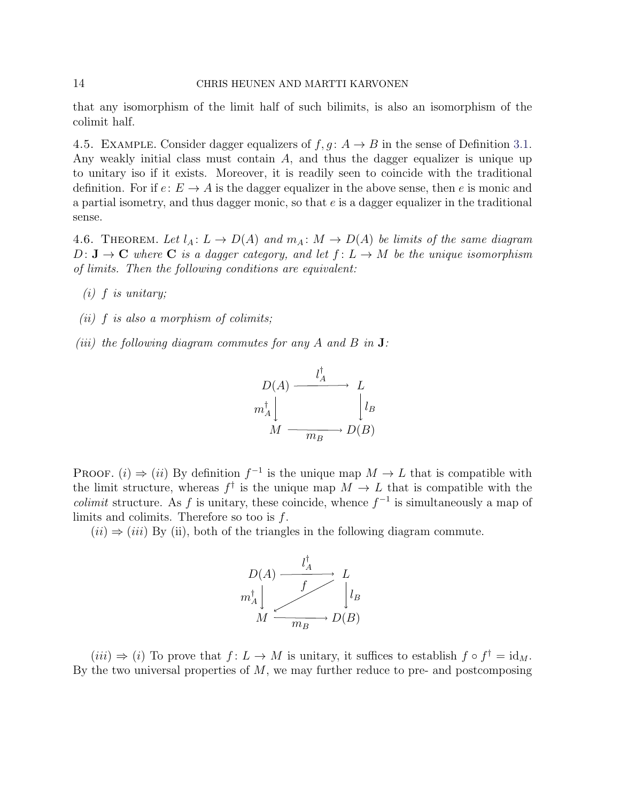## 14 CHRIS HEUNEN AND MARTTI KARVONEN

that any isomorphism of the limit half of such bilimits, is also an isomorphism of the colimit half.

4.5. EXAMPLE. Consider dagger equalizers of  $f, g: A \rightarrow B$  in the sense of Definition [3.1.](#page-6-1) Any weakly initial class must contain A, and thus the dagger equalizer is unique up to unitary iso if it exists. Moreover, it is readily seen to coincide with the traditional definition. For if  $e: E \to A$  is the dagger equalizer in the above sense, then e is monic and a partial isometry, and thus dagger monic, so that e is a dagger equalizer in the traditional sense.

<span id="page-13-0"></span>4.6. THEOREM. Let  $l_A: L \to D(A)$  and  $m_A: M \to D(A)$  be limits of the same diagram  $D: \mathbf{J} \to \mathbf{C}$  where  $\mathbf{C}$  is a dagger category, and let  $f: L \to M$  be the unique isomorphism of limits. Then the following conditions are equivalent:

- $(i)$  f is unitary;
- (ii)  $f$  is also a morphism of colimits;
- (iii) the following diagram commutes for any A and B in  $J$ :



PROOF. (i)  $\Rightarrow$  (ii) By definition  $f^{-1}$  is the unique map  $M \to L$  that is compatible with the limit structure, whereas  $f^{\dagger}$  is the unique map  $M \to L$  that is compatible with the *colimit* structure. As f is unitary, these coincide, whence  $f^{-1}$  is simultaneously a map of limits and colimits. Therefore so too is  $f$ .

 $(ii) \Rightarrow (iii)$  By (ii), both of the triangles in the following diagram commute.



 $(iii) \Rightarrow (i)$  To prove that  $f: L \to M$  is unitary, it suffices to establish  $f \circ f^{\dagger} = id_M$ . By the two universal properties of  $M$ , we may further reduce to pre- and postcomposing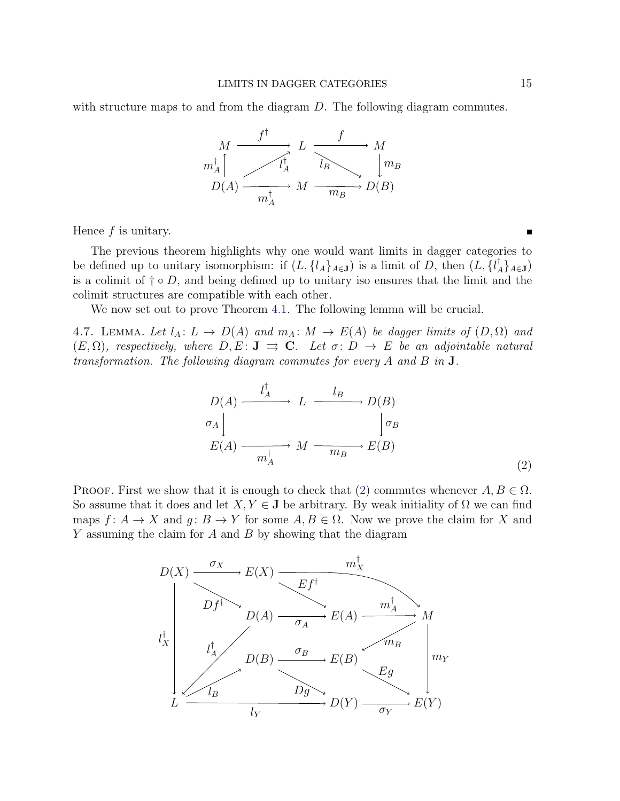with structure maps to and from the diagram D. The following diagram commutes.



Hence  $f$  is unitary.

The previous theorem highlights why one would want limits in dagger categories to be defined up to unitary isomorphism: if  $(L, \{l_A\}_{A \in \mathbf{J}})$  is a limit of D, then  $(L, \{l_A^{\dagger}\}_{A \in \mathbf{J}})$  $\{^{\scriptscriptstyle{\intercal}}_A\}_{A\in{\bf J}})$ is a colimit of  $\dagger \circ D$ , and being defined up to unitary iso ensures that the limit and the colimit structures are compatible with each other.

We now set out to prove Theorem [4.1.](#page-11-1) The following lemma will be crucial.

<span id="page-14-1"></span>4.7. LEMMA. Let  $l_A: L \to D(A)$  and  $m_A: M \to E(A)$  be dagger limits of  $(D, \Omega)$  and  $(E, \Omega)$ , respectively, where  $D, E: J \implies C$ . Let  $\sigma: D \to E$  be an adjointable natural transformation. The following diagram commutes for every A and B in J.

<span id="page-14-0"></span>
$$
D(A) \xrightarrow{\qquad l_A^{\dagger}} L \xrightarrow{\qquad l_B} D(B)
$$
  
\n
$$
\sigma_A \downarrow \qquad \qquad \downarrow \sigma_B
$$
  
\n
$$
E(A) \xrightarrow{\qquad m_A^{\dagger}} M \xrightarrow{\qquad m_B} E(B)
$$
  
\n(2)

PROOF. First we show that it is enough to check that [\(2\)](#page-14-0) commutes whenever  $A, B \in \Omega$ . So assume that it does and let  $X, Y \in J$  be arbitrary. By weak initiality of  $\Omega$  we can find maps  $f: A \to X$  and  $g: B \to Y$  for some  $A, B \in \Omega$ . Now we prove the claim for X and  $Y$  assuming the claim for  $A$  and  $B$  by showing that the diagram

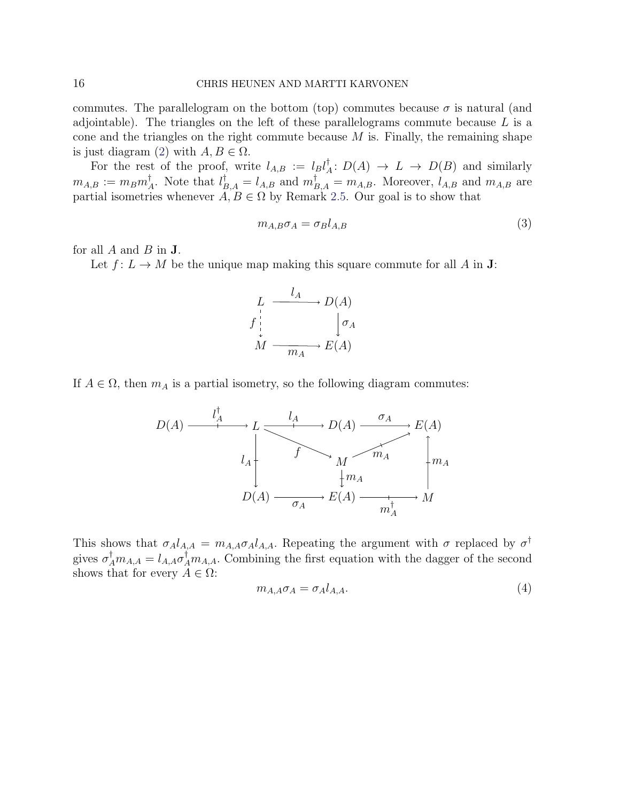commutes. The parallelogram on the bottom (top) commutes because  $\sigma$  is natural (and adjointable). The triangles on the left of these parallelograms commute because  $L$  is a cone and the triangles on the right commute because  $M$  is. Finally, the remaining shape is just diagram [\(2\)](#page-14-0) with  $A, B \in \Omega$ .

For the rest of the proof, write  $l_{A,B} := l_B l_A^{\dagger}$  $A: D(A) \to L \to D(B)$  and similarly  $m_{A,B} := m_B m_{\scriptscriptstyle \nearrow}^\dagger$ <sup>†</sup><sub>A</sub>. Note that  $l_{B,A}^{\dagger} = l_{A,B}$  and  $m_{B,A}^{\dagger} = m_{A,B}$ . Moreover,  $l_{A,B}$  and  $m_{A,B}$  are partial isometries whenever  $A, B \in \Omega$  by Remark [2.5.](#page-4-1) Our goal is to show that

$$
m_{A,B}\sigma_A = \sigma_B l_{A,B} \tag{3}
$$

for all  $A$  and  $B$  in  $J$ .

Let  $f: L \to M$  be the unique map making this square commute for all A in **J**:



If  $A \in \Omega$ , then  $m_A$  is a partial isometry, so the following diagram commutes:

$$
D(A) \xrightarrow{\begin{array}{c}\n l_A^{\dagger} \\
l_A \\
l_A\n \end{array}} L \xrightarrow{\begin{array}{c}\n l_A \\
\searrow \\
M \\
\searrow \\
M_A\n \end{array}} D(A) \xrightarrow{\sigma_A} E(A)
$$
\n
$$
D(A) \xrightarrow{\begin{array}{c}\n \sigma_A \\
\searrow \\
M_A\n \end{array}} E(A) \xrightarrow{\begin{array}{c}\n \sigma_A \\
\searrow \\
M_A\n \end{array}} M
$$

This shows that  $\sigma_A l_{A,A} = m_{A,A} \sigma_A l_{A,A}$ . Repeating the argument with  $\sigma$  replaced by  $\sigma^{\dagger}$ gives  $\sigma_A^{\dagger} m_{A,A} = l_{A,A} \sigma_A^{\dagger} m_{A,A}$ . Combining the first equation with the dagger of the second shows that for every  $A \in \Omega$ :

<span id="page-15-0"></span>
$$
m_{A,A}\sigma_A = \sigma_A l_{A,A}.\tag{4}
$$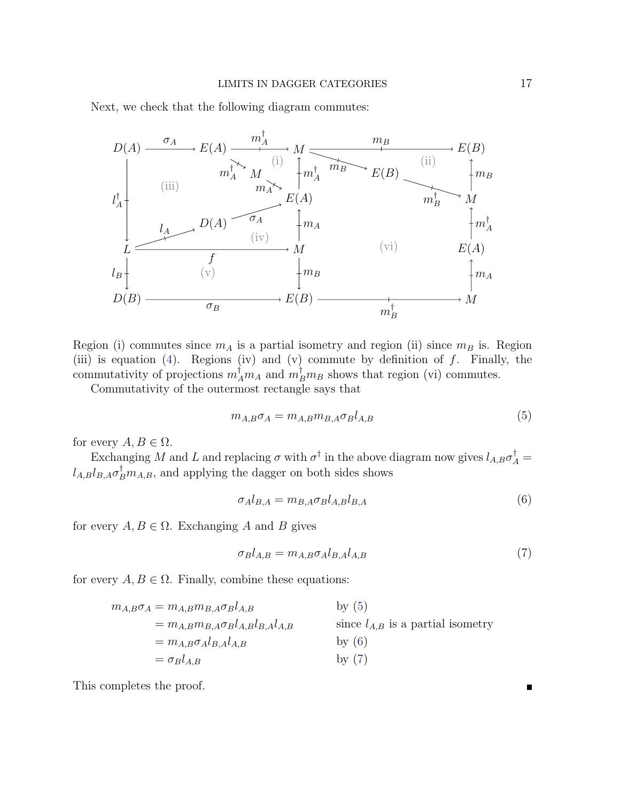Next, we check that the following diagram commutes:



Region (i) commutes since  $m_A$  is a partial isometry and region (ii) since  $m_B$  is. Region (iii) is equation [\(4\)](#page-15-0). Regions (iv) and (v) commute by definition of  $f$ . Finally, the commutativity of projections  $m_A^{\dagger}m_A$  and  $m_B^{\dagger}m_B$  shows that region (vi) commutes.

Commutativity of the outermost rectangle says that

<span id="page-16-0"></span>
$$
m_{A,B}\sigma_A = m_{A,B}m_{B,A}\sigma_B l_{A,B} \tag{5}
$$

for every  $A, B \in \Omega$ .

Exchanging M and L and replacing  $\sigma$  with  $\sigma^{\dagger}$  in the above diagram now gives  $l_{A,B}\sigma_A^{\dagger}$  =  $l_{A,B}l_{B,A}\sigma_B^{\dagger}m_{A,B}$ , and applying the dagger on both sides shows

<span id="page-16-2"></span><span id="page-16-1"></span>
$$
\sigma_A l_{B,A} = m_{B,A} \sigma_B l_{A,B} l_{B,A} \tag{6}
$$

for every  $A, B \in \Omega$ . Exchanging A and B gives

$$
\sigma_B l_{A,B} = m_{A,B} \sigma_A l_{B,A} l_{A,B} \tag{7}
$$

for every  $A, B \in \Omega$ . Finally, combine these equations:

$$
m_{A,B}\sigma_A = m_{A,B}m_{B,A}\sigma_B l_{A,B}
$$
 by (5)  
\n
$$
= m_{A,B}m_{B,A}\sigma_B l_{A,B}l_{B,A}l_{A,B}
$$
 since  $l_{A,B}$  is a partial isometry  
\n
$$
= m_{A,B}\sigma_A l_{B,A}l_{A,B}
$$
 by (6)  
\n
$$
= \sigma_B l_{A,B}
$$
 by (7)

This completes the proof.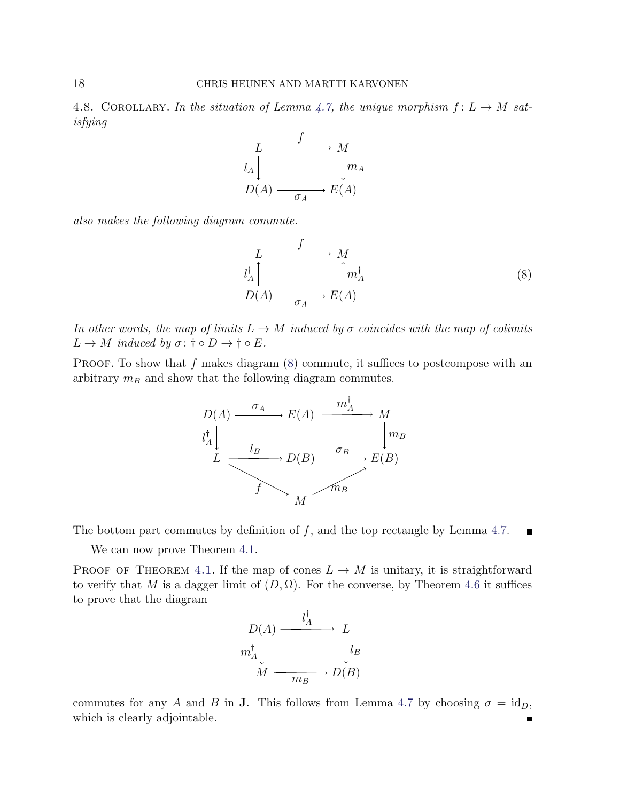<span id="page-17-1"></span>4.8. COROLLARY. In the situation of Lemma [4.7,](#page-14-1) the unique morphism  $f: L \rightarrow M$  satisfying



also makes the following diagram commute.

<span id="page-17-0"></span>
$$
L \xrightarrow{f} M
$$
  
\n
$$
l_A^{\dagger} \downarrow \qquad \qquad \uparrow m_A^{\dagger}
$$
  
\n
$$
D(A) \xrightarrow{\sigma_A} E(A)
$$
 (8)

In other words, the map of limits  $L \to M$  induced by  $\sigma$  coincides with the map of colimits  $L \to M$  induced by  $\sigma: \dagger \circ D \to \dagger \circ E$ .

**PROOF.** To show that f makes diagram  $(8)$  commute, it suffices to postcompose with an arbitrary  $m_B$  and show that the following diagram commutes.



The bottom part commutes by definition of  $f$ , and the top rectangle by Lemma [4.7.](#page-14-1)  $\blacksquare$ 

We can now prove Theorem  $4.1$ .

PROOF OF THEOREM [4.1.](#page-11-1) If the map of cones  $L \to M$  is unitary, it is straightforward to verify that M is a dagger limit of  $(D, \Omega)$ . For the converse, by Theorem [4.6](#page-13-0) it suffices to prove that the diagram



commutes for any A and B in J. This follows from Lemma [4.7](#page-14-1) by choosing  $\sigma = id_D$ , which is clearly adjointable.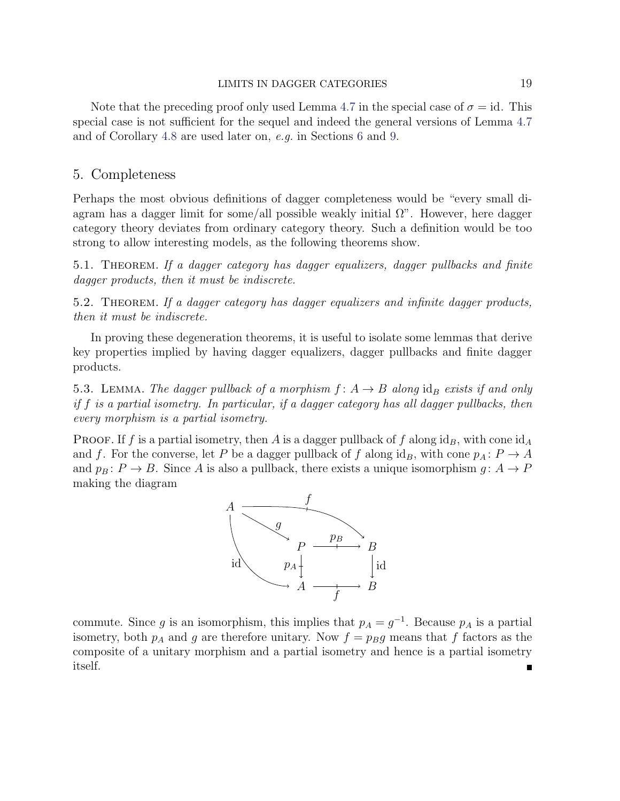#### LIMITS IN DAGGER CATEGORIES 19

Note that the preceding proof only used Lemma [4.7](#page-14-1) in the special case of  $\sigma = id$ . This special case is not sufficient for the sequel and indeed the general versions of Lemma [4.7](#page-14-1) and of Corollary [4.8](#page-17-1) are used later on, e.g. in Sections [6](#page-23-0) and [9.](#page-36-0)

## <span id="page-18-0"></span>5. Completeness

Perhaps the most obvious definitions of dagger completeness would be "every small diagram has a dagger limit for some/all possible weakly initial  $\Omega$ ". However, here dagger category theory deviates from ordinary category theory. Such a definition would be too strong to allow interesting models, as the following theorems show.

<span id="page-18-1"></span>5.1. Theorem. If a dagger category has dagger equalizers, dagger pullbacks and finite dagger products, then it must be indiscrete.

<span id="page-18-3"></span>5.2. Theorem. If a dagger category has dagger equalizers and infinite dagger products, then it must be indiscrete.

In proving these degeneration theorems, it is useful to isolate some lemmas that derive key properties implied by having dagger equalizers, dagger pullbacks and finite dagger products.

<span id="page-18-2"></span>5.3. LEMMA. The dagger pullback of a morphism  $f: A \rightarrow B$  along  $id_B$  exists if and only if f is a partial isometry. In particular, if a dagger category has all dagger pullbacks, then every morphism is a partial isometry.

PROOF. If f is a partial isometry, then A is a dagger pullback of f along  $id_B$ , with cone  $id_A$ and f. For the converse, let P be a dagger pullback of f along  $\mathrm{id}_B$ , with cone  $p_A: P \to A$ and  $p_B: P \to B$ . Since A is also a pullback, there exists a unique isomorphism  $g: A \to P$ making the diagram



commute. Since g is an isomorphism, this implies that  $p_A = g^{-1}$ . Because  $p_A$  is a partial isometry, both  $p_A$  and g are therefore unitary. Now  $f = p_Bg$  means that f factors as the composite of a unitary morphism and a partial isometry and hence is a partial isometry itself.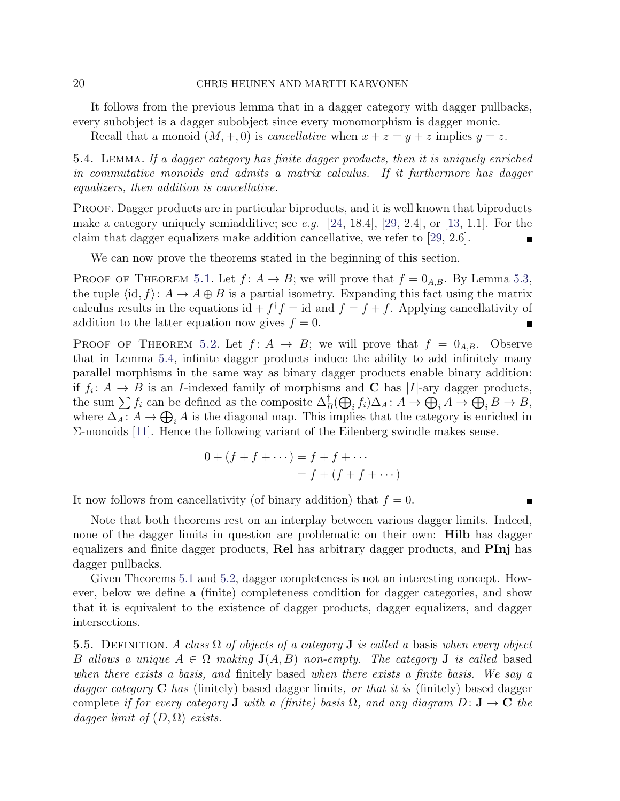### 20 CHRIS HEUNEN AND MARTTI KARVONEN

It follows from the previous lemma that in a dagger category with dagger pullbacks, every subobject is a dagger subobject since every monomorphism is dagger monic.

Recall that a monoid  $(M, +, 0)$  is *cancellative* when  $x + z = y + z$  implies  $y = z$ .

<span id="page-19-0"></span>5.4. Lemma. If a dagger category has finite dagger products, then it is uniquely enriched in commutative monoids and admits a matrix calculus. If it furthermore has dagger equalizers, then addition is cancellative.

PROOF. Dagger products are in particular biproducts, and it is well known that biproducts make a category uniquely semiadditive; see e.g.  $[24, 18.4]$  $[24, 18.4]$ ,  $[29, 2.4]$  $[29, 2.4]$ , or  $[13, 1.1]$  $[13, 1.1]$ . For the claim that dagger equalizers make addition cancellative, we refer to [\[29,](#page-45-6) 2.6].

We can now prove the theorems stated in the beginning of this section.

PROOF OF THEOREM [5.1.](#page-18-1) Let  $f: A \to B$ ; we will prove that  $f = 0_{A,B}$ . By Lemma [5.3,](#page-18-2) the tuple  $\langle id, f \rangle: A \to A \oplus B$  is a partial isometry. Expanding this fact using the matrix calculus results in the equations id  $+f^{\dagger}f = id$  and  $f = f + f$ . Applying cancellativity of addition to the latter equation now gives  $f = 0$ .  $\blacksquare$ 

PROOF OF THEOREM [5.2.](#page-18-3) Let  $f: A \rightarrow B$ ; we will prove that  $f = 0_{A,B}$ . Observe that in Lemma [5.4,](#page-19-0) infinite dagger products induce the ability to add infinitely many parallel morphisms in the same way as binary dagger products enable binary addition: if  $f_i: A \to B$  is an *I*-indexed family of morphisms and **C** has |*I*|-ary dagger products, the sum  $\sum f_i$  can be defined as the composite  $\Delta_B^{\dagger}(\bigoplus_i f_i) \Delta_A : A \to \bigoplus_i A \to \bigoplus_i B \to B$ , where  $\Delta_A: A \to \bigoplus_i A$  is the diagonal map. This implies that the category is enriched in Σ-monoids [\[11\]](#page-44-11). Hence the following variant of the Eilenberg swindle makes sense.

$$
0 + (f + f + \cdots) = f + f + \cdots
$$

$$
= f + (f + f + \cdots)
$$

It now follows from cancellativity (of binary addition) that  $f = 0$ .

Note that both theorems rest on an interplay between various dagger limits. Indeed, none of the dagger limits in question are problematic on their own: **Hilb** has dagger equalizers and finite dagger products, Rel has arbitrary dagger products, and PInj has dagger pullbacks.

Given Theorems [5.1](#page-18-1) and [5.2,](#page-18-3) dagger completeness is not an interesting concept. However, below we define a (finite) completeness condition for dagger categories, and show that it is equivalent to the existence of dagger products, dagger equalizers, and dagger intersections.

<span id="page-19-1"></span>5.5. DEFINITION. A class  $\Omega$  of objects of a category **J** is called a basis when every object B allows a unique  $A \in \Omega$  making  $J(A, B)$  non-empty. The category J is called based when there exists a basis, and finitely based when there exists a finite basis. We say a dagger category  $C$  has (finitely) based dagger limits, or that it is (finitely) based dagger complete if for every category **J** with a (finite) basis  $\Omega$ , and any diagram  $D: \mathbf{J} \to \mathbf{C}$  the dagger limit of  $(D, \Omega)$  exists.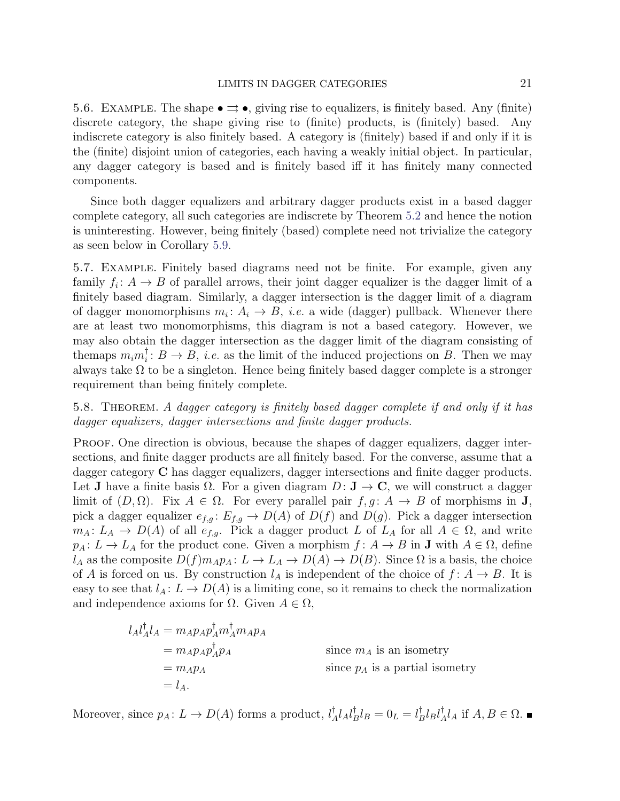#### LIMITS IN DAGGER CATEGORIES 21

5.6. EXAMPLE. The shape  $\bullet \rightrightarrows \bullet$ , giving rise to equalizers, is finitely based. Any (finite) discrete category, the shape giving rise to (finite) products, is (finitely) based. Any indiscrete category is also finitely based. A category is (finitely) based if and only if it is the (finite) disjoint union of categories, each having a weakly initial object. In particular, any dagger category is based and is finitely based iff it has finitely many connected components.

Since both dagger equalizers and arbitrary dagger products exist in a based dagger complete category, all such categories are indiscrete by Theorem [5.2](#page-18-3) and hence the notion is uninteresting. However, being finitely (based) complete need not trivialize the category as seen below in Corollary [5.9.](#page-21-0)

5.7. Example. Finitely based diagrams need not be finite. For example, given any family  $f_i: A \to B$  of parallel arrows, their joint dagger equalizer is the dagger limit of a finitely based diagram. Similarly, a dagger intersection is the dagger limit of a diagram of dagger monomorphisms  $m_i: A_i \to B$ , *i.e.* a wide (dagger) pullback. Whenever there are at least two monomorphisms, this diagram is not a based category. However, we may also obtain the dagger intersection as the dagger limit of the diagram consisting of the<br>maps  $m_i m_i^{\dagger}$  $i : B \to B$ , *i.e.* as the limit of the induced projections on B. Then we may always take  $\Omega$  to be a singleton. Hence being finitely based dagger complete is a stronger requirement than being finitely complete.

<span id="page-20-0"></span>5.8. Theorem. A dagger category is finitely based dagger complete if and only if it has dagger equalizers, dagger intersections and finite dagger products.

PROOF. One direction is obvious, because the shapes of dagger equalizers, dagger intersections, and finite dagger products are all finitely based. For the converse, assume that a dagger category C has dagger equalizers, dagger intersections and finite dagger products. Let **J** have a finite basis  $\Omega$ . For a given diagram  $D: \mathbf{J} \to \mathbf{C}$ , we will construct a dagger limit of  $(D, \Omega)$ . Fix  $A \in \Omega$ . For every parallel pair  $f, g \colon A \to B$  of morphisms in **J**, pick a dagger equalizer  $e_{f,g}: E_{f,g} \to D(A)$  of  $D(f)$  and  $D(g)$ . Pick a dagger intersection  $m_A: L_A \to D(A)$  of all  $e_{f,g}$ . Pick a dagger product L of  $L_A$  for all  $A \in \Omega$ , and write  $p_A: L \to L_A$  for the product cone. Given a morphism  $f: A \to B$  in **J** with  $A \in \Omega$ , define  $l_A$  as the composite  $D(f)m_Ap_A: L \to L_A \to D(A) \to D(B)$ . Since  $\Omega$  is a basis, the choice of A is forced on us. By construction  $l_A$  is independent of the choice of  $f: A \rightarrow B$ . It is easy to see that  $l_A: L \to D(A)$  is a limiting cone, so it remains to check the normalization and independence axioms for  $\Omega$ . Given  $A \in \Omega$ ,

$$
l_A l_A^{\dagger} l_A = m_A p_A p_A^{\dagger} m_A^{\dagger} m_A p_A
$$
  
=  $m_A p_A p_A^{\dagger} p_A$   
=  $m_A p_A$   
=  $l_A$ .  
Since  $p_A$  is a partial isometry  
=  $l_A$ .

Moreover, since  $p_A: L \to D(A)$  forms a product,  $l_A^{\dagger}$  $^{\dagger}_{A}l_{A}l_{B}^{\dagger}$  ${}_{B}^{\dagger}l_{B} = 0_{L} = l_{B}^{\dagger}$  $_B^\dagger l_B l_A^\dagger$  $_A^{\dagger} l_A$  if  $A, B \in \Omega$ .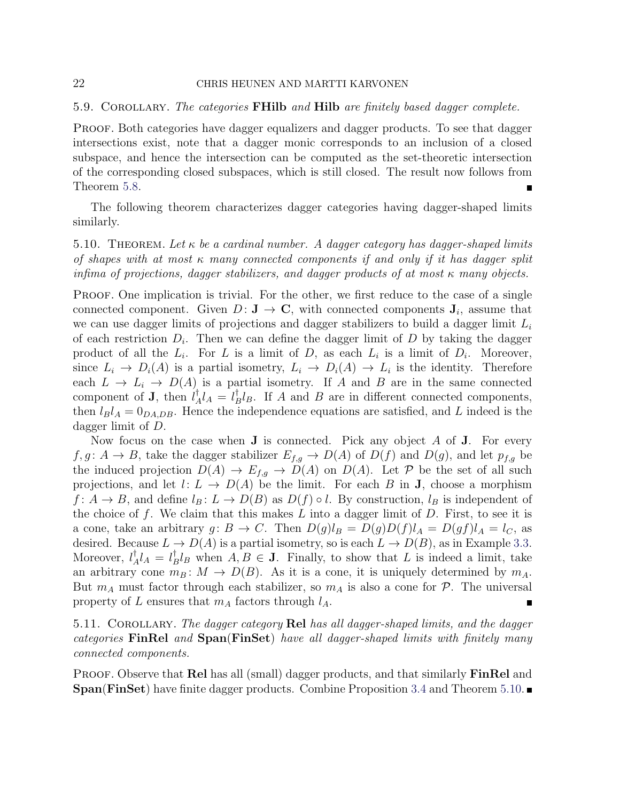### 22 CHRIS HEUNEN AND MARTTI KARVONEN

#### <span id="page-21-0"></span>5.9. COROLLARY. The categories FHilb and Hilb are finitely based dagger complete.

PROOF. Both categories have dagger equalizers and dagger products. To see that dagger intersections exist, note that a dagger monic corresponds to an inclusion of a closed subspace, and hence the intersection can be computed as the set-theoretic intersection of the corresponding closed subspaces, which is still closed. The result now follows from Theorem [5.8.](#page-20-0)

The following theorem characterizes dagger categories having dagger-shaped limits similarly.

<span id="page-21-1"></span>5.10. THEOREM. Let  $\kappa$  be a cardinal number. A dagger category has dagger-shaped limits of shapes with at most  $\kappa$  many connected components if and only if it has dagger split infima of projections, dagger stabilizers, and dagger products of at most  $\kappa$  many objects.

PROOF. One implication is trivial. For the other, we first reduce to the case of a single connected component. Given  $D: \mathbf{J} \to \mathbf{C}$ , with connected components  $\mathbf{J}_i$ , assume that we can use dagger limits of projections and dagger stabilizers to build a dagger limit  $L_i$ of each restriction  $D_i$ . Then we can define the dagger limit of  $D$  by taking the dagger product of all the  $L_i$ . For L is a limit of D, as each  $L_i$  is a limit of  $D_i$ . Moreover, since  $L_i \to D_i(A)$  is a partial isometry,  $L_i \to D_i(A) \to L_i$  is the identity. Therefore each  $L \to L_i \to D(A)$  is a partial isometry. If A and B are in the same connected component of **J**, then  $l^{\dagger}$  $^{\dagger}_{A}l_{A} = l_{B}^{\dagger}$  $_B^{\dagger}l_B$ . If A and B are in different connected components, then  $l_B l_A = 0_{DA,DB}$ . Hence the independence equations are satisfied, and L indeed is the dagger limit of D.

Now focus on the case when  $J$  is connected. Pick any object  $A$  of  $J$ . For every  $f, g: A \to B$ , take the dagger stabilizer  $E_{f,q} \to D(A)$  of  $D(f)$  and  $D(g)$ , and let  $p_{f,q}$  be the induced projection  $D(A) \to E_{f,g} \to D(A)$  on  $D(A)$ . Let P be the set of all such projections, and let  $l: L \to D(A)$  be the limit. For each B in **J**, choose a morphism  $f: A \to B$ , and define  $l_B: L \to D(B)$  as  $D(f) \circ l$ . By construction,  $l_B$  is independent of the choice of  $f$ . We claim that this makes  $L$  into a dagger limit of  $D$ . First, to see it is a cone, take an arbitrary  $g: B \to C$ . Then  $D(g)l_B = D(g)D(f)l_A = D(gf)l_A = l_C$ , as desired. Because  $L \to D(A)$  is a partial isometry, so is each  $L \to D(B)$ , as in Example [3.3.](#page-8-0) Moreover,  $l^{\dagger}_{\lambda}$  $\frac{1}{A}l_A = l_L^{\dagger}$  $\bar{B}l_B$  when  $A, B \in \mathbf{J}$ . Finally, to show that L is indeed a limit, take an arbitrary cone  $m_B : M \to D(B)$ . As it is a cone, it is uniquely determined by  $m_A$ . But  $m_A$  must factor through each stabilizer, so  $m_A$  is also a cone for  $\mathcal{P}$ . The universal property of L ensures that  $m_A$  factors through  $l_A$ . Г

5.11. COROLLARY. The dagger category Rel has all dagger-shaped limits, and the dagger categories FinRel and Span(FinSet) have all dagger-shaped limits with finitely many connected components.

PROOF. Observe that **Rel** has all (small) dagger products, and that similarly **FinRel** and **Span(FinSet)** have finite dagger products. Combine Proposition [3.4](#page-9-0) and Theorem [5.10.](#page-21-1)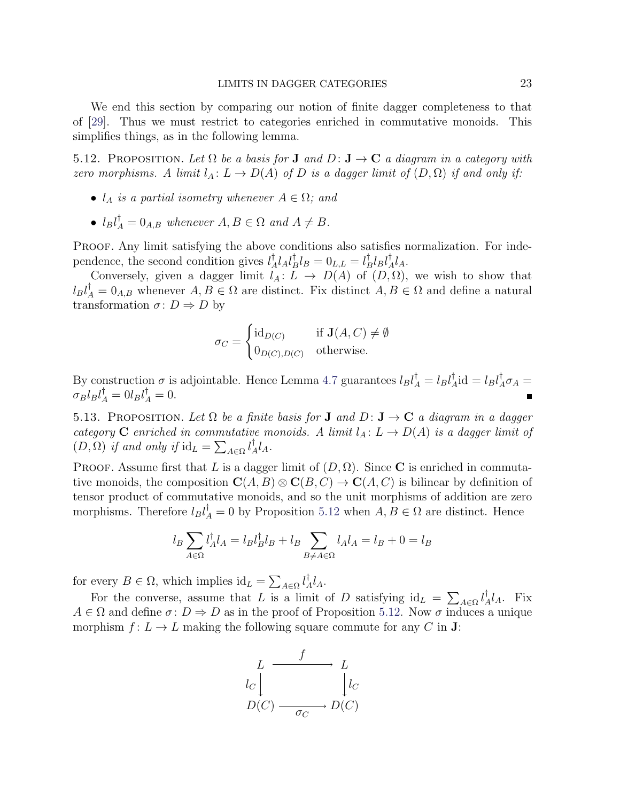We end this section by comparing our notion of finite dagger completeness to that of [\[29\]](#page-45-6). Thus we must restrict to categories enriched in commutative monoids. This simplifies things, as in the following lemma.

<span id="page-22-1"></span>5.12. PROPOSITION. Let  $\Omega$  be a basis for **J** and  $D: \mathbf{J} \to \mathbf{C}$  a diagram in a category with zero morphisms. A limit  $l_A: L \to D(A)$  of D is a dagger limit of  $(D, \Omega)$  if and only if:

- $l_A$  is a partial isometry whenever  $A \in \Omega$ ; and
- $l_B l_A^{\dagger} = 0_{A,B}$  whenever  $A, B \in \Omega$  and  $A \neq B$ .

PROOF. Any limit satisfying the above conditions also satisfies normalization. For independence, the second condition gives  $l^{\dagger}$  $^{\dagger}_{A}l_{A}l_{B}^{\dagger}$  ${}_{B}^{\dagger}l_{B}=0_{L,L}=l_{L}^{\dagger}$  $_{B}^{\dagger}l_{B}l_{\neq}^{\dagger}$  $^{\uparrow}_{A}$ l<sub>A</sub>.

Conversely, given a dagger limit  $l_A: L \to D(A)$  of  $(D, \Omega)$ , we wish to show that  $l_B l_A^{\dagger} = 0_{A,B}$  whenever  $A, B \in \Omega$  are distinct. Fix distinct  $A, B \in \Omega$  and define a natural transformation  $\sigma: D \Rightarrow D$  by

$$
\sigma_C = \begin{cases} \mathrm{id}_{D(C)} & \text{if } \mathbf{J}(A, C) \neq \emptyset \\ 0_{D(C), D(C)} & \text{otherwise.} \end{cases}
$$

By construction  $\sigma$  is adjointable. Hence Lemma [4.7](#page-14-1) guarantees  $l_B l_A^{\dagger} = l_B l_A^{\dagger}$  $I_A^{\dagger}$ id =  $l_B l_A^{\dagger} \sigma_A$  =  $\sigma_B l_B l_A^{\dagger} = 0 l_B l_A^{\dagger} = 0.$ 

<span id="page-22-0"></span>5.13. PROPOSITION. Let  $\Omega$  be a finite basis for **J** and  $D: \mathbf{J} \to \mathbf{C}$  a diagram in a dagger category C enriched in commutative monoids. A limit  $l_A: L \to D(A)$  is a dagger limit of  $(D, \Omega)$  if and only if  $\mathrm{id}_L = \sum_{A \in \Omega} l^{\dagger}_A$  $^{\dagger}_{A}$ l<sub>A</sub>.

PROOF. Assume first that L is a dagger limit of  $(D, \Omega)$ . Since C is enriched in commutative monoids, the composition  $\mathbf{C}(A, B) \otimes \mathbf{C}(B, C) \to \mathbf{C}(A, C)$  is bilinear by definition of tensor product of commutative monoids, and so the unit morphisms of addition are zero morphisms. Therefore  $l_B l_A^{\dagger} = 0$  by Proposition [5.12](#page-22-1) when  $A, B \in \Omega$  are distinct. Hence

$$
l_B \sum_{A \in \Omega} l_A^{\dagger} l_A = l_B l_B^{\dagger} l_B + l_B \sum_{B \neq A \in \Omega} l_A l_A = l_B + 0 = l_B
$$

for every  $B \in \Omega$ , which implies  $\mathrm{id}_L = \sum_{A \in \Omega} l^{\dagger}_A$  ${}^{\uparrow}_{A}l_{A}.$ 

For the converse, assume that L is a limit of D satisfying  $\mathrm{id}_L = \sum_{A \in \Omega} l_A^{\dagger}$  ${}_{A}^{\dagger}l_{A}$ . Fix  $A \in \Omega$  and define  $\sigma: D \Rightarrow D$  as in the proof of Proposition [5.12.](#page-22-1) Now  $\sigma$  induces a unique morphism  $f: L \to L$  making the following square commute for any C in **J**:

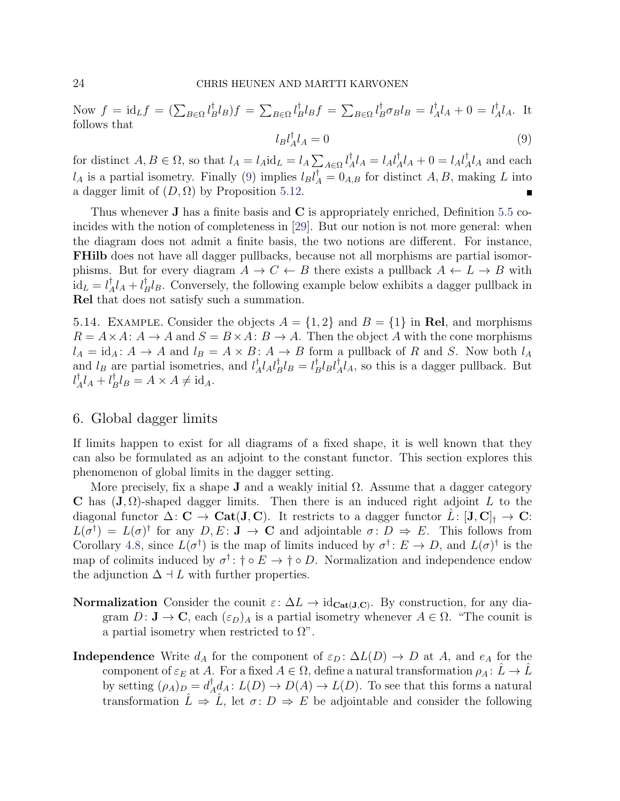<span id="page-23-2"></span>Now  $f = id_L f = (\sum_{B \in \Omega} l_L^{\dagger})$  $_{B}^{\dagger}l_{B})f=\sum_{B\in\Omega}l_{B}^{\dagger}% \frac{\partial}{\partial\ln{\partial\ln{\Omega}}}h_{B}^{\dagger}(\vec{r})\left( \vec{r}-\vec{r}|\hat{\sigma}\right)$  $_{B}^{\dagger}l_{B}f=\sum_{B\in\Omega}l_{B}^{\dagger}\sigma_{B}l_{B}=l_{A}^{\dagger}$  $\frac{1}{A}l_A + 0 = l_A^{\dagger}$  ${}_{A}^{\dagger}l_{A}$ . It follows that

$$
l_B l_A^{\dagger} l_A = 0 \tag{9}
$$

for distinct  $A, B \in \Omega$ , so that  $l_A = l_A \mathrm{id}_L = l_A \sum_{A \in \Omega} l_A^{\dagger}$  $^{\dagger}_{A}l_{A}=l_{A}l_{A}^{\dagger}$  ${}_{A}^{\dagger}l_{A} + 0 = l_{A}l_{A}^{\dagger}$  $\frac{1}{A}l_A$  and each  $l_A$  is a partial isometry. Finally [\(9\)](#page-23-2) implies  $l_B l_A^{\dagger} = 0_{A,B}$  for distinct  $A, B$ , making L into a dagger limit of  $(D, \Omega)$  by Proposition [5.12.](#page-22-1)

Thus whenever  $\bf{J}$  has a finite basis and  $\bf{C}$  is appropriately enriched, Definition [5.5](#page-19-1) coincides with the notion of completeness in [\[29\]](#page-45-6). But our notion is not more general: when the diagram does not admit a finite basis, the two notions are different. For instance, FHilb does not have all dagger pullbacks, because not all morphisms are partial isomorphisms. But for every diagram  $A \to C \leftarrow B$  there exists a pullback  $A \leftarrow L \to B$  with  $\mathrm{id}_L=l^{\dagger}_{\neq}$  ${}^{\dagger}_{A}l_{A} + l^{\dagger}_{B}$  $B^{\dagger}l_B$ . Conversely, the following example below exhibits a dagger pullback in Rel that does not satisfy such a summation.

<span id="page-23-1"></span>5.14. EXAMPLE. Consider the objects  $A = \{1, 2\}$  and  $B = \{1\}$  in Rel, and morphisms  $R = A \times A: A \to A$  and  $S = B \times A: B \to A$ . Then the object A with the cone morphisms  $l_A = id_A: A \to A$  and  $l_B = A \times B: A \to B$  form a pullback of R and S. Now both  $l_A$ and  $l_B$  are partial isometries, and  $l_A^{\dagger}$  $^{\dagger}_{A}l_{A}l_{B}^{\dagger}$  ${}^{\dagger}_{B}l_{B}=l^{\dagger}_{B}$  $_{B}^{\dagger}l_{B}l_{\neq}^{\dagger}$  $\mathcal{A}_A^{\dagger} l_A$ , so this is a dagger pullback. But  $l^{\dagger}_{\neq}$  $^{\dagger}_{A}l_{A}+l_{B}^{\dagger}$  $_{B}^{\mathsf{T}}l_{B} = A \times A \neq id_{A}.$ 

# <span id="page-23-0"></span>6. Global dagger limits

If limits happen to exist for all diagrams of a fixed shape, it is well known that they can also be formulated as an adjoint to the constant functor. This section explores this phenomenon of global limits in the dagger setting.

More precisely, fix a shape **J** and a weakly initial  $\Omega$ . Assume that a dagger category C has  $(J, \Omega)$ -shaped dagger limits. Then there is an induced right adjoint L to the diagonal functor  $\Delta: \mathbf{C} \to \mathbf{Cat}(\mathbf{J}, \mathbf{C})$ . It restricts to a dagger functor  $L: [\mathbf{J}, \mathbf{C}]_f \to \mathbf{C}$ :  $L(\sigma^{\dagger}) = L(\sigma)^{\dagger}$  for any  $D, E: \mathbf{J} \to \mathbf{C}$  and adjointable  $\sigma: D \Rightarrow E$ . This follows from Corollary [4.8,](#page-17-1) since  $L(\sigma^{\dagger})$  is the map of limits induced by  $\sigma^{\dagger}$ :  $E \to D$ , and  $L(\sigma)^{\dagger}$  is the map of colimits induced by  $\sigma^{\dagger}$ :  $\dagger \circ E \to \dagger \circ D$ . Normalization and independence endow the adjunction  $\Delta \vdash L$  with further properties.

- **Normalization** Consider the counit  $\varepsilon$ :  $\Delta L \rightarrow id_{\text{Cat}(J,C)}$ . By construction, for any diagram  $D: \mathbf{J} \to \mathbf{C}$ , each  $(\varepsilon_D)_A$  is a partial isometry whenever  $A \in \Omega$ . "The counit is a partial isometry when restricted to  $\Omega$ ".
- **Independence** Write  $d_A$  for the component of  $\varepsilon_D : \Delta L(D) \to D$  at A, and  $e_A$  for the component of  $\varepsilon_E$  at A. For a fixed  $A \in \Omega$ , define a natural transformation  $\rho_A: L \to L$ by setting  $(\rho_A)_D = d^{\dagger}_A$  $A_A^{\dagger}d_A: L(D) \to D(A) \to L(D)$ . To see that this forms a natural transformation  $\hat{L} \Rightarrow \hat{L}$ , let  $\sigma: D \Rightarrow E$  be adjointable and consider the following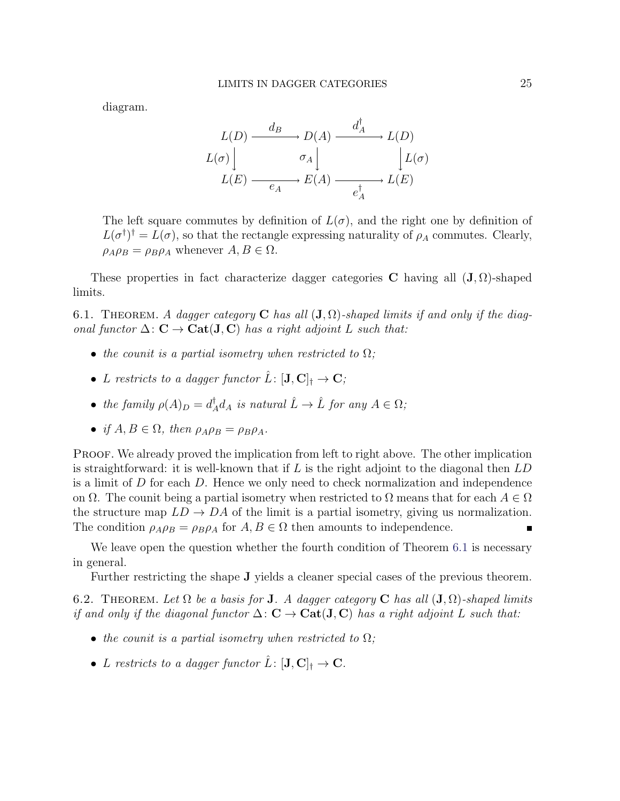diagram.

$$
L(D) \xrightarrow{d_B} D(A) \xrightarrow{d_A^{\dagger}} L(D)
$$
  

$$
L(\sigma) \Big| \qquad \sigma_A \Big| \qquad \Big| L(\sigma)
$$
  

$$
L(E) \xrightarrow{e_A} E(A) \xrightarrow{e_A^{\dagger}} L(E)
$$

The left square commutes by definition of  $L(\sigma)$ , and the right one by definition of  $L(\sigma^{\dagger})^{\dagger} = L(\sigma)$ , so that the rectangle expressing naturality of  $\rho_A$  commutes. Clearly,  $\rho_A \rho_B = \rho_B \rho_A$  whenever  $A, B \in \Omega$ .

These properties in fact characterize dagger categories C having all  $(\mathbf{J}, \Omega)$ -shaped limits.

<span id="page-24-0"></span>6.1. THEOREM. A dagger category **C** has all  $(\mathbf{J}, \Omega)$ -shaped limits if and only if the diagonal functor  $\Delta: \mathbf{C} \to \mathbf{Cat}(\mathbf{J}, \mathbf{C})$  has a right adjoint L such that:

- the counit is a partial isometry when restricted to  $\Omega$ ;
- L restricts to a dagger functor  $\hat{L}: [\mathbf{J}, \mathbf{C}]_{\dagger} \to \mathbf{C}$ ;
- the family  $\rho(A)_D = d_A^{\dagger}$  $^{\dagger}_{A}d_{A}$  is natural  $\hat{L}\rightarrow \hat{L}$  for any  $A\in\Omega$ ;
- if  $A, B \in \Omega$ , then  $\rho_A \rho_B = \rho_B \rho_A$ .

PROOF. We already proved the implication from left to right above. The other implication is straightforward: it is well-known that if L is the right adjoint to the diagonal then  $LD$ is a limit of  $D$  for each  $D$ . Hence we only need to check normalization and independence on  $\Omega$ . The counit being a partial isometry when restricted to  $\Omega$  means that for each  $A \in \Omega$ the structure map  $LD \to DA$  of the limit is a partial isometry, giving us normalization. The condition  $\rho_A \rho_B = \rho_B \rho_A$  for  $A, B \in \Omega$  then amounts to independence.

We leave open the question whether the fourth condition of Theorem [6.1](#page-24-0) is necessary in general.

Further restricting the shape J yields a cleaner special cases of the previous theorem.

6.2. THEOREM. Let  $\Omega$  be a basis for **J**. A dagger category **C** has all  $(\mathbf{J}, \Omega)$ -shaped limits if and only if the diagonal functor  $\Delta: \mathbf{C} \to \mathbf{Cat}(\mathbf{J}, \mathbf{C})$  has a right adjoint L such that:

- the counit is a partial isometry when restricted to  $\Omega$ ;
- L restricts to a dagger functor  $\hat{L}: [\mathbf{J},\mathbf{C}]^{\dagger} \to \mathbf{C}$ .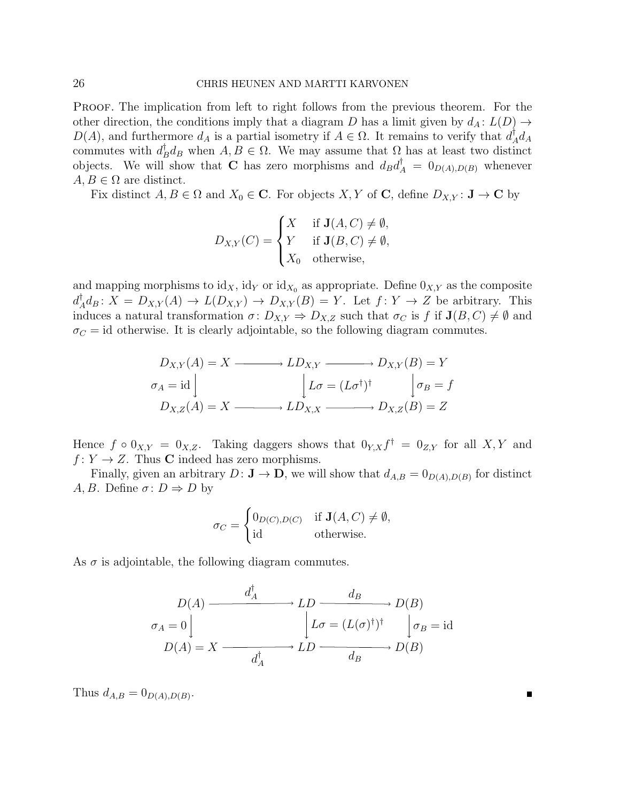PROOF. The implication from left to right follows from the previous theorem. For the other direction, the conditions imply that a diagram D has a limit given by  $d_A: L(D) \to$  $D(A)$ , and furthermore  $d_A$  is a partial isometry if  $A \in \Omega$ . It remains to verify that  $d_A^{\dagger}$  $^{\intercal}_{A}d_{A}$ commutes with  $d_I^{\dagger}$  $_{B}^{\dagger}d_{B}$  when  $A, B \in \Omega$ . We may assume that  $\Omega$  has at least two distinct objects. We will show that **C** has zero morphisms and  $d_B d_A^{\dagger} = 0_{D(A),D(B)}$  whenever  $A, B \in \Omega$  are distinct.

Fix distinct  $A, B \in \Omega$  and  $X_0 \in \mathbb{C}$ . For objects  $X, Y$  of  $\mathbb{C}$ , define  $D_{X,Y} : \mathbf{J} \to \mathbb{C}$  by

$$
D_{X,Y}(C) = \begin{cases} X & \text{if } \mathbf{J}(A,C) \neq \emptyset, \\ Y & \text{if } \mathbf{J}(B,C) \neq \emptyset, \\ X_0 & \text{otherwise,} \end{cases}
$$

and mapping morphisms to  $\mathrm{id}_X$ ,  $\mathrm{id}_Y$  or  $\mathrm{id}_{X_0}$  as appropriate. Define  $0_{X,Y}$  as the composite  $d^{\dagger}_{\scriptscriptstyle\angle}$  $A_A^{\dagger}d_B: X = D_{X,Y}(A) \to L(D_{X,Y}) \to D_{X,Y}(B) = Y$ . Let  $f: Y \to Z$  be arbitrary. This induces a natural transformation  $\sigma: D_{X,Y} \Rightarrow D_{X,Z}$  such that  $\sigma_C$  is f if  $J(B, C) \neq \emptyset$  and  $\sigma_C = id$  otherwise. It is clearly adjointable, so the following diagram commutes.

$$
D_{X,Y}(A) = X \longrightarrow LD_{X,Y} \longrightarrow D_{X,Y}(B) = Y
$$
  
\n
$$
\sigma_A = id \qquad \qquad \downarrow L\sigma = (L\sigma^{\dagger})^{\dagger} \qquad \qquad \downarrow \sigma_B = f
$$
  
\n
$$
D_{X,Z}(A) = X \longrightarrow LD_{X,X} \longrightarrow D_{X,Z}(B) = Z
$$

Hence  $f \circ 0_{X,Y} = 0_{X,Z}$ . Taking daggers shows that  $0_{Y,X} f^{\dagger} = 0_{Z,Y}$  for all  $X,Y$  and  $f: Y \to Z$ . Thus **C** indeed has zero morphisms.

Finally, given an arbitrary  $D: \mathbf{J} \to \mathbf{D}$ , we will show that  $d_{A,B} = 0_{D(A),D(B)}$  for distinct A, B. Define  $\sigma: D \Rightarrow D$  by

$$
\sigma_C = \begin{cases} 0_{D(C),D(C)} & \text{if } \mathbf{J}(A,C) \neq \emptyset, \\ \text{id} & \text{otherwise.} \end{cases}
$$

As  $\sigma$  is adjointable, the following diagram commutes.

$$
D(A) \xrightarrow{d_A^{\dagger}} LD \xrightarrow{d_B} DD(B)
$$
  
\n
$$
\sigma_A = 0 \qquad \qquad L\sigma = (L(\sigma)^{\dagger})^{\dagger} \qquad \qquad \sigma_B = \text{id}
$$
  
\n
$$
D(A) = X \xrightarrow{d_A^{\dagger}} LD \xrightarrow{d_B} D(B)
$$

Thus  $d_{A,B} = 0_{D(A),D(B)}$ .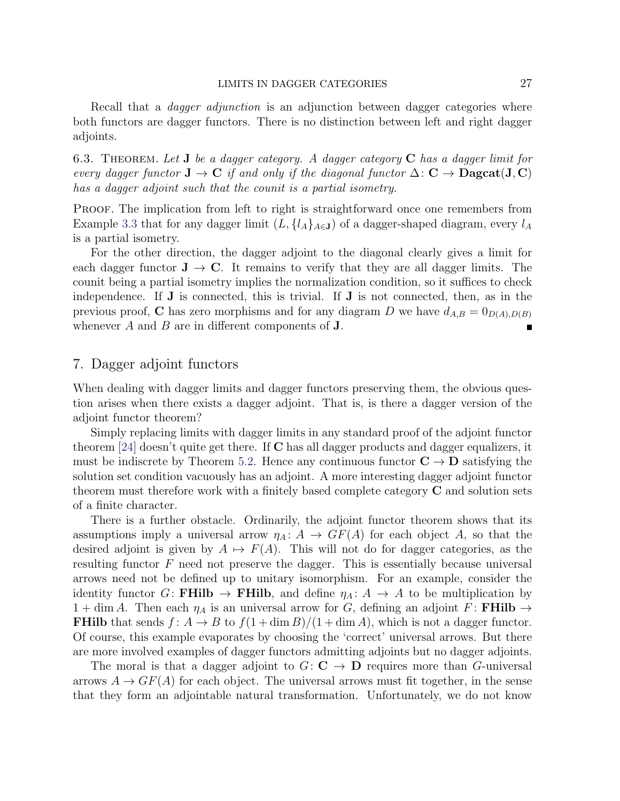Recall that a *dagger adjunction* is an adjunction between dagger categories where both functors are dagger functors. There is no distinction between left and right dagger adjoints.

6.3. THEOREM. Let **J** be a dagger category. A dagger category  $C$  has a dagger limit for every dagger functor  $J \to C$  if and only if the diagonal functor  $\Delta: C \to \mathbf{Dagcat}(J, C)$ has a dagger adjoint such that the counit is a partial isometry.

PROOF. The implication from left to right is straightforward once one remembers from Example [3.3](#page-8-0) that for any dagger limit  $(L, \{l_A\}_{A\in \mathbf{J}})$  of a dagger-shaped diagram, every  $l_A$ is a partial isometry.

For the other direction, the dagger adjoint to the diagonal clearly gives a limit for each dagger functor  $J \rightarrow C$ . It remains to verify that they are all dagger limits. The counit being a partial isometry implies the normalization condition, so it suffices to check independence. If J is connected, this is trivial. If J is not connected, then, as in the previous proof, C has zero morphisms and for any diagram D we have  $d_{A,B} = 0_{D(A),D(B)}$ whenever  $A$  and  $B$  are in different components of  $J$ .

### <span id="page-26-0"></span>7. Dagger adjoint functors

When dealing with dagger limits and dagger functors preserving them, the obvious question arises when there exists a dagger adjoint. That is, is there a dagger version of the adjoint functor theorem?

Simply replacing limits with dagger limits in any standard proof of the adjoint functor theorem [\[24\]](#page-45-13) doesn't quite get there. If C has all dagger products and dagger equalizers, it must be indiscrete by Theorem [5.2.](#page-18-3) Hence any continuous functor  $C \rightarrow D$  satisfying the solution set condition vacuously has an adjoint. A more interesting dagger adjoint functor theorem must therefore work with a finitely based complete category  $C$  and solution sets of a finite character.

There is a further obstacle. Ordinarily, the adjoint functor theorem shows that its assumptions imply a universal arrow  $\eta_A: A \to GF(A)$  for each object A, so that the desired adjoint is given by  $A \mapsto F(A)$ . This will not do for dagger categories, as the resulting functor  $F$  need not preserve the dagger. This is essentially because universal arrows need not be defined up to unitary isomorphism. For an example, consider the identity functor G: FHilb  $\rightarrow$  FHilb, and define  $\eta_A: A \rightarrow A$  to be multiplication by  $1 + \dim A$ . Then each  $\eta_A$  is an universal arrow for G, defining an adjoint F: FHilb  $\rightarrow$ **FHilb** that sends  $f: A \to B$  to  $f(1 + \dim B)/(1 + \dim A)$ , which is not a dagger functor. Of course, this example evaporates by choosing the 'correct' universal arrows. But there are more involved examples of dagger functors admitting adjoints but no dagger adjoints.

The moral is that a dagger adjoint to  $G: \mathbb{C} \to \mathbb{D}$  requires more than G-universal arrows  $A \to GF(A)$  for each object. The universal arrows must fit together, in the sense that they form an adjointable natural transformation. Unfortunately, we do not know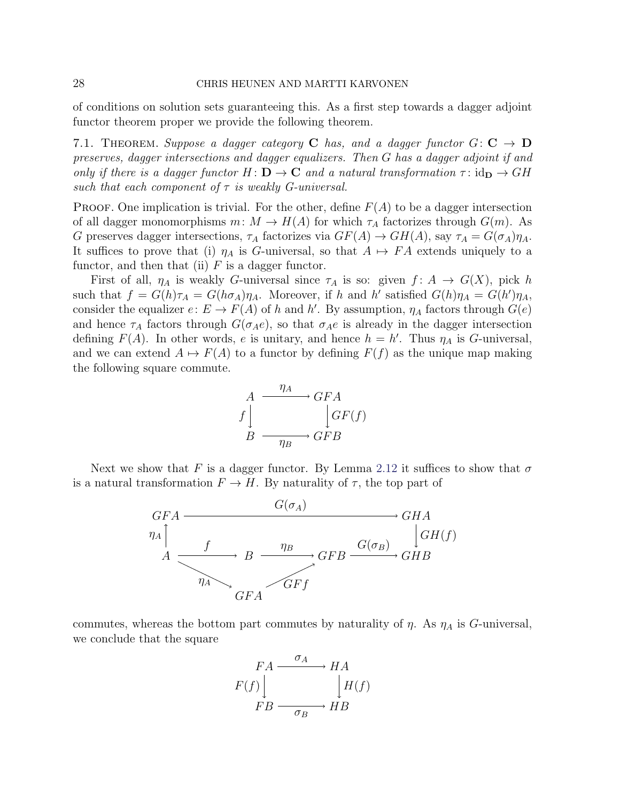of conditions on solution sets guaranteeing this. As a first step towards a dagger adjoint functor theorem proper we provide the following theorem.

7.1. THEOREM. Suppose a dagger category C has, and a dagger functor  $G: \mathbf{C} \to \mathbf{D}$ preserves, dagger intersections and dagger equalizers. Then G has a dagger adjoint if and only if there is a dagger functor  $H: \mathbf{D} \to \mathbf{C}$  and a natural transformation  $\tau: id_{\mathbf{D}} \to GH$ such that each component of  $\tau$  is weakly G-universal.

**PROOF.** One implication is trivial. For the other, define  $F(A)$  to be a dagger intersection of all dagger monomorphisms  $m: M \to H(A)$  for which  $\tau_A$  factorizes through  $G(m)$ . As G preserves dagger intersections,  $\tau_A$  factorizes via  $GF(A) \to GH(A)$ , say  $\tau_A = G(\sigma_A)\eta_A$ . It suffices to prove that (i)  $\eta_A$  is G-universal, so that  $A \mapsto FA$  extends uniquely to a functor, and then that (ii)  $F$  is a dagger functor.

First of all,  $\eta_A$  is weakly G-universal since  $\tau_A$  is so: given  $f: A \to G(X)$ , pick h such that  $f = G(h)\tau_A = G(h\sigma_A)\eta_A$ . Moreover, if h and h' satisfied  $G(h)\eta_A = G(h')\eta_A$ , consider the equalizer  $e: E \to F(A)$  of h and h'. By assumption,  $\eta_A$  factors through  $G(e)$ and hence  $\tau_A$  factors through  $G(\sigma_A e)$ , so that  $\sigma_A e$  is already in the dagger intersection defining  $F(A)$ . In other words, e is unitary, and hence  $h = h'$ . Thus  $\eta_A$  is G-universal, and we can extend  $A \mapsto F(A)$  to a functor by defining  $F(f)$  as the unique map making the following square commute.

$$
A \xrightarrow{\eta_A} GFA
$$
  

$$
f \downarrow \qquad \qquad GF(A)
$$
  

$$
B \xrightarrow{\eta_B} GFB
$$

Next we show that F is a dagger functor. By Lemma [2.12](#page-5-3) it suffices to show that  $\sigma$ is a natural transformation  $F \to H$ . By naturality of  $\tau$ , the top part of



commutes, whereas the bottom part commutes by naturality of  $\eta$ . As  $\eta_A$  is G-universal, we conclude that the square

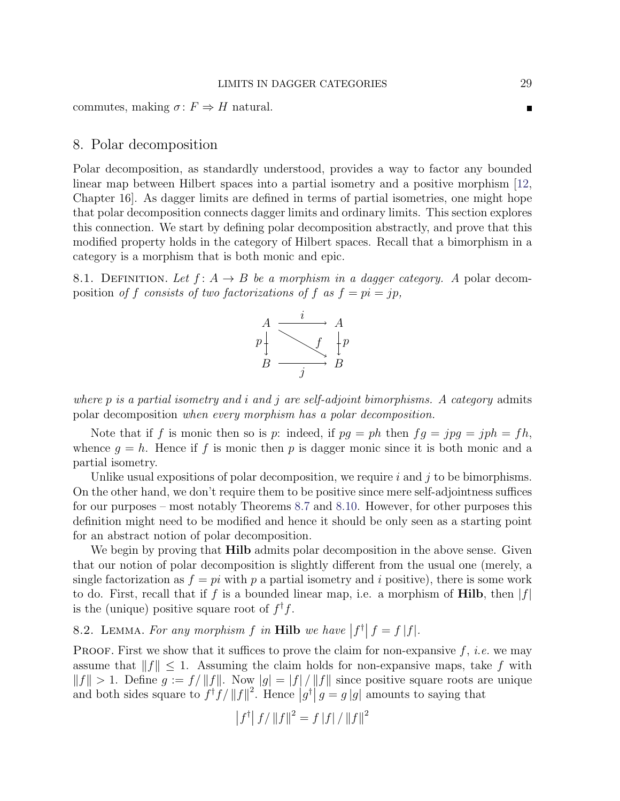commutes, making  $\sigma: F \Rightarrow H$  natural.

### <span id="page-28-0"></span>8. Polar decomposition

Polar decomposition, as standardly understood, provides a way to factor any bounded linear map between Hilbert spaces into a partial isometry and a positive morphism [\[12,](#page-44-12) Chapter 16]. As dagger limits are defined in terms of partial isometries, one might hope that polar decomposition connects dagger limits and ordinary limits. This section explores this connection. We start by defining polar decomposition abstractly, and prove that this modified property holds in the category of Hilbert spaces. Recall that a bimorphism in a category is a morphism that is both monic and epic.

<span id="page-28-1"></span>8.1. DEFINITION. Let  $f: A \rightarrow B$  be a morphism in a dagger category. A polar decomposition of f consists of two factorizations of f as  $f = pi = jp$ ,



where  $p$  is a partial isometry and i and j are self-adjoint bimorphisms. A category admits polar decomposition when every morphism has a polar decomposition.

Note that if f is monic then so is p: indeed, if  $pg = ph$  then  $fg = jpg = jph = fh$ , whence  $g = h$ . Hence if f is monic then p is dagger monic since it is both monic and a partial isometry.

Unlike usual expositions of polar decomposition, we require  $i$  and  $j$  to be bimorphisms. On the other hand, we don't require them to be positive since mere self-adjointness suffices for our purposes – most notably Theorems [8.7](#page-32-0) and [8.10.](#page-35-0) However, for other purposes this definition might need to be modified and hence it should be only seen as a starting point for an abstract notion of polar decomposition.

We begin by proving that **Hilb** admits polar decomposition in the above sense. Given that our notion of polar decomposition is slightly different from the usual one (merely, a single factorization as  $f = pi$  with p a partial isometry and i positive), there is some work to do. First, recall that if f is a bounded linear map, i.e. a morphism of **Hilb**, then  $|f|$ is the (unique) positive square root of  $f^{\dagger}f$ .

<span id="page-28-2"></span>8.2. LEMMA. For any morphism  $f$  in Hilb we have  $|f^{\dagger}| f = f |f|$ .

PROOF. First we show that it suffices to prove the claim for non-expansive  $f$ , *i.e.* we may assume that  $||f|| \leq 1$ . Assuming the claim holds for non-expansive maps, take f with  $||f|| > 1$ . Define  $g := f/||f||$ . Now  $|g| = |f|/||f||$  since positive square roots are unique and both sides square to  $f^{\dagger}f/\Vert f\Vert^2$ . Hence  $|g^{\dagger}|g=g|g|$  amounts to saying that

$$
\left|f^{\dagger}\right|f/\left\|f\right\|^2 = f\left|f\right|/\left\|f\right\|^2
$$

П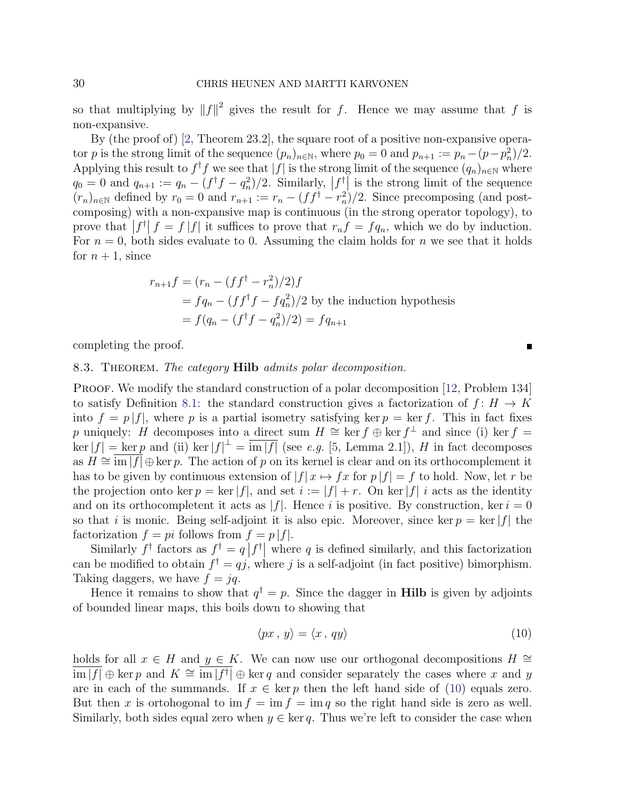so that multiplying by  $||f||^2$  gives the result for f. Hence we may assume that f is non-expansive.

By (the proof of) [\[2,](#page-44-13) Theorem 23.2], the square root of a positive non-expansive operator p is the strong limit of the sequence  $(p_n)_{n \in \mathbb{N}}$ , where  $p_0 = 0$  and  $p_{n+1} := p_n - (p - p_n^2)/2$ . Applying this result to  $f^{\dagger}f$  we see that  $|f|$  is the strong limit of the sequence  $(q_n)_{n\in\mathbb{N}}$  where  $q_0 = 0$  and  $q_{n+1} := q_n - (f^{\dagger}f - q_n^2)/2$ . Similarly,  $|f|^{\dagger}$  is the strong limit of the sequence  $(r_n)_{n\in\mathbb{N}}$  defined by  $r_0 = 0$  and  $r_{n+1} := r_n - (ff^{\dagger} - r_n^2)/2$ . Since precomposing (and postcomposing) with a non-expansive map is continuous (in the strong operator topology), to prove that  $|f| f = f |f|$  it suffices to prove that  $r_n f = f q_n$ , which we do by induction. For  $n = 0$ , both sides evaluate to 0. Assuming the claim holds for n we see that it holds for  $n + 1$ , since

$$
r_{n+1}f = (r_n - (ff^{\dagger} - r_n^2)/2)f
$$
  
=  $fq_n - (ff^{\dagger}f - fq_n^2)/2$  by the induction hypothesis  
=  $f(q_n - (f^{\dagger}f - q_n^2)/2) = fq_{n+1}$ 

completing the proof.

#### 8.3. THEOREM. The category **Hilb** admits polar decomposition.

PROOF. We modify the standard construction of a polar decomposition [\[12,](#page-44-12) Problem 134] to satisfy Definition [8.1:](#page-28-1) the standard construction gives a factorization of  $f: H \to K$ into  $f = p |f|$ , where p is a partial isometry satisfying ker  $p = \text{ker } f$ . This in fact fixes p uniquely: H decomposes into a direct sum  $H \cong \ker f \oplus \ker f^{\perp}$  and since (i) ker  $f =$  $\ker|f| = \ker p$  and (ii)  $\ker|f| = \overline{\mathrm{im}|f|}$  (see e.g. [\[5,](#page-44-14) Lemma 2.1]), H in fact decomposes as  $H \cong \text{im } |f| \oplus \ker p$ . The action of p on its kernel is clear and on its orthocomplement it has to be given by continuous extension of  $|f| \times r \mapsto fx$  for  $p |f| = f$  to hold. Now, let r be the projection onto ker  $p = \ker |f|$ , and set  $i := |f| + r$ . On ker  $|f|$  *i* acts as the identity and on its orthocompletent it acts as  $|f|$ . Hence i is positive. By construction, ker  $i = 0$ so that i is monic. Being self-adjoint it is also epic. Moreover, since ker  $p = \ker |f|$  the factorization  $f = pi$  follows from  $f = p |f|$ .

Similarly  $f^{\dagger}$  factors as  $f^{\dagger} = q | f^{\dagger} |$  where q is defined similarly, and this factorization can be modified to obtain  $f^{\dagger} = qj$ , where j is a self-adjoint (in fact positive) bimorphism. Taking daggers, we have  $f = iq$ .

Hence it remains to show that  $q^{\dagger} = p$ . Since the dagger in **Hilb** is given by adjoints of bounded linear maps, this boils down to showing that

<span id="page-29-0"></span>
$$
\langle px, y \rangle = \langle x, qy \rangle \tag{10}
$$

holds for all  $x \in H$  and  $y \in K$ . We can now use our orthogonal decompositions  $H \cong$  $\overline{\lim |f|} \oplus \ker p$  and  $K \cong \overline{\lim |f|} \oplus \ker q$  and consider separately the cases where x and y are in each of the summands. If  $x \in \text{ker } p$  then the left hand side of [\(10\)](#page-29-0) equals zero. But then x is ortohogonal to im  $f = \text{im } f = \text{im } q$  so the right hand side is zero as well. Similarly, both sides equal zero when  $y \in \ker q$ . Thus we're left to consider the case when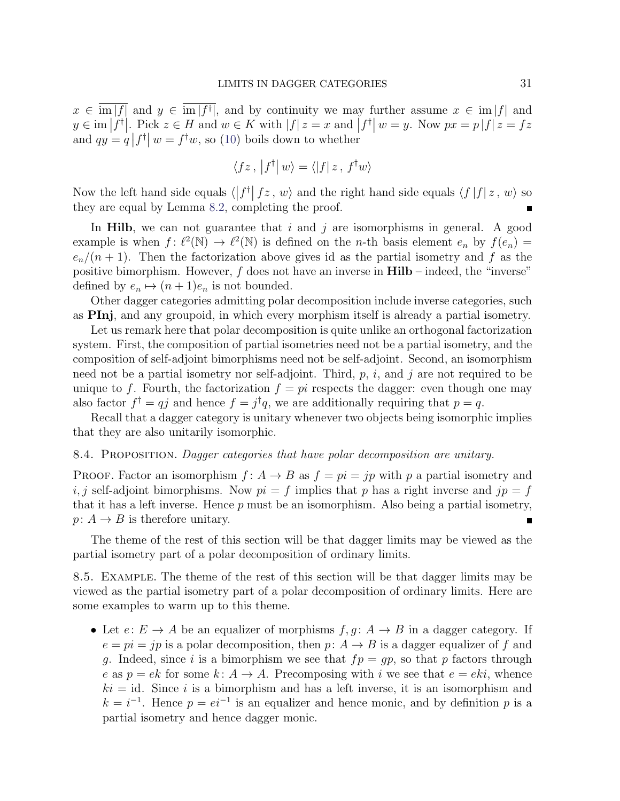$x \in \text{im } |f|$  and  $y \in \text{im } |f^{\dagger}|$ , and by continuity we may further assume  $x \in \text{im } |f|$  and  $y \in \text{im } |f^{\dagger}|$ . Pick  $z \in H$  and  $w \in K$  with  $|f|z = x$  and  $|f^{\dagger}| w = y$ . Now  $px = p |f| z = fz$ and  $qy = q |f^{\dagger}| w = f^{\dagger}w$ , so [\(10\)](#page-29-0) boils down to whether

$$
\langle fz, |f^{\dagger}|w\rangle = \langle |f|z, f^{\dagger}w\rangle
$$

Now the left hand side equals  $\langle |f^{\dagger}| f z, w \rangle$  and the right hand side equals  $\langle f |f | z, w \rangle$  so they are equal by Lemma [8.2,](#page-28-2) completing the proof.

In Hilb, we can not guarantee that  $i$  and  $j$  are isomorphisms in general. A good example is when  $f: \ell^2(\mathbb{N}) \to \ell^2(\mathbb{N})$  is defined on the *n*-th basis element  $e_n$  by  $f(e_n)$  =  $e_n/(n+1)$ . Then the factorization above gives id as the partial isometry and f as the positive bimorphism. However,  $f$  does not have an inverse in  $\textbf{Hilb}$  – indeed, the "inverse" defined by  $e_n \mapsto (n + 1)e_n$  is not bounded.

Other dagger categories admitting polar decomposition include inverse categories, such as PInj, and any groupoid, in which every morphism itself is already a partial isometry.

Let us remark here that polar decomposition is quite unlike an orthogonal factorization system. First, the composition of partial isometries need not be a partial isometry, and the composition of self-adjoint bimorphisms need not be self-adjoint. Second, an isomorphism need not be a partial isometry nor self-adjoint. Third,  $p$ ,  $i$ , and  $j$  are not required to be unique to f. Fourth, the factorization  $f = pi$  respects the dagger: even though one may also factor  $f^{\dagger} = qj$  and hence  $f = j^{\dagger}q$ , we are additionally requiring that  $p = q$ .

Recall that a dagger category is unitary whenever two objects being isomorphic implies that they are also unitarily isomorphic.

#### 8.4. Proposition. Dagger categories that have polar decomposition are unitary.

**PROOF.** Factor an isomorphism  $f: A \rightarrow B$  as  $f = pi = jp$  with p a partial isometry and i, j self-adjoint bimorphisms. Now  $pi = f$  implies that p has a right inverse and  $jp = f$ that it has a left inverse. Hence  $p$  must be an isomorphism. Also being a partial isometry,  $p: A \rightarrow B$  is therefore unitary.

The theme of the rest of this section will be that dagger limits may be viewed as the partial isometry part of a polar decomposition of ordinary limits.

<span id="page-30-0"></span>8.5. Example. The theme of the rest of this section will be that dagger limits may be viewed as the partial isometry part of a polar decomposition of ordinary limits. Here are some examples to warm up to this theme.

• Let  $e: E \to A$  be an equalizer of morphisms  $f, g: A \to B$  in a dagger category. If  $e = pi = jp$  is a polar decomposition, then  $p: A \rightarrow B$  is a dagger equalizer of f and g. Indeed, since i is a bimorphism we see that  $fp = gp$ , so that p factors through e as  $p = e^k$  for some  $k: A \to A$ . Precomposing with i we see that  $e = e^{ki}$ , whence  $ki = id$ . Since i is a bimorphism and has a left inverse, it is an isomorphism and  $k = i^{-1}$ . Hence  $p = ei^{-1}$  is an equalizer and hence monic, and by definition p is a partial isometry and hence dagger monic.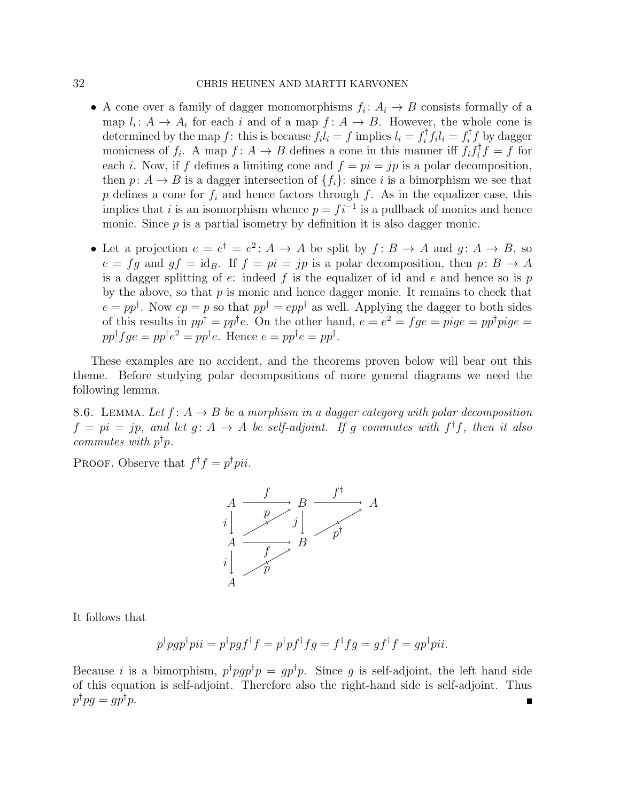### 32 CHRIS HEUNEN AND MARTTI KARVONEN

- A cone over a family of dagger monomorphisms  $f_i: A_i \to B$  consists formally of a map  $l_i: A \to A_i$  for each i and of a map  $f: A \to B$ . However, the whole cone is determined by the map f: this is because  $f_i l_i = f$  implies  $l_i = f_i^{\dagger}$  $\int_i^{\dagger} f_i l_i = f_i^{\dagger}$  $\int_i^{\tau} f$  by dagger monicness of  $f_i$ . A map  $f: A \to B$  defines a cone in this manner iff  $f_i f_i^{\dagger}$  $\int_i^{\tau} f = f$  for each *i*. Now, if f defines a limiting cone and  $f = pi = jp$  is a polar decomposition, then  $p: A \to B$  is a dagger intersection of  $\{f_i\}$ : since i is a bimorphism we see that p defines a cone for  $f_i$  and hence factors through f. As in the equalizer case, this implies that *i* is an isomorphism whence  $p = f i^{-1}$  is a pullback of monics and hence monic. Since  $p$  is a partial isometry by definition it is also dagger monic.
- Let a projection  $e = e^{\dagger} = e^2$ :  $A \rightarrow A$  be split by  $f: B \rightarrow A$  and  $g: A \rightarrow B$ , so  $e = fg$  and  $gf = id_B$ . If  $f = pi = jp$  is a polar decomposition, then  $p: B \to A$ is a dagger splitting of  $e$ : indeed  $f$  is the equalizer of id and  $e$  and hence so is  $p$ by the above, so that  $p$  is monic and hence dagger monic. It remains to check that  $e = pp^{\dagger}$ . Now  $ep = p$  so that  $pp^{\dagger} = epp^{\dagger}$  as well. Applying the dagger to both sides of this results in  $pp^{\dagger} = pp^{\dagger}e$ . On the other hand,  $e = e^2 = fge = pige = pp^{\dagger}pie =$  $pp^{\dagger} f g e = pp^{\dagger} e^2 = pp^{\dagger} e$ . Hence  $e = pp^{\dagger} e = pp^{\dagger}$ .

These examples are no accident, and the theorems proven below will bear out this theme. Before studying polar decompositions of more general diagrams we need the following lemma.

<span id="page-31-0"></span>8.6. LEMMA. Let  $f: A \rightarrow B$  be a morphism in a dagger category with polar decomposition  $f = pi = jp$ , and let  $g: A \rightarrow A$  be self-adjoint. If g commutes with  $f^{\dagger}f$ , then it also commutes with  $p^{\dagger}p$ .

PROOF. Observe that  $f^{\dagger} f = p^{\dagger} p i i$ .



It follows that

$$
p^{\dagger}pgp^{\dagger}pii = p^{\dagger}pgf^{\dagger}f = p^{\dagger}pf^{\dagger}fg = f^{\dagger}fg = gf^{\dagger}f = gp^{\dagger}pii.
$$

Because *i* is a bimorphism,  $p^{\dagger}pgp^{\dagger}p = gp^{\dagger}p$ . Since *g* is self-adjoint, the left hand side of this equation is self-adjoint. Therefore also the right-hand side is self-adjoint. Thus  $p^{\dagger}pg = gp^{\dagger}p.$ п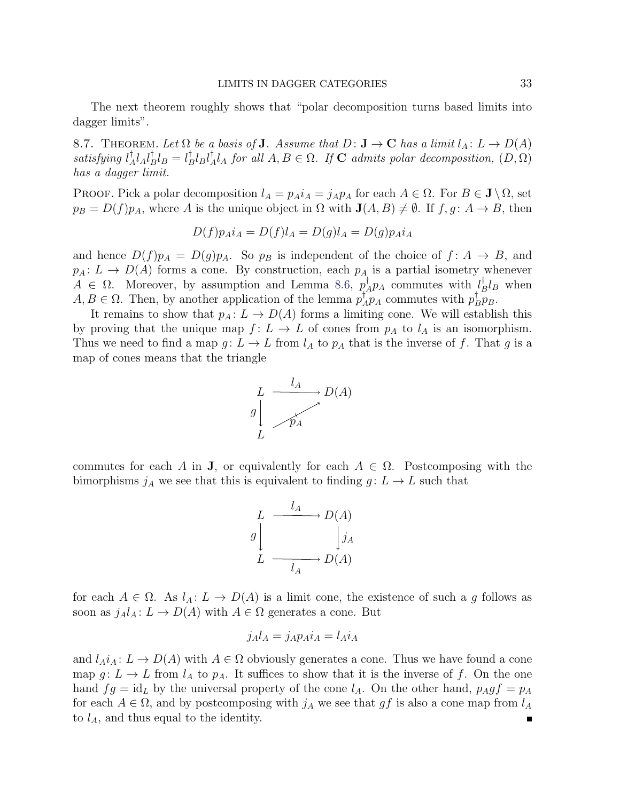The next theorem roughly shows that "polar decomposition turns based limits into dagger limits".

<span id="page-32-0"></span>8.7. THEOREM. Let  $\Omega$  be a basis of **J**. Assume that  $D: \mathbf{J} \to \mathbf{C}$  has a limit  $l_A: L \to D(A)$  $satisfying$   $l^{\dagger}$  $_{A}^{\dagger}l_{A}l_{B}^{\dagger}$  ${}^{\dagger}_{B}l_{B}=l^{\dagger}_{B}$  $_{B}^{\dagger}l_{B}l_{\neq}^{\dagger}$  $M_A^{\dagger}l_A$  for all  $A, B \in \Omega$ . If **C** admits polar decomposition,  $(D, \Omega)$ has a dagger limit.

PROOF. Pick a polar decomposition  $l_A = p_A i_A = j_A p_A$  for each  $A \in \Omega$ . For  $B \in \mathbf{J} \setminus \Omega$ , set  $p_B = D(f)p_A$ , where A is the unique object in  $\Omega$  with  $\mathbf{J}(A, B) \neq \emptyset$ . If  $f, g \colon A \to B$ , then

$$
D(f)p_A i_A = D(f)l_A = D(g)l_A = D(g)p_A i_A
$$

and hence  $D(f)p_A = D(g)p_A$ . So  $p_B$  is independent of the choice of  $f: A \rightarrow B$ , and  $p_A: L \to D(A)$  forms a cone. By construction, each  $p_A$  is a partial isometry whenever  $A \in \Omega$ . Moreover, by assumption and Lemma [8.6,](#page-31-0)  $p^{\dagger}$  $\bigcup_{A}^{\dagger} p_A$  commutes with  $\bigcup_{L}^{\dagger}$  $\frac{1}{B}l_B$  when  $A, B \in \Omega$ . Then, by another application of the lemma  $p^{\dagger}$  $\prod_{A}^{d} p_A$  commutes with  $p_I^{\dagger}$  $_B^{\dagger} p_B$ .

It remains to show that  $p_A: L \to D(A)$  forms a limiting cone. We will establish this by proving that the unique map  $f: L \to L$  of cones from  $p_A$  to  $l_A$  is an isomorphism. Thus we need to find a map  $g: L \to L$  from  $l_A$  to  $p_A$  that is the inverse of f. That g is a map of cones means that the triangle



commutes for each A in **J**, or equivalently for each  $A \in \Omega$ . Postcomposing with the bimorphisms  $j_A$  we see that this is equivalent to finding  $g: L \to L$  such that

$$
L \xrightarrow{l_A} D(A)
$$
  

$$
g \downarrow \qquad j_A
$$
  

$$
L \xrightarrow{l_A} D(A)
$$

for each  $A \in \Omega$ . As  $l_A: L \to D(A)$  is a limit cone, the existence of such a g follows as soon as  $j_A l_A: L \to D(A)$  with  $A \in \Omega$  generates a cone. But

$$
j_A l_A = j_A p_A i_A = l_A i_A
$$

and  $l_A i_A : L \to D(A)$  with  $A \in \Omega$  obviously generates a cone. Thus we have found a cone map  $g: L \to L$  from  $l_A$  to  $p_A$ . It suffices to show that it is the inverse of f. On the one hand  $fg = id_L$  by the universal property of the cone  $l_A$ . On the other hand,  $p_Agf = p_A$ for each  $A \in \Omega$ , and by postcomposing with  $j_A$  we see that gf is also a cone map from  $l_A$ to  $l_A$ , and thus equal to the identity. Ē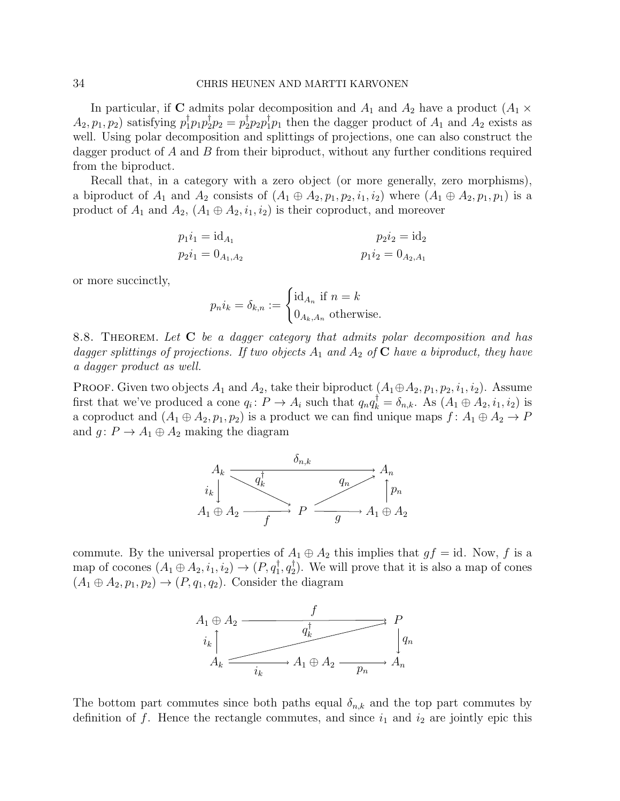In particular, if C admits polar decomposition and  $A_1$  and  $A_2$  have a product  $(A_1 \times$  $A_2, p_1, p_2$ ) satisfying  $p_1^{\dagger} p_1 p_2^{\dagger} p_2 = p_2^{\dagger} p_2 p_1^{\dagger} p_1$  then the dagger product of  $A_1$  and  $A_2$  exists as well. Using polar decomposition and splittings of projections, one can also construct the dagger product of A and B from their biproduct, without any further conditions required from the biproduct.

Recall that, in a category with a zero object (or more generally, zero morphisms), a biproduct of  $A_1$  and  $A_2$  consists of  $(A_1 \oplus A_2, p_1, p_2, i_1, i_2)$  where  $(A_1 \oplus A_2, p_1, p_1)$  is a product of  $A_1$  and  $A_2$ ,  $(A_1 \oplus A_2, i_1, i_2)$  is their coproduct, and moreover

$$
p_1 i_1 = id_{A_1}
$$
  
\n
$$
p_2 i_1 = 0_{A_1, A_2}
$$
  
\n
$$
p_1 i_2 = 0_{A_2, A_1}
$$
  
\n
$$
p_1 i_2 = 0_{A_2, A_1}
$$

or more succinctly,

$$
p_n i_k = \delta_{k,n} := \begin{cases} \mathrm{id}_{A_n} \text{ if } n = k \\ 0_{A_k, A_n} \text{ otherwise.} \end{cases}
$$

<span id="page-33-0"></span>8.8. THEOREM. Let C be a dagger category that admits polar decomposition and has dagger splittings of projections. If two objects  $A_1$  and  $A_2$  of C have a biproduct, they have a dagger product as well.

**PROOF.** Given two objects  $A_1$  and  $A_2$ , take their biproduct  $(A_1 \oplus A_2, p_1, p_2, i_1, i_2)$ . Assume first that we've produced a cone  $q_i \colon P \to A_i$  such that  $q_n q_k^{\dagger} = \delta_{n,k}$ . As  $(A_1 \oplus A_2, i_1, i_2)$  is a coproduct and  $(A_1 \oplus A_2, p_1, p_2)$  is a product we can find unique maps  $f: A_1 \oplus A_2 \rightarrow P$ and  $g: P \to A_1 \oplus A_2$  making the diagram



commute. By the universal properties of  $A_1 \oplus A_2$  this implies that  $gf = id$ . Now, f is a map of cocones  $(A_1 \oplus A_2, i_1, i_2) \rightarrow (P, q_1^{\dagger}, q_2^{\dagger})$  $_{2}^{\prime}$ ). We will prove that it is also a map of cones  $(A_1 \oplus A_2, p_1, p_2) \rightarrow (P, q_1, q_2)$ . Consider the diagram



The bottom part commutes since both paths equal  $\delta_{n,k}$  and the top part commutes by definition of f. Hence the rectangle commutes, and since  $i_1$  and  $i_2$  are jointly epic this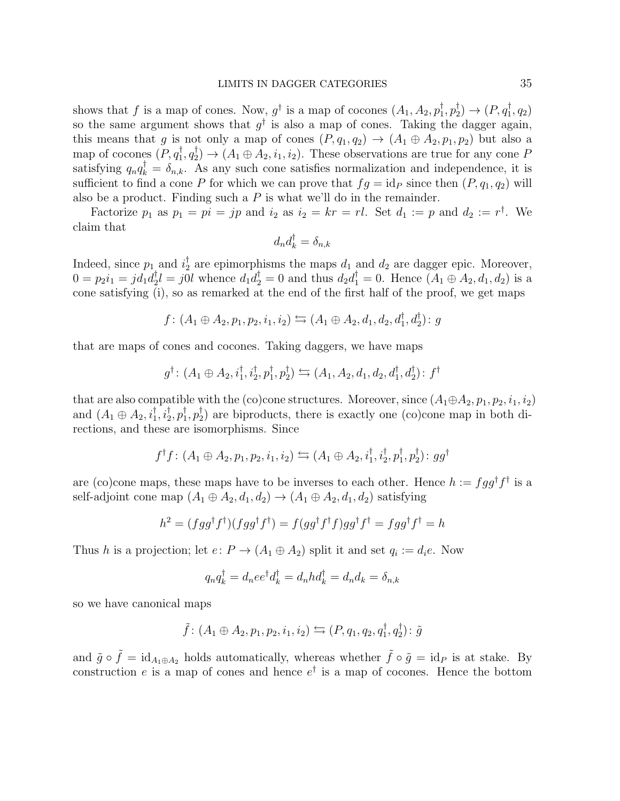shows that f is a map of cones. Now,  $g^{\dagger}$  is a map of cocones  $(A_1, A_2, p_1^{\dagger})$  $_{1}^{\dagger},p_{2}^{\dagger}$  $p_2^{\dagger}) \rightarrow (P, q_1^{\dagger}, q_2)$ so the same argument shows that  $g^{\dagger}$  is also a map of cones. Taking the dagger again, this means that g is not only a map of cones  $(P, q_1, q_2) \rightarrow (A_1 \oplus A_2, p_1, p_2)$  but also a map of cocones  $(P, q_1^{\dagger}, q_2^{\dagger})$  $\langle A_1 \oplus A_2, i_1, i_2 \rangle$ . These observations are true for any cone P satisfying  $q_n q_k^{\dagger} = \delta_{n,k}$ . As any such cone satisfies normalization and independence, it is sufficient to find a cone P for which we can prove that  $fg = id_P$  since then  $(P, q_1, q_2)$  will also be a product. Finding such a  $P$  is what we'll do in the remainder.

Factorize  $p_1$  as  $p_1 = pi = jp$  and  $i_2$  as  $i_2 = kr = rl$ . Set  $d_1 := p$  and  $d_2 := r^{\dagger}$ . We claim that

$$
d_nd_k^\dagger=\delta_{n,k}
$$

Indeed, since  $p_1$  and  $i_2^{\dagger}$  $a_2^{\dagger}$  are epimorphisms the maps  $d_1$  and  $d_2$  are dagger epic. Moreover,  $0 = p_2 i_1 = j d_1 d_2^{\dagger}$  $d_2^{\dagger}l = j0l$  whence  $d_1d_2^{\dagger} = 0$  and thus  $d_2d_1^{\dagger} = 0$ . Hence  $(A_1 \oplus A_2, d_1, d_2)$  is a cone satisfying (i), so as remarked at the end of the first half of the proof, we get maps

$$
f\colon (A_1\oplus A_2, p_1, p_2, i_1, i_2) \leftrightarrows (A_1\oplus A_2, d_1, d_2, d_1^{\dagger}, d_2^{\dagger})\colon g
$$

that are maps of cones and cocones. Taking daggers, we have maps

$$
g^{\dagger} \colon (A_1 \oplus A_2, i_1^{\dagger}, i_2^{\dagger}, p_1^{\dagger}, p_2^{\dagger}) \leftrightarrows (A_1, A_2, d_1, d_2, d_1^{\dagger}, d_2^{\dagger}) \colon f^{\dagger}
$$

that are also compatible with the (co)cone structures. Moreover, since  $(A_1 \oplus A_2, p_1, p_2, i_1, i_2)$ and  $(A_1 \oplus A_2, i_1^{\dagger}, i_2^{\dagger}, p_1^{\dagger})$  $\frac{1}{1}, p_2^{\dagger}$  $_{2}^{7}$ ) are biproducts, there is exactly one (co)cone map in both directions, and these are isomorphisms. Since

$$
f^{\dagger}f\colon (A_1\oplus A_2, p_1, p_2, i_1, i_2) \leftrightarrows (A_1\oplus A_2, i_1^{\dagger}, i_2^{\dagger}, p_1^{\dagger}, p_2^{\dagger})\colon gg^{\dagger}
$$

are (co)cone maps, these maps have to be inverses to each other. Hence  $h := f g g^{\dagger} f^{\dagger}$  is a self-adjoint cone map  $(A_1 \oplus A_2, d_1, d_2) \rightarrow (A_1 \oplus A_2, d_1, d_2)$  satisfying

$$
h^2 = (fgg^{\dagger}f^{\dagger})(fgg^{\dagger}f^{\dagger}) = f(gg^{\dagger}f^{\dagger}f)gg^{\dagger}f^{\dagger} = fgg^{\dagger}f^{\dagger} = h
$$

Thus h is a projection; let  $e: P \to (A_1 \oplus A_2)$  split it and set  $q_i := d_i e$ . Now

$$
q_n q_k^{\dagger} = d_n e e^{\dagger} d_k^{\dagger} = d_n h d_k^{\dagger} = d_n d_k = \delta_{n,k}
$$

so we have canonical maps

$$
\tilde{f} : (A_1 \oplus A_2, p_1, p_2, i_1, i_2) \hookrightarrow (P, q_1, q_2, q_1^{\dagger}, q_2^{\dagger}) : \tilde{g}
$$

and  $\tilde{g} \circ \tilde{f} = id_{A_1 \oplus A_2}$  holds automatically, whereas whether  $\tilde{f} \circ \tilde{g} = id_P$  is at stake. By construction e is a map of cones and hence  $e^{\dagger}$  is a map of cocones. Hence the bottom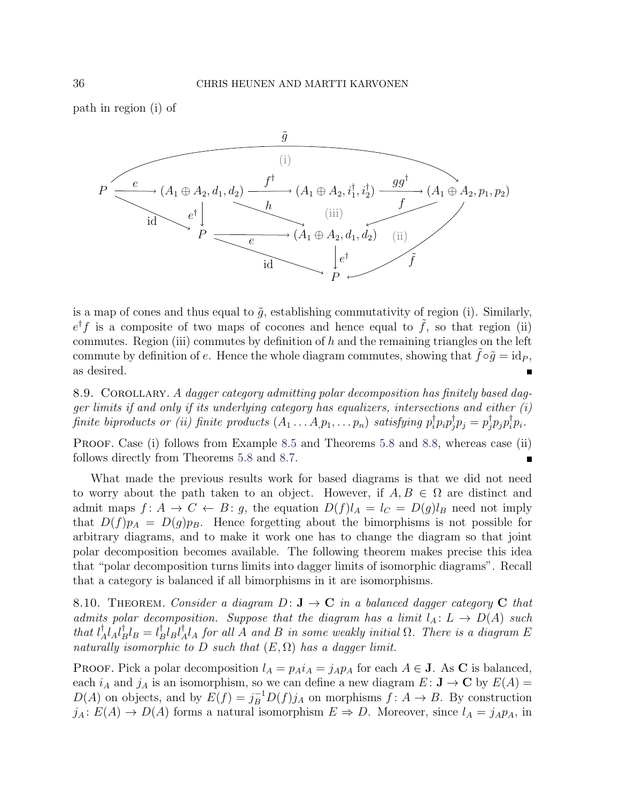path in region (i) of



is a map of cones and thus equal to  $\tilde{g}$ , establishing commutativity of region (i). Similarly,  $e^{\dagger} f$  is a composite of two maps of cocones and hence equal to  $\tilde{f}$ , so that region (ii) commutes. Region (iii) commutes by definition of  $h$  and the remaining triangles on the left commute by definition of e. Hence the whole diagram commutes, showing that  $f \circ \tilde{q} = id_P$ , as desired. Е

8.9. COROLLARY. A dagger category admitting polar decomposition has finitely based dagger limits if and only if its underlying category has equalizers, intersections and either  $(i)$ finite biproducts or (ii) finite products  $(A_1 \ldots A_p p_1, \ldots p_n)$  satisfying  $p_i^\dagger$  $_{i}^{\dagger}p_{i}p_{j}^{\dagger}$  $j^{\dagger}p_j=p_j^{\dagger}$  $_{j}^{\dagger}p_{j}p_{i}^{\dagger}$  $i^{\dagger}p_i$ .

PROOF. Case (i) follows from Example [8.5](#page-30-0) and Theorems [5.8](#page-20-0) and [8.8,](#page-33-0) whereas case (ii) follows directly from Theorems [5.8](#page-20-0) and [8.7.](#page-32-0)

What made the previous results work for based diagrams is that we did not need to worry about the path taken to an object. However, if  $A, B \in \Omega$  are distinct and admit maps  $f: A \to C \leftarrow B$ : g, the equation  $D(f)l_A = l_C = D(g)l_B$  need not imply that  $D(f)p_A = D(g)p_B$ . Hence forgetting about the bimorphisms is not possible for arbitrary diagrams, and to make it work one has to change the diagram so that joint polar decomposition becomes available. The following theorem makes precise this idea that "polar decomposition turns limits into dagger limits of isomorphic diagrams". Recall that a category is balanced if all bimorphisms in it are isomorphisms.

<span id="page-35-0"></span>8.10. THEOREM. Consider a diagram  $D: \mathbf{J} \to \mathbf{C}$  in a balanced dagger category C that admits polar decomposition. Suppose that the diagram has a limit  $l_A: L \to D(A)$  such that  $l^{\dagger}_{\neq}$  $^{\dagger}_{A}l_{A}l_{B}^{\dagger}$  ${}^{\dagger}_{B}l_{B}=l^{\dagger}_{B}$  $_B^{\dagger}l_Bl_{\neq}^{\dagger}$  $^{\intercal}_{A}l_{A}$  for all A and B in some weakly initial  $\Omega$ . There is a diagram E naturally isomorphic to D such that  $(E, \Omega)$  has a dagger limit.

PROOF. Pick a polar decomposition  $l_A = p_A i_A = j_A p_A$  for each  $A \in \mathbf{J}$ . As C is balanced, each  $i_A$  and  $j_A$  is an isomorphism, so we can define a new diagram  $E: \mathbf{J} \to \mathbf{C}$  by  $E(A) =$  $D(A)$  on objects, and by  $E(f) = j_B^{-1} D(f) j_A$  on morphisms  $f: A \to B$ . By construction  $j_A: E(A) \to D(A)$  forms a natural isomorphism  $E \Rightarrow D$ . Moreover, since  $l_A = j_A p_A$ , in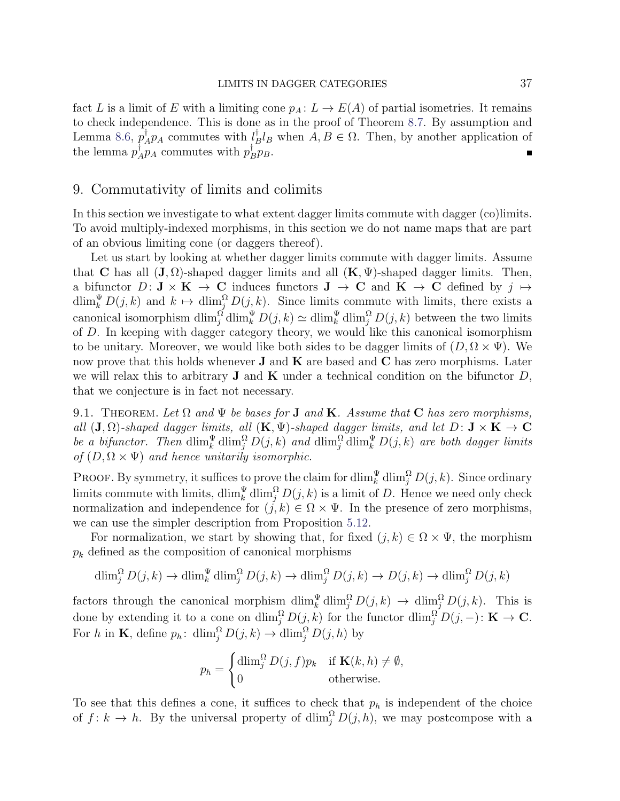fact L is a limit of E with a limiting cone  $p_A: L \to E(A)$  of partial isometries. It remains to check independence. This is done as in the proof of Theorem [8.7.](#page-32-0) By assumption and Lemma [8.6,](#page-31-0)  $p^{\dagger}$  $\bigcap_{A}^{d} p_A$  commutes with  $\bigcup_{B}^{d}$  $_B^{\dagger} l_B$  when  $A, B \in \Omega$ . Then, by another application of the lemma  $p^{\dagger}$  $\bar{A}^{\dagger}_{A} p_{A}$  commutes with  $p_{B}^{\dagger}$  $_B^{\dagger}p_B$ .

## <span id="page-36-0"></span>9. Commutativity of limits and colimits

In this section we investigate to what extent dagger limits commute with dagger (co)limits. To avoid multiply-indexed morphisms, in this section we do not name maps that are part of an obvious limiting cone (or daggers thereof).

Let us start by looking at whether dagger limits commute with dagger limits. Assume that C has all  $(\mathbf{J}, \Omega)$ -shaped dagger limits and all  $(\mathbf{K}, \Psi)$ -shaped dagger limits. Then, a bifunctor  $D: \mathbf{J} \times \mathbf{K} \to \mathbf{C}$  induces functors  $\mathbf{J} \to \mathbf{C}$  and  $\mathbf{K} \to \mathbf{C}$  defined by  $j \mapsto$  $\dim_k \Psi D(j,k)$  and  $k \mapsto \dim_j \Omega(j,k)$ . Since limits commute with limits, there exists a canonical isomorphism  $\dim_j^{\Omega} \dim_k^{\Psi} D(j,k) \simeq \dim_k^{\Psi} \dim_j^{\Omega} D(j,k)$  between the two limits of D. In keeping with dagger category theory, we would like this canonical isomorphism to be unitary. Moreover, we would like both sides to be dagger limits of  $(D, \Omega \times \Psi)$ . We now prove that this holds whenever  $J$  and  $K$  are based and  $C$  has zero morphisms. Later we will relax this to arbitrary **J** and **K** under a technical condition on the bifunctor  $D$ , that we conjecture is in fact not necessary.

9.1. THEOREM. Let  $\Omega$  and  $\Psi$  be bases for **J** and **K**. Assume that **C** has zero morphisms, all  $(\mathbf{J}, \Omega)$ -shaped dagger limits, all  $(\mathbf{K}, \Psi)$ -shaped dagger limits, and let  $D: \mathbf{J} \times \mathbf{K} \to \mathbf{C}$ be a bifunctor. Then  $\dim_k^{\Psi} \dim_j^{\Omega} D(j,k)$  and  $\dim_j^{\Omega} \dim_k^{\Psi} D(j,k)$  are both dagger limits of  $(D, \Omega \times \Psi)$  and hence unitarily isomorphic.

PROOF. By symmetry, it suffices to prove the claim for  $\dim_k^{\Psi} \dim_j^{\Omega} D(j,k)$ . Since ordinary limits commute with limits,  $\dim_k^{\Psi} \dim_j^{\Omega} D(j,k)$  is a limit of D. Hence we need only check normalization and independence for  $(j, k) \in \Omega \times \Psi$ . In the presence of zero morphisms, we can use the simpler description from Proposition [5.12.](#page-22-1)

For normalization, we start by showing that, for fixed  $(j, k) \in \Omega \times \Psi$ , the morphism  $p_k$  defined as the composition of canonical morphisms

$$
\dim_j^{\Omega} D(j,k) \to \dim_k^{\Psi} \dim_j^{\Omega} D(j,k) \to \dim_j^{\Omega} D(j,k) \to D(j,k) \to \dim_j^{\Omega} D(j,k)
$$

factors through the canonical morphism  $\dim_k^{\Psi} \dim_j^{\Omega} D(j,k) \to \dim_j^{\Omega} D(j,k)$ . This is done by extending it to a cone on  $\dim_j^{\Omega} D(j,k)$  for the functor  $\dim_j^{\Omega} D(j,-) \colon \mathbf{K} \to \mathbf{C}$ . For h in **K**, define  $p_h$ :  $\dim_j^{\Omega} D(j,k) \to \dim_j^{\Omega} D(j,h)$  by

$$
p_h = \begin{cases} \dim_j^{\Omega} D(j, f) p_k & \text{if } \mathbf{K}(k, h) \neq \emptyset, \\ 0 & \text{otherwise.} \end{cases}
$$

To see that this defines a cone, it suffices to check that  $p_h$  is independent of the choice of  $f: k \to h$ . By the universal property of  $\dim_j^{\Omega} D(j, h)$ , we may postcompose with a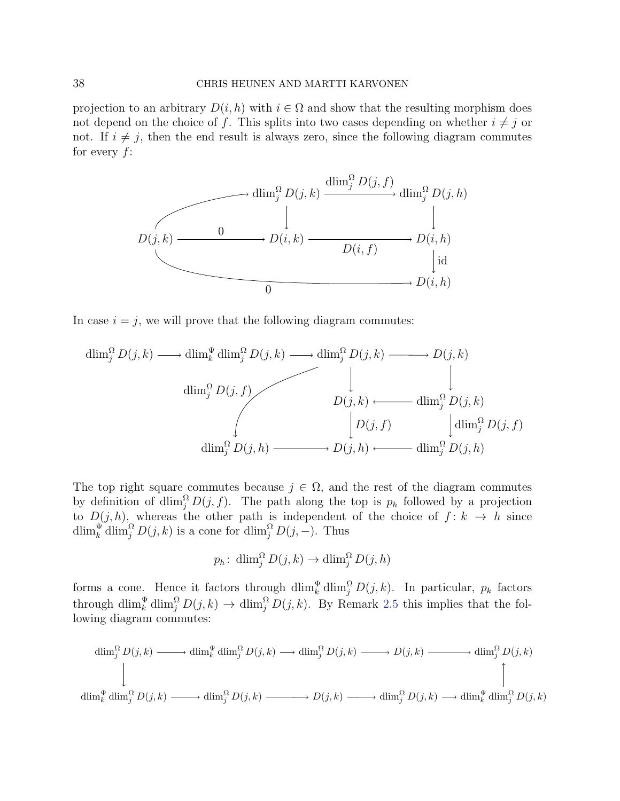projection to an arbitrary  $D(i, h)$  with  $i \in \Omega$  and show that the resulting morphism does not depend on the choice of f. This splits into two cases depending on whether  $i \neq j$  or not. If  $i \neq j$ , then the end result is always zero, since the following diagram commutes for every  $f$ :



In case  $i = j$ , we will prove that the following diagram commutes:

$$
\dim_j^{\Omega} D(j,k) \longrightarrow \dim_k^{\Psi} \dim_j^{\Omega} D(j,k) \longrightarrow \dim_j^{\Omega} D(j,k) \longrightarrow D(j,k)
$$
\n
$$
\downarrow \qquad \qquad \downarrow
$$
\n
$$
D(j,k) \longleftarrow \qquad \qquad \downarrow
$$
\n
$$
D(j,k) \longleftarrow \qquad \qquad \dim_j^{\Omega} D(j,k)
$$
\n
$$
\downarrow
$$
\n
$$
D(j,k) \longleftarrow \qquad \qquad \dim_j^{\Omega} D(j,k)
$$
\n
$$
\dim_j^{\Omega} D(j,h) \longrightarrow D(j,h) \longleftarrow \qquad \qquad \dim_j^{\Omega} D(j,h)
$$

The top right square commutes because  $j \in \Omega$ , and the rest of the diagram commutes by definition of dlim<sub>i</sub><sup>2</sup> $D(j, f)$ . The path along the top is  $p_h$  followed by a projection to  $D(j, h)$ , whereas the other path is independent of the choice of  $f: k \to h$  since dlim $_k^{\Psi}$ dlim $_i^{\Omega} D(j, k)$  is a cone for dlim $_i^{\Omega} D(j, -)$ . Thus

$$
p_h: \dim_j^{\Omega} D(j,k) \to \dim_j^{\Omega} D(j,h)
$$

forms a cone. Hence it factors through  $\dim_k^{\Psi} \dim_j^{\Omega} D(j,k)$ . In particular,  $p_k$  factors through  $\dim_k^{\Psi} \dim_j^{\Omega} D(j,k) \to \dim_j^{\Omega} D(j,k)$ . By Remark [2.5](#page-4-1) this implies that the following diagram commutes:

$$
\dim_j^{\Omega} D(j,k) \longrightarrow \dim_k^{\Psi} \dim_j^{\Omega} D(j,k) \longrightarrow \dim_j^{\Omega} D(j,k) \longrightarrow D(j,k) \longrightarrow \dim_j^{\Omega} D(j,k)
$$
\n
$$
\downarrow
$$
\n
$$
\dim_k^{\Psi} \dim_j^{\Omega} D(j,k) \longrightarrow \dim_j^{\Omega} D(j,k) \longrightarrow \dim_j^{\Omega} D(j,k) \longrightarrow \dim_j^{\Omega} D(j,k) \longrightarrow \dim_k^{\Psi} \dim_j^{\Omega} D(j,k)
$$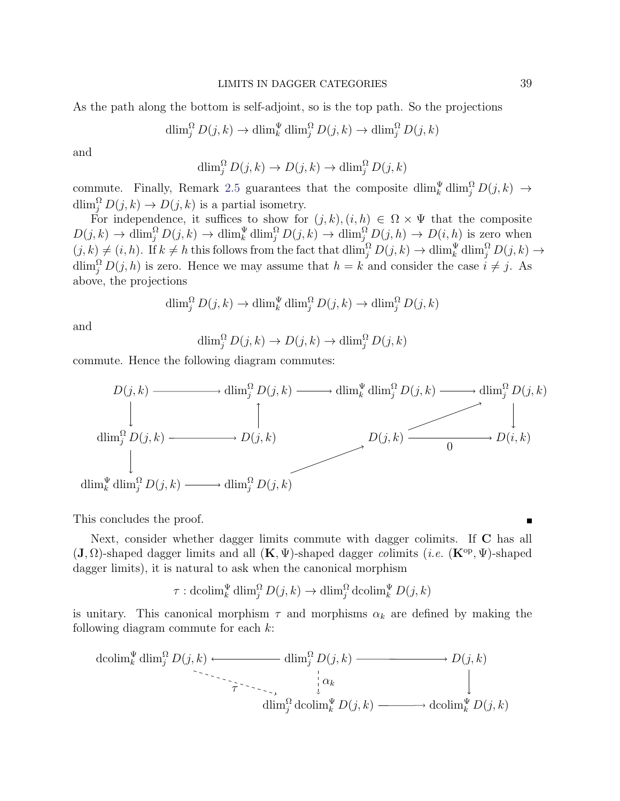As the path along the bottom is self-adjoint, so is the top path. So the projections

$$
\dim_j^{\Omega} D(j,k) \to \dim_k^{\Psi} \dim_j^{\Omega} D(j,k) \to \dim_j^{\Omega} D(j,k)
$$

and

$$
\dim_j^{\Omega} D(j,k) \to D(j,k) \to \dim_j^{\Omega} D(j,k)
$$

commute. Finally, Remark [2.5](#page-4-1) guarantees that the composite  $\dim_k^{\Psi} \dim_j^{\Omega} D(j,k) \to$  $\dim_j^{\Omega} D(j,k) \to D(j,k)$  is a partial isometry.

For independence, it suffices to show for  $(j, k), (i, h) \in \Omega \times \Psi$  that the composite  $D(j,k) \to \dim_j^{\Omega} D(j,k) \to \dim_k^{\Psi} \dim_j^{\Omega} D(j,k) \to \dim_j^{\Omega} D(j,h) \to D(i,h)$  is zero when  $(j, k) \neq (i, h)$ . If  $k \neq h$  this follows from the fact that  $\dim_j^{\Omega} D(j, k) \to \dim_k^{\Psi} \dim_j^{\Omega} D(j, k) \to$  $\dim_j^{\Omega} D(j, h)$  is zero. Hence we may assume that  $h = k$  and consider the case  $i \neq j$ . As above, the projections

$$
\dim_j^{\Omega} D(j,k) \to \dim_k^{\Psi} \dim_j^{\Omega} D(j,k) \to \dim_j^{\Omega} D(j,k)
$$

and

$$
\dim_j^{\Omega} D(j,k) \to D(j,k) \to \dim_j^{\Omega} D(j,k)
$$

commute. Hence the following diagram commutes:



This concludes the proof.

Next, consider whether dagger limits commute with dagger colimits. If C has all  $(\mathbf{J}, \Omega)$ -shaped dagger limits and all  $(\mathbf{K}, \Psi)$ -shaped dagger colimits (*i.e.*  $(\mathbf{K}^{\mathrm{op}}, \Psi)$ -shaped dagger limits), it is natural to ask when the canonical morphism

$$
\tau: \operatorname{dcolim}^{\Psi}_{k} \operatorname{dlim}_{j}^{\Omega} D(j, k) \to \operatorname{dlim}_{j}^{\Omega} \operatorname{dcolim}^{\Psi}_{k} D(j, k)
$$

is unitary. This canonical morphism  $\tau$  and morphisms  $\alpha_k$  are defined by making the following diagram commute for each  $k$ :

$$
\operatorname{dcolim}_{k}^{\Psi} \operatorname{dlim}_{j}^{\Omega} D(j,k) \longleftarrow \operatorname{dim}_{j}^{\Omega} D(j,k) \longrightarrow D(j,k)
$$
\n
$$
\downarrow \alpha_{k}
$$
\n
$$
\operatorname{dim}_{j}^{\Omega} \operatorname{dcolim}_{k}^{\Psi} D(j,k) \longrightarrow \operatorname{dcolim}_{k}^{\Psi} D(j,k)
$$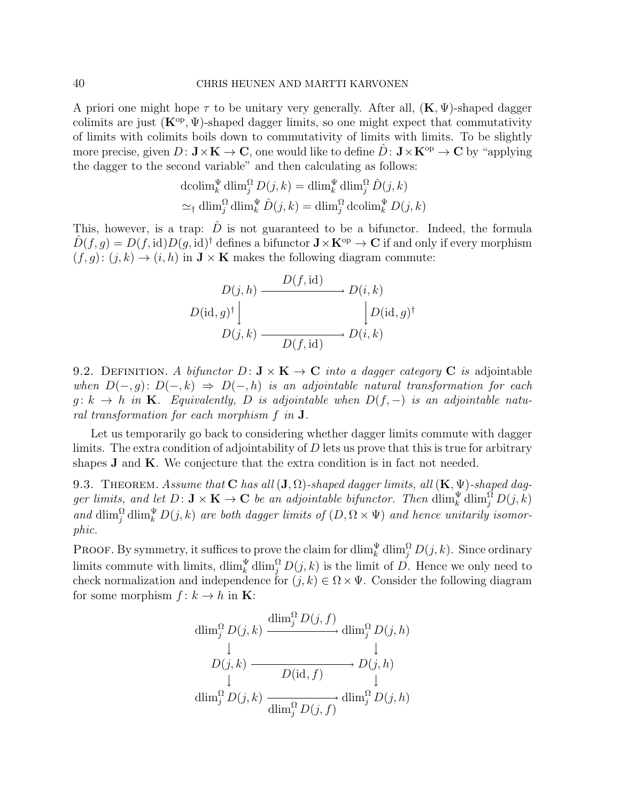A priori one might hope  $\tau$  to be unitary very generally. After all,  $(K, \Psi)$ -shaped dagger colimits are just  $(\mathbf{K}^{\text{op}}, \Psi)$ -shaped dagger limits, so one might expect that commutativity of limits with colimits boils down to commutativity of limits with limits. To be slightly more precise, given  $D: \mathbf{J} \times \mathbf{K} \to \mathbf{C}$ , one would like to define  $\hat{D}: \mathbf{J} \times \mathbf{K}^{\mathrm{op}} \to \mathbf{C}$  by "applying the dagger to the second variable" and then calculating as follows:

$$
\operatorname{dcolim}_{k}^{\Psi} \dim_{j}^{\Omega} D(j, k) = \dim_{k}^{\Psi} \dim_{j}^{\Omega} \hat{D}(j, k)
$$

$$
\simeq_{\dagger} \dim_{j}^{\Omega} \dim_{k}^{\Psi} \hat{D}(j, k) = \dim_{j}^{\Omega} \operatorname{dcolim}_{k}^{\Psi} D(j, k)
$$

This, however, is a trap:  $\hat{D}$  is not guaranteed to be a bifunctor. Indeed, the formula  $\hat{D}(f,g) = D(f,\mathrm{id})D(g,\mathrm{id})^{\dagger}$  defines a bifunctor  $\mathbf{J} \times \mathbf{K}^{\mathrm{op}} \to \mathbf{C}$  if and only if every morphism  $(f, g): (j, k) \to (i, h)$  in  $\mathbf{J} \times \mathbf{K}$  makes the following diagram commute:

$$
D(j, h) \xrightarrow{D(f, id)} D(i, k)
$$
  

$$
D(id, g)^{\dagger} \downarrow \qquad D(id, g)^{\dagger}
$$
  

$$
D(j, k) \xrightarrow{D(f, id)} D(i, k)
$$

9.2. DEFINITION. A bifunctor  $D: \mathbf{J} \times \mathbf{K} \to \mathbf{C}$  into a dagger category C is adjointable when  $D(-, g): D(-, k) \Rightarrow D(-, h)$  is an adjointable natural transformation for each  $g: k \to h$  in **K**. Equivalently, D is adjointable when  $D(f, -)$  is an adjointable natural transformation for each morphism f in J.

Let us temporarily go back to considering whether dagger limits commute with dagger limits. The extra condition of adjointability of  $D$  lets us prove that this is true for arbitrary shapes  $J$  and  $K$ . We conjecture that the extra condition is in fact not needed.

<span id="page-39-1"></span>9.3. THEOREM. Assume that C has all  $(J, \Omega)$ -shaped dagger limits, all  $(K, \Psi)$ -shaped dagger limits, and let  $D: \mathbf{J} \times \mathbf{K} \to \mathbf{C}$  be an adjointable bifunctor. Then  $\dim_k^{\Psi} \dim_j^{\Omega} D(j,k)$ and  $\dim_j^{\Omega} \dim_k^{\Psi} D(j,k)$  are both dagger limits of  $(D, \Omega \times \Psi)$  and hence unitarily isomorphic.

<span id="page-39-0"></span>**PROOF.** By symmetry, it suffices to prove the claim for  $\dim_k^{\Psi} \dim_j^{\Omega} D(j,k)$ . Since ordinary limits commute with limits,  $\dim_k^{\Psi} \dim_j^{\Omega} D(j,k)$  is the limit of D. Hence we only need to check normalization and independence for  $(j, k) \in \Omega \times \Psi$ . Consider the following diagram for some morphism  $f: k \to h$  in **K**:

$$
\dim_j^{\Omega} D(j,k) \xrightarrow{\dim_j^{\Omega} D(j,f)} \dim_j^{\Omega} D(j,h)
$$
  
\n
$$
\downarrow \qquad \qquad \downarrow \qquad \qquad \downarrow
$$
  
\n
$$
D(j,k) \xrightarrow{\qquad \qquad D(\text{id},f)} D(j,h)
$$
  
\n
$$
\dim_j^{\Omega} D(j,k) \xrightarrow{\qquad \qquad \text{dim}_j^{\Omega} D(j,f)} \dim_j^{\Omega} D(j,h)
$$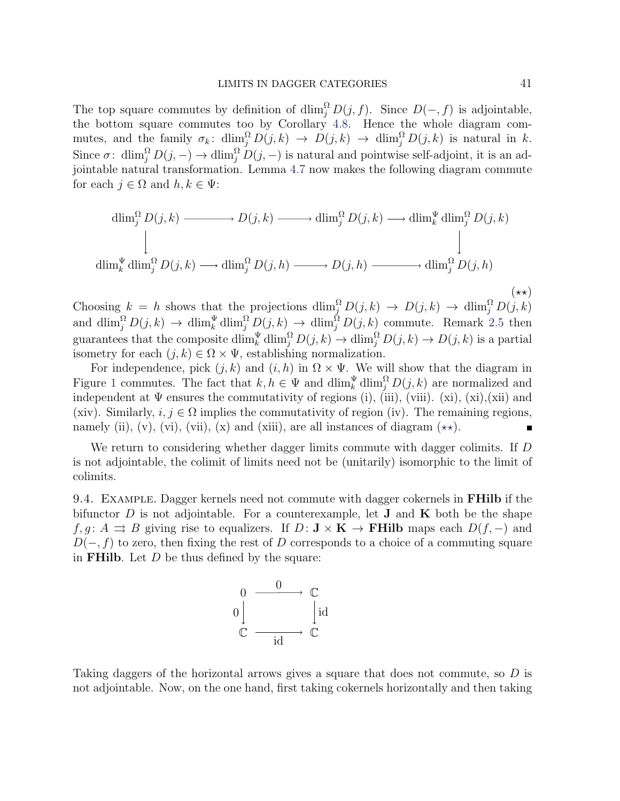The top square commutes by definition of  $\dim_j^{\Omega} D(j, f)$ . Since  $D(-, f)$  is adjointable, the bottom square commutes too by Corollary [4.8.](#page-17-1) Hence the whole diagram commutes, and the family  $\sigma_k$ : dlim $_i^{\Omega} D(j,k) \to D(j,k) \to \dim_i^{\Omega} D(j,k)$  is natural in k. Since  $\sigma: \dim_j^{\Omega} D(j,-) \to \dim_j^{\Omega} D(j,-)$  is natural and pointwise self-adjoint, it is an adjointable natural transformation. Lemma [4.7](#page-14-1) now makes the following diagram commute for each  $j \in \Omega$  and  $h, k \in \Psi$ :

$$
\dim_j^{\Omega} D(j,k) \longrightarrow D(j,k) \longrightarrow \dim_j^{\Omega} D(j,k) \longrightarrow \dim_k^{\Psi} \dim_j^{\Omega} D(j,k)
$$
\n
$$
\downarrow \qquad \qquad \downarrow
$$
\n
$$
\dim_k^{\Psi} \dim_j^{\Omega} D(j,k) \longrightarrow \dim_j^{\Omega} D(j,h) \longrightarrow D(j,h) \longrightarrow \dim_j^{\Omega} D(j,h)
$$
\n
$$
\longrightarrow
$$
\n
$$
\dim_k^{\Psi} \dim_j^{\Omega} D(j,k) \longrightarrow \dim_j^{\Omega} D(j,h) \longrightarrow \dim_j^{\Omega} D(j,h)
$$
\n
$$
(\star \star)
$$

Choosing  $k = h$  shows that the projections  $\dim_j^{\Omega} D(j,k) \to D(j,k) \to \dim_j^{\Omega} D(j,k)$ and  $\dim_j^{\Omega} D(j,k) \to \dim_k^{\Psi} \dim_j^{\Omega} D(j,k) \to \dim_j^{\Omega} D(j,k)$  commute. Remark [2.5](#page-4-1) then guarantees that the composite  $\dim_k^{\Psi} \dim_j^{\Omega} D(j,k) \to \dim_j^{\Omega} D(j,k) \to D(j,k)$  is a partial isometry for each  $(j, k) \in \Omega \times \Psi$ , establishing normalization.

For independence, pick  $(j, k)$  and  $(i, h)$  in  $\Omega \times \Psi$ . We will show that the diagram in Figure [1](#page-41-0) commutes. The fact that  $k, h \in \Psi$  and  $\dim_k^{\Psi} \dim_j^{\Omega} D(j, k)$  are normalized and independent at  $\Psi$  ensures the commutativity of regions (i), (iii), (viii). (xi), (xi),(xii) and (xiv). Similarly,  $i, j \in \Omega$  implies the commutativity of region (iv). The remaining regions, namely (ii), (v), (vii), (vii), (x) and (xiii), are all instances of diagram  $(\star\star)$ .

We return to considering whether dagger limits commute with dagger colimits. If D is not adjointable, the colimit of limits need not be (unitarily) isomorphic to the limit of colimits.

9.4. EXAMPLE. Dagger kernels need not commute with dagger cokernels in **FHilb** if the bifunctor D is not adjointable. For a counterexample, let **J** and **K** both be the shape  $f, g: A \rightrightarrows B$  giving rise to equalizers. If  $D: \mathbf{J} \times \mathbf{K} \to \mathbf{FHilb}$  maps each  $D(f, -)$  and  $D(-, f)$  to zero, then fixing the rest of D corresponds to a choice of a commuting square in **FHilb**. Let  $D$  be thus defined by the square:



Taking daggers of the horizontal arrows gives a square that does not commute, so D is not adjointable. Now, on the one hand, first taking cokernels horizontally and then taking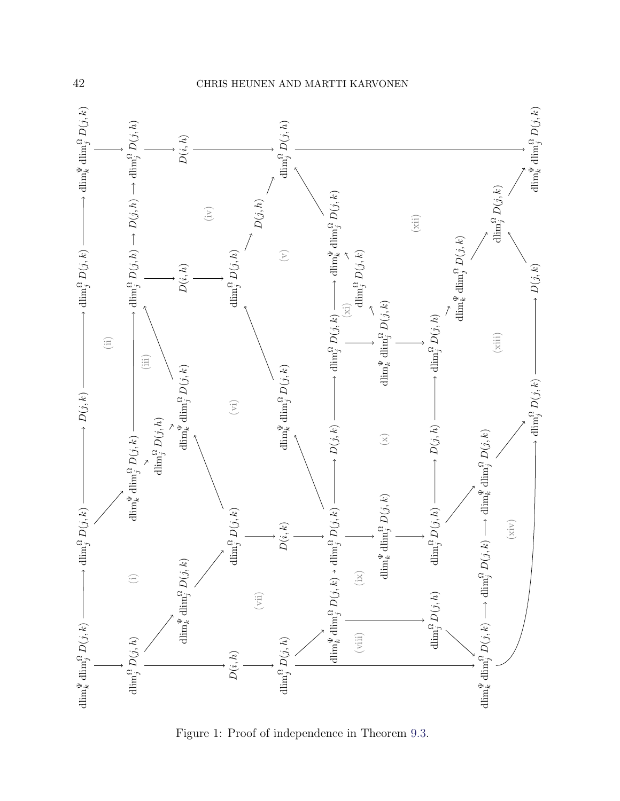

<span id="page-41-0"></span>Figure 1: Proof of independence in Theorem [9.3.](#page-39-1)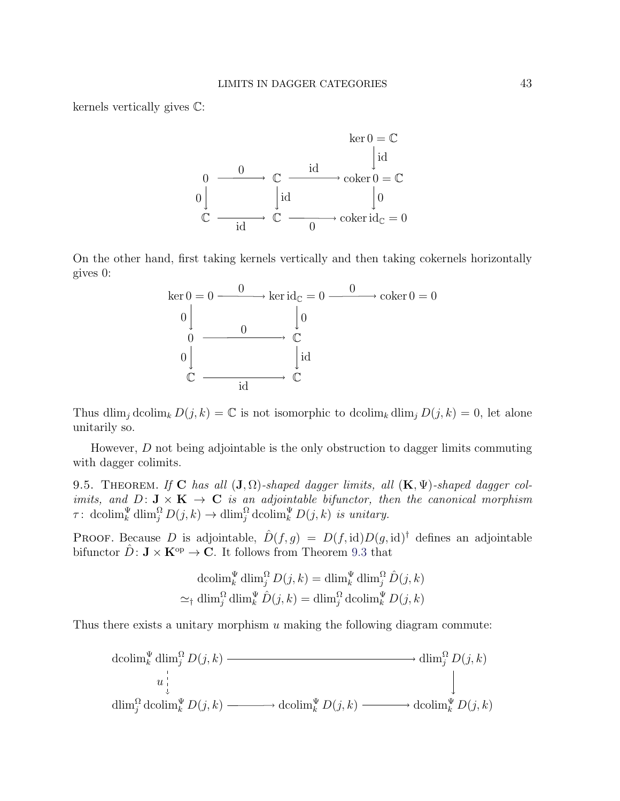kernels vertically gives C:



On the other hand, first taking kernels vertically and then taking cokernels horizontally gives 0:



Thus dlim<sub>j</sub> dcolim<sub>k</sub>  $D(j, k) = \mathbb{C}$  is not isomorphic to dcolim<sub>k</sub> dlim<sub>j</sub>  $D(j, k) = 0$ , let alone unitarily so.

However,  $D$  not being adjointable is the only obstruction to dagger limits commuting with dagger colimits.

9.5. THEOREM. If C has all  $(J, \Omega)$ -shaped dagger limits, all  $(K, \Psi)$ -shaped dagger colimits, and  $D: \mathbf{J} \times \mathbf{K} \to \mathbf{C}$  is an adjointable bifunctor, then the canonical morphism  $\tau: \operatorname{dcolim}_k^{\Psi} \operatorname{dlim}_j^{\Omega} D(j,k) \to \operatorname{dlim}_j^{\Omega} \operatorname{dcolim}_k^{\Psi} D(j,k)$  is unitary.

**PROOF.** Because D is adjointable,  $\hat{D}(f,g) = D(f,\mathrm{id})D(g,\mathrm{id})^{\dagger}$  defines an adjointable bifunctor  $\hat{D}$ :  $\mathbf{J} \times \mathbf{K}^{\text{op}} \to \mathbf{C}$ . It follows from Theorem [9.3](#page-39-1) that

$$
\operatorname{dcolim}_{k}^{\Psi} \operatorname{dlim}_{j}^{\Omega} D(j, k) = \operatorname{dlim}_{k}^{\Psi} \operatorname{dlim}_{j}^{\Omega} \hat{D}(j, k)
$$

$$
\simeq_{\dagger} \operatorname{dlim}_{j}^{\Omega} \operatorname{dlim}_{k}^{\Psi} \hat{D}(j, k) = \operatorname{dlim}_{j}^{\Omega} \operatorname{dcolim}_{k}^{\Psi} D(j, k)
$$

Thus there exists a unitary morphism  $u$  making the following diagram commute:

$$
\operatorname{dcolim}_{k}^{\Psi} \operatorname{dim}_{j}^{\Omega} D(j,k) \longrightarrow \operatorname{dim}_{j}^{\Omega} D(j,k)
$$
\n
$$
u \downarrow \qquad \qquad \downarrow
$$
\n
$$
\operatorname{dim}_{j}^{\Omega} \operatorname{dcolim}_{k}^{\Psi} D(j,k) \longrightarrow \operatorname{dcolim}_{k}^{\Psi} D(j,k) \longrightarrow \operatorname{dcolim}_{k}^{\Psi} D(j,k)
$$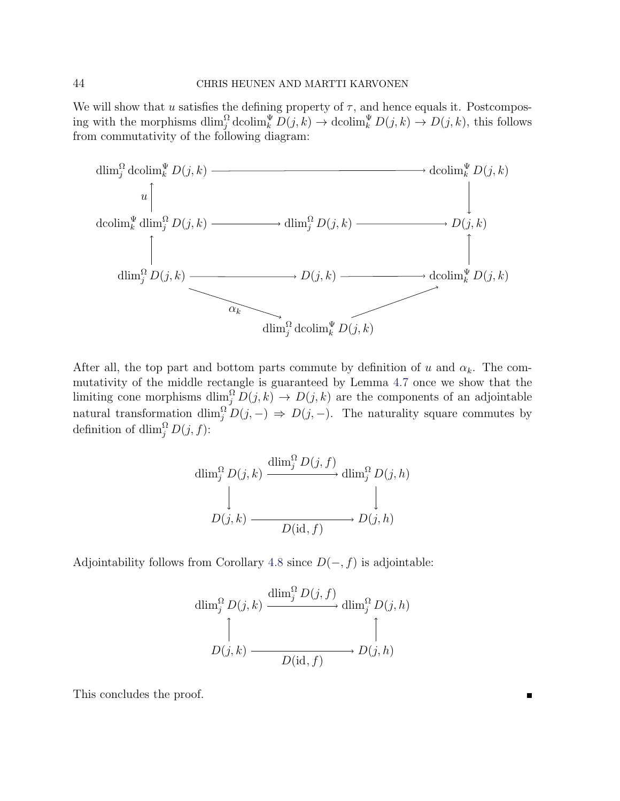We will show that u satisfies the defining property of  $\tau$ , and hence equals it. Postcomposing with the morphisms  $\dim_j^{\Omega} \text{dcolim}_k^{\Psi} D(j, k) \to \text{dcolim}_k^{\Psi} D(j, k) \to D(j, k)$ , this follows from commutativity of the following diagram:



After all, the top part and bottom parts commute by definition of u and  $\alpha_k$ . The commutativity of the middle rectangle is guaranteed by Lemma [4.7](#page-14-1) once we show that the limiting cone morphisms  $\dim_j^{\Omega} D(j, k) \to D(j, k)$  are the components of an adjointable natural transformation  $\dim_j^{\Omega} D(j, -) \Rightarrow D(j, -)$ . The naturality square commutes by definition of dlim $_i^{\Omega} D(j, f)$ :

$$
\dim_j^{\Omega} D(j,k) \xrightarrow{\dim_j^{\Omega} D(j,f)} \dim_j^{\Omega} D(j,h)
$$
  
\n
$$
D(j,k) \xrightarrow{\qquad \qquad} D(\text{id},f) \longrightarrow D(j,h)
$$

Adjointability follows from Corollary [4.8](#page-17-1) since  $D(-, f)$  is adjointable:

$$
\dim_j^{\Omega} D(j,k) \xrightarrow{\dim_j^{\Omega} D(j,f)} \dim_j^{\Omega} D(j,h)
$$
  
\n
$$
D(j,k) \xrightarrow{\qquad \qquad \downarrow} D(\textbf{j},h)
$$

This concludes the proof.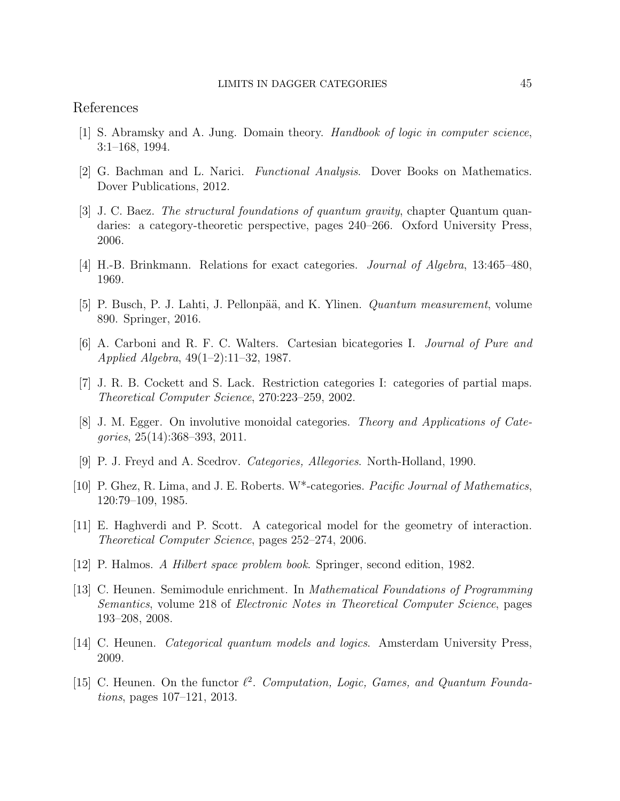## References

- <span id="page-44-9"></span>[1] S. Abramsky and A. Jung. Domain theory. Handbook of logic in computer science, 3:1–168, 1994.
- <span id="page-44-13"></span>[2] G. Bachman and L. Narici. Functional Analysis. Dover Books on Mathematics. Dover Publications, 2012.
- <span id="page-44-6"></span>[3] J. C. Baez. The structural foundations of quantum gravity, chapter Quantum quandaries: a category-theoretic perspective, pages 240–266. Oxford University Press, 2006.
- <span id="page-44-0"></span>[4] H.-B. Brinkmann. Relations for exact categories. Journal of Algebra, 13:465–480, 1969.
- <span id="page-44-14"></span>[5] P. Busch, P. J. Lahti, J. Pellonpää, and K. Ylinen. *Quantum measurement*, volume 890. Springer, 2016.
- <span id="page-44-1"></span>[6] A. Carboni and R. F. C. Walters. Cartesian bicategories I. Journal of Pure and Applied Algebra, 49(1–2):11–32, 1987.
- <span id="page-44-3"></span>[7] J. R. B. Cockett and S. Lack. Restriction categories I: categories of partial maps. Theoretical Computer Science, 270:223–259, 2002.
- <span id="page-44-4"></span>[8] J. M. Egger. On involutive monoidal categories. Theory and Applications of Categories, 25(14):368–393, 2011.
- <span id="page-44-2"></span>[9] P. J. Freyd and A. Scedrov. Categories, Allegories. North-Holland, 1990.
- <span id="page-44-5"></span>[10] P. Ghez, R. Lima, and J. E. Roberts. W\*-categories. Pacific Journal of Mathematics, 120:79–109, 1985.
- <span id="page-44-11"></span>[11] E. Haghverdi and P. Scott. A categorical model for the geometry of interaction. Theoretical Computer Science, pages 252–274, 2006.
- <span id="page-44-12"></span>[12] P. Halmos. A Hilbert space problem book. Springer, second edition, 1982.
- <span id="page-44-10"></span>[13] C. Heunen. Semimodule enrichment. In Mathematical Foundations of Programming Semantics, volume 218 of Electronic Notes in Theoretical Computer Science, pages 193–208, 2008.
- <span id="page-44-8"></span>[14] C. Heunen. Categorical quantum models and logics. Amsterdam University Press, 2009.
- <span id="page-44-7"></span>[15] C. Heunen. On the functor  $\ell^2$ . Computation, Logic, Games, and Quantum Foundations, pages 107–121, 2013.